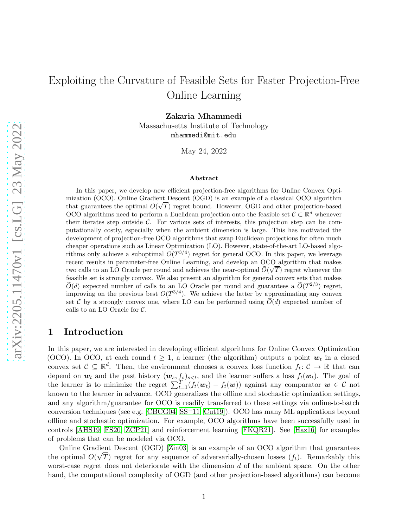Zakaria Mhammedi

Massachusetts Institute of Technology mhammedi@mit.edu

May 24, 2022

#### Abstract

In this paper, we develop new efficient projection-free algorithms for Online Convex Optimization (OCO). Online Gradient Descent (OGD) is an example of a classical OCO algorithm that guarantees the optimal  $O(\sqrt{T})$  regret bound. However, OGD and other projection-based OCO algorithms need to perform a Euclidean projection onto the feasible set  $\mathcal{C} \subset \mathbb{R}^d$  whenever their iterates step outside  $C$ . For various sets of interests, this projection step can be computationally costly, especially when the ambient dimension is large. This has motivated the development of projection-free OCO algorithms that swap Euclidean projections for often much cheaper operations such as Linear Optimization (LO). However, state-of-the-art LO-based algorithms only achieve a suboptimal  $O(T^{3/4})$  regret for general OCO. In this paper, we leverage recent results in parameter-free Online Learning, and develop an OCO algorithm that makes two calls to an LO Oracle per round and achieves the near-optimal  $\tilde{O}(\sqrt{T})$  regret whenever the feasible set is strongly convex. We also present an algorithm for general convex sets that makes  $\widetilde{O}(d)$  expected number of calls to an LO Oracle per round and guarantees a  $\widetilde{O}(T^{2/3})$  regret, improving on the previous best  $O(T^{3/4})$ . We achieve the latter by approximating any convex set C by a strongly convex one, where LO can be performed using  $\widetilde{O}(d)$  expected number of calls to an LO Oracle for C.

## <span id="page-0-0"></span>1 Introduction

In this paper, we are interested in developing efficient algorithms for Online Convex Optimization (OCO). In OCO, at each round  $t \geq 1$ , a learner (the algorithm) outputs a point  $w_t$  in a closed convex set  $\mathcal{C} \subseteq \mathbb{R}^d$ . Then, the environment chooses a convex loss function  $f_t: \mathcal{C} \to \mathbb{R}$  that can depend on  $w_t$  and the past history  $(w_s, f_s)_{s, and the learner suffers a loss  $f_t(w_t)$ . The goal of$ the learner is to minimize the regret  $\sum_{t=1}^T (f_t(w_t) - f_t(w))$  against any comparator  $w \in \mathcal{C}$  not known to the learner in advance. OCO generalizes the offline and stochastic optimization settings, and any algorithm/guarantee for OCO is readily transferred to these settings via online-to-batch conversion techniques (see e.g. [\[CBCG04,](#page-12-0) [SS](#page-15-0)+11, [Cut19\]](#page-12-1)). OCO has many ML applications beyond offline and stochastic optimization. For example, OCO algorithms have been successfully used in controls [\[AHS19,](#page-12-2) [FS20,](#page-13-0) [ZCP21\]](#page-15-1) and reinforcement learning [\[FKQR21\]](#page-13-1). See [\[Haz16\]](#page-13-2) for examples of problems that can be modeled via OCO.

Online Gradient Descent (OGD) [\[Zin03\]](#page-15-2) is an example of an OCO algorithm that guarantees the optimal  $O(\sqrt{T})$  regret for any sequence of adversarially-chosen losses  $(f_t)$ . Remarkably this worst-case regret does not deteriorate with the dimension d of the ambient space. On the other hand, the computational complexity of OGD (and other projection-based algorithms) can become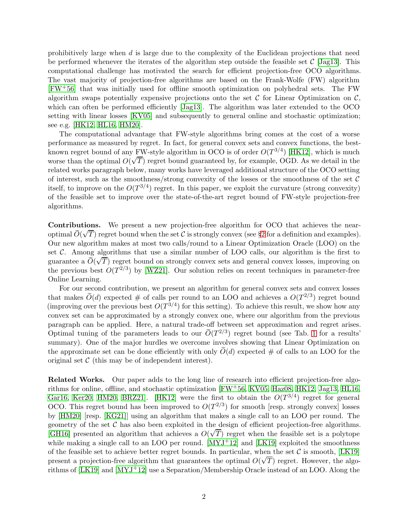prohibitively large when d is large due to the complexity of the Euclidean projections that need be performed whenever the iterates of the algorithm step outside the feasible set  $\mathcal{C}$  [\[Jag13\]](#page-14-0). This computational challenge has motivated the search for efficient projection-free OCO algorithms. The vast majority of projection-free algorithms are based on the Frank-Wolfe (FW) algorithm [\[FW](#page-13-3)+56] that was initially used for offline smooth optimization on polyhedral sets. The FW algorithm swaps potentially expensive projections onto the set  $\mathcal C$  for Linear Optimization on  $\mathcal C$ , which can often be performed efficiently [\[Jag13\]](#page-14-0). The algorithm was later extended to the OCO setting with linear losses [\[KV05\]](#page-14-1) and subsequently to general online and stochastic optimization; see e.g. [\[HK12,](#page-13-4) [HL16,](#page-13-5) [HM20\]](#page-14-2).

The computational advantage that FW-style algorithms bring comes at the cost of a worse performance as measured by regret. In fact, for general convex sets and convex functions, the bestknown regret bound of any FW-style algorithm in OCO is of order  $O(T^{3/4})$  [\[HK12\]](#page-13-4), which is much worse than the optimal  $O(\sqrt{T})$  regret bound guaranteed by, for example, OGD. As we detail in the related works paragraph below, many works have leveraged additional structure of the OCO setting of interest, such as the smoothness/strong convexity of the losses or the smoothness of the set  $\mathcal C$ itself, to improve on the  $O(T^{3/4})$  regret. In this paper, we exploit the curvature (strong convexity) of the feasible set to improve over the state-of-the-art regret bound of FW-style projection-free algorithms.

Contributions. We present a new projection-free algorithm for OCO that achieves the nearoptimal  $\tilde{O}(\sqrt{T})$  regret bound when the set C is strongly convex (see §[2](#page-3-0) for a definition and examples). Our new algorithm makes at most two calls/round to a Linear Optimization Oracle (LOO) on the set  $\mathcal C$ . Among algorithms that use a similar number of LOO calls, our algorithm is the first to guarantee a  $\tilde{O}(\sqrt{T})$  regret bound on strongly convex sets and general convex losses, improving on guarantee a  $\tilde{O}(\sqrt{T})$  regret bound on strongly convex sets and general convex losses, improving on the previous best  $O(T^{2/3})$  by [\[WZ21\]](#page-15-3). Our solution relies on recent techniques in parameter-free Online Learning.

For our second contribution, we present an algorithm for general convex sets and convex losses that makes  $\widetilde{O}(d)$  expected # of calls per round to an LOO and achieves a  $O(T^{2/3})$  regret bound (improving over the previous best  $O(T^{3/4})$  for this setting). To achieve this result, we show how any convex set can be approximated by a strongly convex one, where our algorithm from the previous paragraph can be applied. Here, a natural trade-off between set approximation and regret arises. Optimal tuning of the parameters leads to our  $\tilde{O}(T^{2/3})$  regret bound (see Tab. [1](#page-2-0) for a results' summary). One of the major hurdles we overcome involves showing that Linear Optimization on the approximate set can be done efficiently with only  $\tilde{O}(d)$  expected # of calls to an LOO for the original set  $\mathcal C$  (this may be of independent interest).

Related Works. Our paper adds to the long line of research into efficient projection-free algorithms for online, offline, and stochastic optimization [\[FW](#page-13-3)+56, [KV05,](#page-14-1) [Haz08,](#page-13-6) [HK12,](#page-13-4) [Jag13,](#page-14-0) [HL16,](#page-13-5) [Gar16,](#page-13-7) [Ker20,](#page-14-3) [HM20,](#page-14-2) BRZ21. [\[HK12\]](#page-13-4) were the first to obtain the  $O(T^{3/4})$  regret for general OCO. This regret bound has been improved to  $O(T^{2/3})$  for smooth [resp. strongly convex] losses by [\[HM20\]](#page-14-2) [resp. [\[KG21\]](#page-14-4)] using an algorithm that makes a single call to an LOO per round. The geometry of the set  $\mathcal C$  has also been exploited in the design of efficient projection-free algorithms. [\[GH16\]](#page-13-8) presented an algorithm that achieves a  $O(\sqrt{T})$  regret when the feasible set is a polytope while making a single call to an LOO per round.  $[MYJ<sup>+</sup>12]$  and  $[LK19]$  exploited the smoothness of the feasible set to achieve better regret bounds. In particular, when the set  $\mathcal C$  is smooth, [\[LK19\]](#page-14-5) present a projection-free algorithm that guarantees the optimal  $O(\sqrt{T})$  regret. However, the algorithms of [\[LK19\]](#page-14-5) and [\[MYJ](#page-15-4)+12] use a Separation/Membership Oracle instead of an LOO. Along the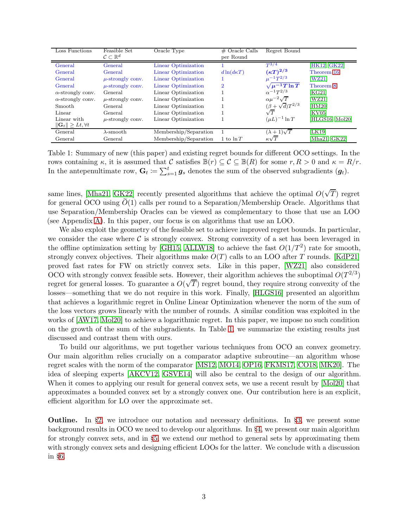| Loss Functions                        | Feasible Set<br>$\mathcal{C} \subset \mathbb{R}^d$ | Oracle Type           | $#$ Oracle Calls<br>per Round | Regret Bound                |                 |
|---------------------------------------|----------------------------------------------------|-----------------------|-------------------------------|-----------------------------|-----------------|
|                                       |                                                    |                       |                               |                             |                 |
| General                               | General                                            | Linear Optimization   |                               | $T^{3/4}$                   | [HK12, GK22]    |
| General                               | General                                            | Linear Optimization   | $d\ln(d\kappa T)$             | $(\kappa T)^{2/3}$          | Theorem 16      |
| General                               | $\mu$ -strongly conv.                              | Linear Optimization   |                               | $\mu^{-1} T^{2/3}$          | [WZ21]          |
| General                               | $\mu$ -strongly conv.                              | Linear Optimization   | $\overline{2}$                | $\sqrt{\mu^{-1}T \ln T}$    | Theorem 8       |
| $\alpha$ -strongly conv.              | General                                            | Linear Optimization   |                               | $\alpha^{-1}T^{2/3}$        | [KG21]          |
| $\alpha$ -strongly conv.              | $\mu$ -strongly conv.                              | Linear Optimization   |                               | $\alpha\mu^{-2}\sqrt{T}$    | [WZ21]          |
| Smooth                                | <b>General</b>                                     | Linear Optimization   |                               | $(\beta + \sqrt{d})T^{2/3}$ | [HM20]          |
| Linear                                | General                                            | Linear Optimization   |                               | $\sqrt{T}$                  | [KV05]          |
| Linear with                           | $\mu$ -strongly conv.                              | Linear Optimization   |                               | $(\mu L)^{-1} \ln T$        | [HLGS16, Mol20] |
| $\ \mathbf{G}_t\  \geq Lt, \forall t$ |                                                    |                       |                               |                             |                 |
| General                               | $\lambda$ -smooth                                  | Membership/Separation |                               | $(\lambda + 1)\sqrt{T}$     | [LK19]          |
| General                               | General                                            | Membership/Separation | 1 to $\ln T$                  | $\kappa\sqrt{T}$            | [Mha21, GK22]   |

<span id="page-2-0"></span>Table 1: Summary of new (this paper) and existing regret bounds for different OCO settings. In the rows containing  $\kappa$ , it is assumed that C satisfies  $\mathbb{B}(r) \subseteq \mathcal{C} \subseteq \mathbb{B}(R)$  for some  $r, R > 0$  and  $\kappa = R/r$ . In the antepenultimate row,  $\mathbf{G}_t \coloneqq \sum_{s=1}^t \mathbf{g}_s$  denotes the sum of the observed subgradients  $(\mathbf{g}_t)$ .

same lines, [\[Mha21,](#page-14-6) [GK22\]](#page-13-9) recently presented algorithms that achieve the optimal  $O(\sqrt{T})$  regret for general OCO using  $\tilde{O}(1)$  calls per round to a Separation/Membership Oracle. Algorithms that use Separation/Membership Oracles can be viewed as complementary to those that use an LOO (see Appendix [A\)](#page-17-0). In this paper, our focus is on algorithms that use an LOO.

We also exploit the geometry of the feasible set to achieve improved regret bounds. In particular, we consider the case where  $\mathcal C$  is strongly convex. Strong convexity of a set has been leveraged in the offline optimization setting by [\[GH15,](#page-13-11) [ALLW18\]](#page-12-4) to achieve the fast  $O(1/T^2)$  rate for smooth, strongly convex objectives. Their algorithms make  $O(T)$  calls to an LOO after T rounds. [\[KdP21\]](#page-14-7) proved fast rates for FW on strictly convex sets. Like in this paper, [\[WZ21\]](#page-15-3) also considered OCO with strongly convex feasible sets. However, their algorithm achieves the suboptimal  $O(T^{2/3})$ regret for general losses. To guarantee a  $O(\sqrt{T})$  regret bound, they require strong convexity of the losses—something that we do not require in this work. Finally, [\[HLGS16\]](#page-13-10) presented an algorithm that achieves a logarithmic regret in Online Linear Optimization whenever the norm of the sum of the loss vectors grows linearly with the number of rounds. A similar condition was exploited in the works of [\[AW17,](#page-12-5) [Mol20\]](#page-15-5) to achieve a logarithmic regret. In this paper, we impose no such condition on the growth of the sum of the subgradients. In Table [1,](#page-2-0) we summarize the existing results just discussed and contrast them with ours.

To build our algorithms, we put together various techniques from OCO an convex geometry. Our main algorithm relies crucially on a comparator adaptive subroutine—an algorithm whose regret scales with the norm of the comparator [\[MS12,](#page-15-6) [MO14,](#page-15-7) [OP16,](#page-15-8) [FKMS17,](#page-13-12) [CO18,](#page-12-6) [MK20\]](#page-14-8). The idea of sleeping experts [\[AKCV12,](#page-12-7) [GSVE14\]](#page-13-13) will also be central to the design of our algorithm. When it comes to applying our result for general convex sets, we use a recent result by [\[Mol20\]](#page-15-5) that approximates a bounded convex set by a strongly convex one. Our contribution here is an explicit, efficient algorithm for LO over the approximate set.

**Outline.** In  $\S$ [2,](#page-3-0) we introduce our notation and necessary definitions. In  $\S$ [3,](#page-3-1) we present some background results in OCO we need to develop our algorithms. In §[4,](#page-5-0) we present our main algorithm for strongly convex sets, and in §[5,](#page-9-0) we extend our method to general sets by approximating them with strongly convex sets and designing efficient LOOs for the latter. We conclude with a discussion in §[6.](#page-11-0)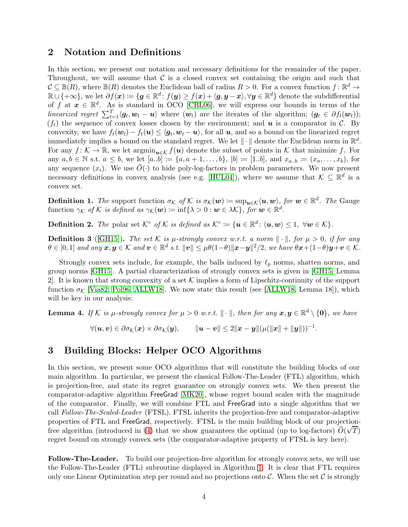## <span id="page-3-0"></span>2 Notation and Definitions

In this section, we present our notation and necessary definitions for the remainder of the paper. Throughout, we will assume that  $\mathcal C$  is a closed convex set containing the origin and such that  $\mathcal{C} \subseteq \mathbb{B}(R)$ , where  $\mathbb{B}(R)$  denotes the Euclidean ball of radius  $R > 0$ . For a convex function  $f: \mathbb{R}^d \to$  $\mathbb{R} \cup \{ +\infty \},$  we let  $\partial f(\boldsymbol{x}) \coloneqq \{ \boldsymbol{g} \in \mathbb{R}^d \colon f(\boldsymbol{y}) \geq f(\boldsymbol{x}) + \langle \boldsymbol{g}, \boldsymbol{y} - \boldsymbol{x} \rangle, \forall \boldsymbol{y} \in \mathbb{R}^d \}$  denote the subdifferential of f at  $x \in \mathbb{R}^d$ . As is standard in OCO [\[CBL06\]](#page-12-8), we will express our bounds in terms of the linearized regret  $\sum_{t=1}^T \langle g_t, w_t - u \rangle$  where  $(w_t)$  are the iterates of the algorithm;  $(g_t \in \partial f_t(w_t));$  $(f_t)$  the sequence of convex losses chosen by the environment; and **u** is a comparator in C. By convexity, we have  $f_t(\boldsymbol{w}_t) - f_t(\boldsymbol{u}) \le \langle \boldsymbol{g}_t, \boldsymbol{w}_t - \boldsymbol{u} \rangle$ , for all  $\boldsymbol{u}$ , and so a bound on the linearized regret immediately implies a bound on the standard regret. We let  $\|\cdot\|$  denote the Euclidean norm in  $\mathbb{R}^d$ . For any  $f: \mathcal{K} \to \mathbb{R}$ , we let  $\operatorname{argmin}_{u \in \mathcal{K}} f(u)$  denote the subset of points in  $\mathcal{K}$  that minimize f. For any  $a, b \in \mathbb{N}$  s.t.  $a \leq b$ , we let  $[a..b] := \{a, a+1, \ldots, b\}$ ,  $[b] := [1..b]$ , and  $x_{a..b} := (x_a, \ldots, x_b)$ , for any sequence  $(x_i)$ . We use  $\widetilde{O}(\cdot)$  to hide poly-log-factors in problem parameters. We now present necessary definitions in convex analysis (see e.g. [\[HUL04\]](#page-14-9)), where we assume that  $\mathcal{K} \subseteq \mathbb{R}^d$  is a convex set.

<span id="page-3-3"></span>**Definition 1.** The support function  $\sigma_K$  of K is  $\sigma_K(\boldsymbol{w}) := \sup_{\boldsymbol{u} \in \mathcal{K}} \langle \boldsymbol{u}, \boldsymbol{w} \rangle$ , for  $\boldsymbol{w} \in \mathbb{R}^d$ . The Gauge function  $\gamma_{\mathcal{K}}$  of  $\mathcal{K}$  is defined as  $\gamma_{\mathcal{K}}(\boldsymbol{w}) \coloneqq \inf \{\lambda > 0 : \boldsymbol{w} \in \lambda \mathcal{K}\},\$  for  $\boldsymbol{w} \in \mathbb{R}^d$ .

<span id="page-3-4"></span>**Definition 2.** The polar set  $\mathcal{K}^{\circ}$  of  $\mathcal{K}$  is defined as  $\mathcal{K}^{\circ} := \{ \mathbf{u} \in \mathbb{R}^d : \langle \mathbf{u}, \mathbf{w} \rangle \leq 1, \ \forall \mathbf{w} \in \mathcal{K} \}.$ 

**Definition 3** ([\[GH15\]](#page-13-11)). The set K is  $\mu$ -strongly convex w.r.t. a norm  $\|\cdot\|$ , for  $\mu > 0$ , if for any  $\theta \in [0,1]$  and any  $\boldsymbol{x},\boldsymbol{y} \in \mathcal{K}$  and  $\boldsymbol{v} \in \mathbb{R}^d$  s.t.  $\|\boldsymbol{v}\| \leq \mu\theta(1-\theta)\|\boldsymbol{x}-\boldsymbol{y}\|^2/2$ , we have  $\theta\boldsymbol{x}+(1-\theta)\boldsymbol{y}+\boldsymbol{v} \in \mathcal{K}$ .

Strongly convex sets include, for example, the balls induced by  $\ell_p$  norms, shatten norms, and group norms [\[GH15\]](#page-13-11). A partial characterization of strongly convex sets is given in [\[GH15,](#page-13-11) Lemma 2. It is known that strong convexity of a set K implies a form of Lipschitz-continuity of the support function  $\sigma_K$  [\[Via82,](#page-15-9) [Pol96,](#page-15-10) [ALLW18\]](#page-12-4). We now state this result (see [\[ALLW18,](#page-12-4) Lemma 18]), which will be key in our analysis:

<span id="page-3-2"></span>**Lemma 4.** If K is  $\mu$ -strongly convex for  $\mu > 0$  w.r.t.  $\|\cdot\|$ , then for any  $\boldsymbol{x}, \boldsymbol{y} \in \mathbb{R}^d \setminus \{\boldsymbol{0}\}$ , we have

$$
\forall (\mathbf{u},\mathbf{v}) \in \partial \sigma_{\mathcal{K}}(\mathbf{x}) \times \partial \sigma_{\mathcal{K}}(\mathbf{y}), \qquad \|\mathbf{u}-\mathbf{v}\| \leq 2\|\mathbf{x}-\mathbf{y}\|(\mu(\|\mathbf{x}\|+\|\mathbf{y}\|))^{-1}.
$$

## <span id="page-3-1"></span>3 Building Blocks: Helper OCO Algorithms

In this section, we present some OCO algorithms that will constitute the building blocks of our main algorithm. In particular, we present the classical Follow-The-Leader (FTL) algorithm, which is projection-free, and state its regret guarantee on strongly convex sets. We then present the comparator-adaptive algorithm FreeGrad [\[MK20\]](#page-14-8), whose regret bound scales with the magnitude of the comparator. Finally, we will combine FTL and FreeGrad into a single algorithm that we call Follow-The-Scaled-Leader (FTSL). FTSL inherits the projection-free and comparator-adaptive properties of FTL and FreeGrad, respectively. FTSL is the main building block of our projection-free algorithm (introduced in §[4\)](#page-5-0) that we show guarantees the optimal (up to log-factors)  $\tilde{O}(\sqrt{T})$ regret bound on strongly convex sets (the comparator-adaptive property of FTSL is key here).

Follow-The-Leader. To build our projection-free algorithm for strongly convex sets, we will use the Follow-The-Leader (FTL) subroutine displayed in Algorithm [1.](#page-4-0) It is clear that FTL requires only one Linear Optimization step per round and no projections onto  $\mathcal{C}$ . When the set  $\mathcal{C}$  is strongly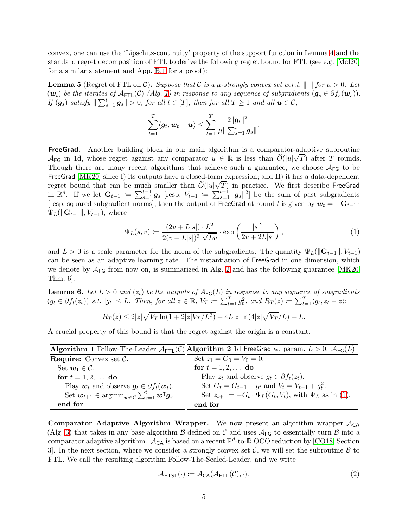convex, one can use the 'Lipschitz-continuity' property of the support function in Lemma [4](#page-3-2) and the standard regret decomposition of FTL to derive the following regret bound for FTL (see e.g. [\[Mol20\]](#page-15-5) for a similar statement and App. [B.1](#page-17-1) for a proof):

<span id="page-4-4"></span>**Lemma 5** (Regret of FTL on  $\mathcal{C}$ ). Suppose that C is a  $\mu$ -strongly convex set w.r.t.  $\|\cdot\|$  for  $\mu > 0$ . Let  $(w_t)$  be the iterates of  $\mathcal{A}_{\text{FTL}}(\mathcal{C})$  (Alg. [1\)](#page-4-0) in response to any sequence of subgradients  $(g_s \in \partial f_s(w_s))$ . If  $(g_s)$  satisfy  $\|\sum_{s=1}^t g_s\| > 0$ , for all  $t \in [T]$ , then for all  $T \ge 1$  and all  $u \in C$ ,

$$
\sum_{t=1}^T \langle \boldsymbol{g}_t, \boldsymbol{w}_t - \boldsymbol{u} \rangle \leq \sum_{t=1}^T \frac{2\|\boldsymbol{g}_t\|^2}{\mu \|\sum_{s=1}^t \boldsymbol{g}_s\|}.
$$

**FreeGrad.** Another building block in our main algorithm is a comparator-adaptive subroutine AFG in 1d, whose regret against any comparator  $u \in \mathbb{R}$  is less than  $\tilde{O}(|u|\sqrt{T})$  after T rounds. Though there are many recent algorithms that achieve such a guarantee, we choose  $A_{FG}$  to be FreeGrad [\[MK20\]](#page-14-8) since I] its outputs have a closed-form expression; and II) it has a data-dependent regret bound that can be much smaller than  $\tilde{O}(|u|\sqrt{T})$  in practice. We first describe FreeGrad in  $\mathbb{R}^d$ . If we let  $\mathbf{G}_{t-1} := \sum_{s=1}^{t-1} g_s$  [resp.  $V_{t-1} := \sum_{s=1}^{t-1} ||g_s||^2$ ] be the sum of past subgradients [resp. squared subgradient norms], then the output of FreeGrad at round t is given by  $w_t = -G_{t-1}$ .  $\Psi_L(\|\mathbf{G}_{t-1}\|, V_{t-1}),$  where

<span id="page-4-2"></span>
$$
\Psi_L(s, v) := \frac{(2v + L|s|) \cdot L^2}{2(v + L|s|)^2 \sqrt{Lv}} \cdot \exp\left(\frac{|s|^2}{2v + 2L|s|}\right),\tag{1}
$$

and  $L > 0$  is a scale parameter for the norm of the subgradients. The quantity  $\Psi_L(||\mathbf{G}_{t-1}||, V_{t-1})$ can be seen as an adaptive learning rate. The instantiation of FreeGrad in one dimension, which we denote by  $A_{FG}$  from now on, is summarized in Alg. [2](#page-4-1) and has the following guarantee [\[MK20,](#page-14-8) Thm. 6]:

<span id="page-4-5"></span>**Lemma 6.** Let  $L > 0$  and  $(z_t)$  be the outputs of  $\mathcal{A}_{\mathsf{FG}}(L)$  in response to any sequence of subgradients  $(g_t \in \partial f_t(z_t))$  s.t.  $|g_t| \leq L$ . Then, for all  $z \in \mathbb{R}$ ,  $V_T \coloneqq \sum_{t=1}^T g_t^2$ , and  $R_T(z) \coloneqq \sum_{t=1}^T \langle g_t, z_t - z \rangle$ :

<span id="page-4-1"></span>
$$
R_T(z) \le 2|z|\sqrt{V_T \ln(1+2|z|V_T/L^2)} + 4L|z| \ln(4|z|\sqrt{V_T}/L) + L.
$$

A crucial property of this bound is that the regret against the origin is a constant.

<span id="page-4-0"></span>

|                                                                                                 | Algorithm 1 Follow-The-Leader $\mathcal{A}_{\text{FTL}}(\mathcal{C})$ Algorithm 2 1d FreeGrad w. param. $L > 0$ . $\mathcal{A}_{\text{FG}}(L)$ |
|-------------------------------------------------------------------------------------------------|------------------------------------------------------------------------------------------------------------------------------------------------|
| <b>Require:</b> Convex set $C$ .                                                                | Set $z_1 = G_0 = V_0 = 0$ .                                                                                                                    |
| Set $w_1 \in \mathcal{C}$ .                                                                     | for $t = 1, 2, $ do                                                                                                                            |
| for $t = 1, 2, $ do                                                                             | Play $z_t$ and observe $g_t \in \partial f_t(z_t)$ .                                                                                           |
| Play $w_t$ and observe $g_t \in \partial f_t(w_t)$ .                                            | Set $G_t = G_{t-1} + g_t$ and $V_t = V_{t-1} + g_t^2$ .                                                                                        |
| Set $w_{t+1} \in \operatorname{argmin}_{w \in \mathcal{C}} \sum_{s=1}^{t} w^{\mathsf{T}} g_s$ . | Set $z_{t+1} = -G_t \cdot \Psi_L(G_t, V_t)$ , with $\Psi_L$ as in (1).                                                                         |
| end for                                                                                         | end for                                                                                                                                        |

**Comparator Adaptive Algorithm Wrapper.** We now present an algorithm wrapper  $A_{CA}$ (Alg. [3\)](#page-5-1) that takes in any base algorithm  $\beta$  defined on C and uses  $A_{\text{FG}}$  to essentially turn  $\beta$  into a comparator adaptive algorithm.  $A_{\text{CA}}$  is based on a recent  $\mathbb{R}^d$ -to- $\mathbb{R}$  OCO reduction by [\[CO18,](#page-12-6) Section 3. In the next section, where we consider a strongly convex set  $\mathcal{C}$ , we will set the subroutine  $\mathcal{B}$  to FTL. We call the resulting algorithm Follow-The-Scaled-Leader, and we write

<span id="page-4-3"></span>
$$
\mathcal{A}_{\text{FTSL}}(\cdot) := \mathcal{A}_{\text{CA}}(\mathcal{A}_{\text{FTL}}(\mathcal{C}), \cdot). \tag{2}
$$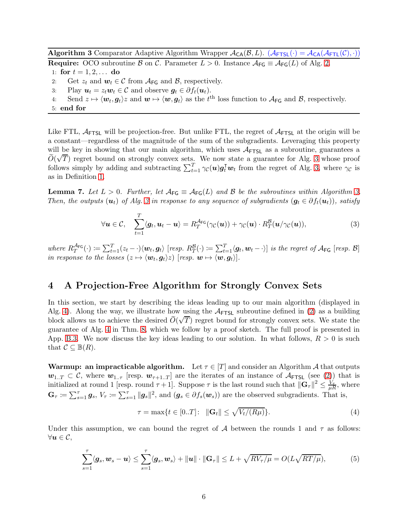<span id="page-5-1"></span>Algorithm 3 Comparator Adaptive Algorithm Wrapper  $A_{CA}(\mathcal{B}, L)$ .  $(A_{FTSL}(\cdot) = A_{CA}(A_{FTL}(\mathcal{C}), \cdot))$ **Require:** OCO subroutine B on C. Parameter  $L > 0$ . Instance  $A_{FG} \equiv A_{FG}(L)$  of Alg. [2.](#page-4-1)

1: for  $t = 1, 2, ...$  do

- 2: Get  $z_t$  and  $\boldsymbol{w}_t \in \mathcal{C}$  from  $\mathcal{A}_{\mathsf{FG}}$  and  $\mathcal{B}$ , respectively.<br>3: Play  $\boldsymbol{u}_t = z_t \boldsymbol{w}_t \in \mathcal{C}$  and observe  $\boldsymbol{q}_t \in \partial f_t(\boldsymbol{u}_t)$ .
- 3: Play  $u_t = z_t w_t \in C$  and observe  $g_t \in \partial f_t(u_t)$ .<br>4: Send  $z \mapsto \langle w_t, q_t \rangle z$  and  $w \mapsto \langle w, q_t \rangle$  as the  $t^t$
- 4: Send  $z \mapsto \langle w_t, g_t \rangle z$  and  $w \mapsto \langle w, g_t \rangle$  as the  $t^{\text{th}}$  loss function to  $\mathcal{A}_{\text{FG}}$  and  $\mathcal{B}$ , respectively.

Like FTL,  $A_{\text{FTSL}}$  will be projection-free. But unlike FTL, the regret of  $A_{\text{FTSL}}$  at the origin will be a constant—regardless of the magnitude of the sum of the subgradients. Leveraging this property will be key in showing that our main algorithm, which uses  $A_{\text{FTSL}}$  as a subroutine, guarantees a  $\widetilde{O}(\sqrt{T})$  regret bound on strongly convex sets. We now state a guarantee for Alg. [3](#page-5-1) whose proof follows simply by adding and subtracting  $\sum_{t=1}^{T} \gamma_{\mathcal{C}}(u) g_t^{\mathsf{T}} w_t$  from the regret of Alg. [3,](#page-5-1) where  $\gamma_{\mathcal{C}}$  is as in Definition [1.](#page-3-3)

<span id="page-5-2"></span>**Lemma 7.** Let  $L > 0$ . Further, let  $\mathcal{A}_{FG} \equiv \mathcal{A}_{FG}(L)$  and B be the subroutines within Algorithm [3.](#page-5-1) Then, the outputs  $(u_t)$  of Alg. [3](#page-5-1) in response to any sequence of subgradients  $(g_t \in \partial f_t(u_t))$ , satisfy

<span id="page-5-5"></span>
$$
\forall \mathbf{u} \in \mathcal{C}, \quad \sum_{t=1}^{T} \langle \mathbf{g}_t, \mathbf{u}_t - \mathbf{u} \rangle = R_T^{\mathcal{A}_{\text{FG}}}(\gamma_{\mathcal{C}}(\mathbf{u})) + \gamma_{\mathcal{C}}(\mathbf{u}) \cdot R_T^{\mathcal{B}}(\mathbf{u}/\gamma_{\mathcal{C}}(\mathbf{u})), \tag{3}
$$

where  $R_T^{\mathcal{A}_{FG}}(\cdot) \coloneqq \sum_{t=1}^T (z_t - \cdot) \langle \boldsymbol{w}_t, \boldsymbol{g}_t \rangle$  [resp.  $R_T^{\mathcal{B}}(\cdot) \coloneqq \sum_{t=1}^T \langle \boldsymbol{g}_t, \boldsymbol{w}_t - \cdot \rangle$ ] is the regret of  $\mathcal{A}_{FG}$  [resp.  $\mathcal{B}$ ] in response to the losses  $(z \mapsto \langle \boldsymbol{w}_t, \boldsymbol{g}_t \rangle z)$  [resp.  $\boldsymbol{w} \mapsto \langle \boldsymbol{w}, \boldsymbol{g}_t \rangle$ ].

## <span id="page-5-0"></span>4 A Projection-Free Algorithm for Strongly Convex Sets

In this section, we start by describing the ideas leading up to our main algorithm (displayed in Alg. [4\)](#page-7-1). Along the way, we illustrate how using the  $A_{\text{FTSL}}$  subroutine defined in [\(2\)](#page-4-3) as a building block allows us to achieve the desired  $\tilde{O}(\sqrt{T})$  regret bound for strongly convex sets. We state the guarantee of Alg. [4](#page-7-1) in Thm. [8,](#page-7-0) which we follow by a proof sketch. The full proof is presented in App. [B.3.](#page-17-2) We now discuss the key ideas leading to our solution. In what follows,  $R > 0$  is such that  $C \subseteq \mathbb{B}(R)$ .

**Warmup: an impracticable algorithm.** Let  $\tau \in [T]$  and consider an Algorithm A that outputs  $w_{1,T} \subset \mathcal{C}$ , where  $w_{1,\tau}$  [resp.  $w_{\tau+1,T}$ ] are the iterates of an instance of  $\mathcal{A}_{\text{FTSL}}$  (see [\(2\)](#page-4-3)) that is initialized at round 1 [resp. round  $\tau + 1$ ]. Suppose  $\tau$  is the last round such that  $\|\mathbf{G}_{\tau}\|^2 \leq \frac{\dot{V}_{\tau}}{\mu R}$ , where  $\mathbf{G}_{\tau} \coloneqq \sum_{s=1}^{\tau} g_s$ ,  $V_{\tau} \coloneqq \sum_{s=1}^{\tau} ||g_s||^2$ , and  $(g_s \in \partial f_s(\boldsymbol{w}_s))$  are the observed subgradients. That is,

<span id="page-5-4"></span><span id="page-5-3"></span>
$$
\tau = \max\{t \in [0..T] : \|\mathbf{G}_t\| \le \sqrt{V_t/(R\mu)}\}.
$$
\n(4)

Under this assumption, we can bound the regret of A between the rounds 1 and  $\tau$  as follows:  $\forall u \in \mathcal{C},$ 

$$
\sum_{s=1}^{\tau} \langle \mathbf{g}_s, \mathbf{w}_s - \mathbf{u} \rangle \leq \sum_{s=1}^{\tau} \langle \mathbf{g}_s, \mathbf{w}_s \rangle + ||\mathbf{u}|| \cdot ||\mathbf{G}_{\tau}|| \leq L + \sqrt{RV_{\tau}/\mu} = O(L\sqrt{RT/\mu}), \tag{5}
$$

<sup>5:</sup> end for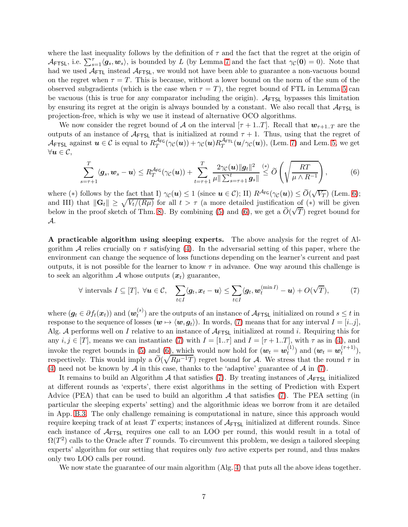where the last inequality follows by the definition of  $\tau$  and the fact that the regret at the origin of  $\mathcal{A}_{\text{FTSL}}$ , i.e.  $\sum_{s=1}^{\tau} \langle g_s, w_s \rangle$ , is bounded by L (by Lemma [7](#page-5-2) and the fact that  $\gamma_{\mathcal{C}}(0) = 0$ ). Note that had we used  $A_{\text{FTL}}$  instead  $A_{\text{FTSL}}$ , we would not have been able to guarantee a non-vacuous bound on the regret when  $\tau = T$ . This is because, without a lower bound on the norm of the sum of the observed subgradients (which is the case when  $\tau = T$ ), the regret bound of FTL in Lemma [5](#page-4-4) can be vacuous (this is true for any comparator including the origin).  $A_{\text{FTSL}}$  bypasses this limitation by ensuring its regret at the origin is always bounded by a constant. We also recall that  $A_{\text{FTSL}}$  is projection-free, which is why we use it instead of alternative OCO algorithms.

We now consider the regret bound of A on the interval  $[\tau + 1..T]$ . Recall that  $w_{\tau+1}$ , are the outputs of an instance of  $A$ <sub>FTSL</sub> that is initialized at round  $\tau + 1$ . Thus, using that the regret of  $\mathcal{A}_{\text{FTSL}}$  against  $u \in \mathcal{C}$  is equal to  $R_T^{\mathcal{A}_{\text{FG}}}(\gamma_{\mathcal{C}}(u)) + \gamma_{\mathcal{C}}(u)R_T^{\mathcal{A}_{\text{FTL}}}(u/\gamma_{\mathcal{C}}(u))$ , (Lem. [7\)](#page-5-2) and Lem. [5,](#page-4-4) we get  $\forall u \in \mathcal{C},$ 

<span id="page-6-0"></span>
$$
\sum_{s=\tau+1}^T \langle \mathbf{g}_s, \mathbf{w}_s - \mathbf{u} \rangle \leq R_T^{\mathcal{A}_{\mathsf{FG}}}(\gamma_{\mathcal{C}}(\mathbf{u})) + \sum_{t=\tau+1}^T \frac{2\gamma_{\mathcal{C}}(\mathbf{u})\|\mathbf{g}_t\|^2}{\mu \|\sum_{s=\tau+1}^t \mathbf{g}_s\|} \leq \widetilde{O}\left(\sqrt{\frac{RT}{\mu \wedge R^{-1}}}\right),\tag{6}
$$

where (\*) follows by the fact that I)  $\gamma_{\mathcal{C}}(u) \leq 1$  (since  $u \in \mathcal{C}$ ); II)  $R^{\mathcal{A}_{\mathsf{FG}}}(\gamma_{\mathcal{C}}(u)) \leq \widetilde{O}(\sqrt{V_T})$  (Lem. [6\)](#page-4-5); and III) that  $\|\mathbf{G}_t\| \geq \sqrt{V_t/(R\mu)}$  for all  $t > \tau$  (a more detailed justification of (\*) will be given below in the proof sketch of Thm. [8\)](#page-7-0). By combining [\(5\)](#page-5-3) and [\(6\)](#page-6-0), we get a  $\tilde{O}(\sqrt{T})$  regret bound for A.

A practicable algorithm using sleeping experts. The above analysis for the regret of Algorithm A relies crucially on  $\tau$  satisfying [\(4\)](#page-5-4). In the adversarial setting of this paper, where the environment can change the sequence of loss functions depending on the learner's current and past outputs, it is not possible for the learner to know  $\tau$  in advance. One way around this challenge is to seek an algorithm A whose outputs  $(x_t)$  guarantee,

<span id="page-6-1"></span>
$$
\forall \text{ intervals } I \subseteq [T], \ \forall \boldsymbol{u} \in \mathcal{C}, \quad \sum_{t \in I} \langle \boldsymbol{g}_t, \boldsymbol{x}_t - \boldsymbol{u} \rangle \leq \sum_{t \in I} \langle \boldsymbol{g}_t, \boldsymbol{w}_t^{(\min I)} - \boldsymbol{u} \rangle + O(\sqrt{T}), \tag{7}
$$

where  $(\boldsymbol{g}_t \in \partial f_t(\boldsymbol{x}_t))$  and  $(\boldsymbol{w}_t^{(s)})$  $t^{(s)}$  are the outputs of an instance of  $A$ <sub>FTSL</sub> initialized on round  $s \leq t$  in response to the sequence of losses  $(\mathbf{w} \mapsto \langle \mathbf{w}, \mathbf{q}_t \rangle)$ . In words, [\(7\)](#page-6-1) means that for any interval  $I = [i..j]$ . Alg. A performs well on I relative to an instance of  $A_{\text{FTSL}}$  initialized at round i. Requiring this for any  $i, j \in [T]$ , means we can instantiate [\(7\)](#page-6-1) with  $I = [1.. \tau]$  and  $I = [\tau + 1..T]$ , with  $\tau$  as in [\(4\)](#page-5-4), and invoke the regret bounds in [\(5\)](#page-5-3) and [\(6\)](#page-6-0), which would now hold for  $(\mathbf{w}_t = \mathbf{w}_t^{(1)})$  $t_t^{(1)}$  and  $(\boldsymbol{w}_t = \boldsymbol{w}_t^{(\tau+1)})$  $\binom{7+1}{t},$ respectively. This would imply a  $\tilde{O}(\sqrt{R\mu^{-1}T})$  regret bound for A. We stress that the round  $\tau$  in [\(4\)](#page-5-4) need not be known by A in this case, thanks to the 'adaptive' guarantee of A in [\(7\)](#page-6-1).

It remains to build an Algorithm  $A$  that satisfies [\(7\)](#page-6-1). By treating instances of  $A_{\text{FTSL}}$  initialized at different rounds as 'experts', there exist algorithms in the setting of Prediction with Expert Advice (PEA) that can be used to build an algorithm  $A$  that satisfies [\(7\)](#page-6-1). The PEA setting (in particular the sleeping experts' setting) and the algorithmic ideas we borrow from it are detailed in App. [B.3.](#page-17-2) The only challenge remaining is computational in nature, since this approach would require keeping track of at least T experts; instances of  $A_{\text{FTSL}}$  initialized at different rounds. Since each instance of  $A_{\text{FTSL}}$  requires one call to an LOO per round, this would result in a total of  $\Omega(T^2)$  calls to the Oracle after T rounds. To circumvent this problem, we design a tailored sleeping experts' algorithm for our setting that requires only two active experts per round, and thus makes only two LOO calls per round.

We now state the guarantee of our main algorithm  $(A|g, 4)$  $(A|g, 4)$  that puts all the above ideas together.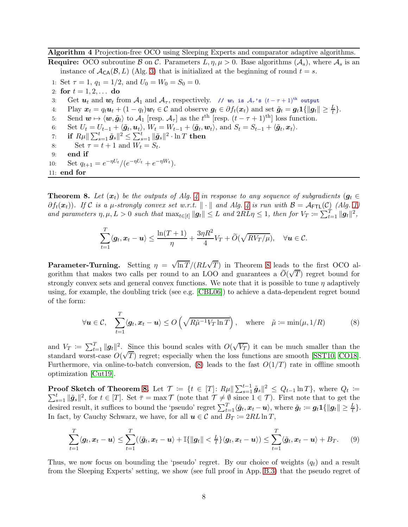<span id="page-7-1"></span>Algorithm 4 Projection-free OCO using Sleeping Experts and comparator adaptive algorithms.

**Require:** OCO subroutine B on C. Parameters  $L, \eta, \mu > 0$ . Base algorithms  $(\mathcal{A}_s)$ , where  $\mathcal{A}_s$  is an instance of  $\mathcal{A}_{\mathsf{CA}}(\mathcal{B}, L)$  (Alg. [3\)](#page-5-1) that is initialized at the beginning of round  $t = s$ .

1: Set  $\tau = 1$ ,  $q_1 = 1/2$ , and  $U_0 = W_0 = S_0 = 0$ .

- 2: for  $t = 1, 2, ...$  do
- 3: Get  $u_t$  and  $w_t$  from  $\mathcal{A}_1$  and  $\mathcal{A}_{\tau}$ , respectively. //  $w_t$  is  $\mathcal{A}_{\tau}$ 's  $(t-\tau+1)^{th}$  output
- 4: Play  $\mathbf{x}_t = q_t \mathbf{u}_t + (1 q_t) \mathbf{w}_t \in \mathcal{C}$  and observe  $\mathbf{g}_t \in \partial f_t(\mathbf{x}_t)$  and set  $\tilde{\mathbf{g}}_t = \mathbf{g}_t \mathbf{1} \{ \|\mathbf{g}_t\| \geq \frac{L}{t} \}.$
- 5: Send  $\mathbf{w} \mapsto \langle \mathbf{w}, \tilde{\mathbf{g}}_t \rangle$  to  $\mathcal{A}_1$  [resp.  $\mathcal{A}_{\tau}$ ] as the  $t^{\text{th}}$  [resp.  $(t \tau + 1)^{\text{th}}$ ] loss function.
- 6: Set  $U_t = U_{t-1} + \langle \tilde{g}_t, \mathbf{u}_t \rangle$ ,  $W_t = W_{t-1} + \langle \tilde{g}_t, \mathbf{w}_t \rangle$ , and  $S_t = S_{t-1} + \langle \tilde{g}_t, \mathbf{x}_t \rangle$ .
- 7: if  $R \mu \| \sum_{s=1}^t \tilde{\bm{g}}_s \|^2 \leq \sum_{s=1}^t \| \tilde{\bm{g}}_s \|^2 \cdot \ln T$  then
- 8: Set  $\tau = t + 1$  and  $W_t = S_t$ .
- 9: end if
- 10: Set  $q_{t+1} = e^{-\eta U_t} / (e^{-\eta U_t} + e^{-\eta W_t}).$

11: end for

<span id="page-7-0"></span>**Theorem 8.** Let  $(x_t)$  be the outputs of Alg. [4](#page-7-1) in response to any sequence of subgradients  $(g_t \in$  $\partial f_t(x_t)$ ). If C is a  $\mu$ -strongly convex set w.r.t.  $\|\cdot\|$  and Alg. [4](#page-7-1) is run with  $\mathcal{B} = \mathcal{A}_{\text{FTL}}(\mathcal{C})$  (Alg. [1\)](#page-4-0) and parameters  $\eta, \mu, L > 0$  such that  $\max_{t \in [t]} ||g_t|| \leq L$  and  $2RL\eta \leq 1$ , then for  $V_T := \sum_{t=1}^T ||g_t||^2$ ,

<span id="page-7-2"></span>
$$
\sum_{t=1}^T \langle \mathbf{g}_t, \mathbf{x}_t - \mathbf{u} \rangle \le \frac{\ln(T+1)}{\eta} + \frac{3\eta R^2}{4} V_T + \widetilde{O}(\sqrt{RV_T/\mu}), \quad \forall \mathbf{u} \in \mathcal{C}.
$$

**Parameter-Turning.** Setting  $\eta = \sqrt{\ln T}/(RL\sqrt{T})$  in Theorem [8](#page-7-0) leads to the first OCO algorithm that makes two calls per round to an LOO and guarantees a  $\tilde{O}(\sqrt{T})$  regret bound for strongly convex sets and general convex functions. We note that it is possible to tune  $\eta$  adaptively using, for example, the doubling trick (see e.g. [\[CBL06\]](#page-12-8)) to achieve a data-dependent regret bound of the form:

$$
\forall \mathbf{u} \in \mathcal{C}, \quad \sum_{t=1}^{T} \langle \mathbf{g}_t, \mathbf{x}_t - \mathbf{u} \rangle \le O\left(\sqrt{R\tilde{\mu}^{-1}V_T \ln T}\right), \quad \text{where} \quad \tilde{\mu} := \min(\mu, 1/R) \tag{8}
$$

and  $V_T := \sum_{t=1}^T ||g_t||^2$ . Since this bound scales with  $O(\sqrt{V_T})$  it can be much smaller than the standard worst-case  $O(\sqrt{T})$  regret; especially when the loss functions are smooth [\[SST10,](#page-15-11) [CO18\]](#page-12-6). Furthermore, via online-to-batch conversion, [\(8\)](#page-7-2) leads to the fast  $O(1/T)$  rate in offline smooth optimization [\[Cut19\]](#page-12-1).

Proof Sketch of Theorem [8.](#page-7-0) Let  $\mathcal{T} := \{t \in [T]: R\mu \|\sum_{s=1}^{t-1} \tilde{g}_s\|^2 \leq Q_{t-1} \ln T\}$ , where  $Q_t$  $\sum$ coof Sketch of Theorem 8. Let  $\mathcal{T} := \{ t \in [T] : R\mu \|\sum_{s=1}^{t-1} \tilde{g}_s\|^2 \leq Q_{t-1} \ln T \}$ , where  $Q_t := \frac{t}{s-1} \|\tilde{g}_s\|^2$ , for  $t \in [T]$ . Set  $\bar{\tau} = \max \mathcal{T}$  (note that  $\mathcal{T} \neq \emptyset$  since  $1 \in \mathcal{T}$ ). First note that to ge desired result, it suffices to bound the 'pseudo' regret  $\sum_{t=1}^{T} \langle \tilde{\boldsymbol{g}}_t, \boldsymbol{x}_t - \boldsymbol{u} \rangle$ , where  $\tilde{\boldsymbol{g}}_t := \boldsymbol{g}_t \mathbf{1} \{ || \boldsymbol{g}_t || \geq \frac{L}{t} \}$ . In fact, by Cauchy Schwarz, we have, for all  $u \in \mathcal{C}$  and  $B_T \coloneqq 2RL \ln T$ ,

<span id="page-7-3"></span>
$$
\sum_{t=1}^T \langle \boldsymbol{g}_t, \boldsymbol{x}_t - \boldsymbol{u} \rangle \leq \sum_{t=1}^T (\langle \tilde{\boldsymbol{g}}_t, \boldsymbol{x}_t - \boldsymbol{u} \rangle + \mathbb{I} \{ \|\boldsymbol{g}_t\| < \frac{L}{t} \} \langle \boldsymbol{g}_t, \boldsymbol{x}_t - \boldsymbol{u} \rangle) \leq \sum_{t=1}^T \langle \tilde{\boldsymbol{g}}_t, \boldsymbol{x}_t - \boldsymbol{u} \rangle + B_T. \tag{9}
$$

Thus, we now focus on bounding the 'pseudo' regret. By our choice of weights  $(q_t)$  and a result from the Sleeping Experts' setting, we show (see full proof in App. [B.3\)](#page-17-2) that the pseudo regret of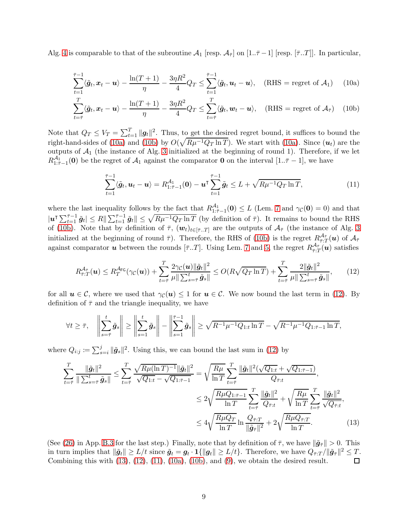Alg. [4](#page-7-1) is comparable to that of the subroutine  $\mathcal{A}_1$  [resp.  $\mathcal{A}_{\bar{\tau}}$ ] on [1.. $\bar{\tau}$  – 1] [resp. [ $\bar{\tau}$ ...*T*]]. In particular,

$$
\sum_{t=1}^{\bar{\tau}-1} \langle \tilde{\boldsymbol{g}}_t, \boldsymbol{x}_t - \boldsymbol{u} \rangle - \frac{\ln(T+1)}{\eta} - \frac{3\eta R^2}{4} Q_T \le \sum_{t=1}^{\bar{\tau}-1} \langle \tilde{\boldsymbol{g}}_t, \boldsymbol{u}_t - \boldsymbol{u} \rangle, \quad (\text{RHS} = \text{regret of } \mathcal{A}_1) \tag{10a}
$$

$$
\sum_{t=\bar{\tau}}^{T} \langle \tilde{\boldsymbol{g}}_t, \boldsymbol{x}_t - \boldsymbol{u} \rangle - \frac{\ln(T+1)}{\eta} - \frac{3\eta R^2}{4} Q_T \le \sum_{t=\bar{\tau}}^{T} \langle \tilde{\boldsymbol{g}}_t, \boldsymbol{w}_t - \boldsymbol{u} \rangle, \quad (\text{RHS} = \text{regret of } \mathcal{A}_{\bar{\tau}}) \quad (10b)
$$

Note that  $Q_T \le V_T = \sum_{t=1}^T ||g_t||^2$ . Thus, to get the desired regret bound, it suffices to bound the right-hand-sides of [\(10a\)](#page-8-0) and [\(10b\)](#page-8-1) by  $O(\sqrt{R\mu^{-1}Q_T \ln T})$ . We start with (10a). Since  $(u_t)$  are the outputs of  $A_1$  (the instance of Alg. [3](#page-5-1) initialized at the beginning of round 1). Therefore, if we let  $R_{1:\bar{\tau}-1}^{A_1}(\mathbf{0})$  be the regret of  $A_1$  against the comparator **0** on the interval  $[1..\bar{\tau}-1]$ , we have

<span id="page-8-4"></span><span id="page-8-2"></span><span id="page-8-1"></span><span id="page-8-0"></span>
$$
\sum_{t=1}^{\bar{\tau}-1} \langle \tilde{g}_t, u_t - u \rangle = R_{1:\bar{\tau}-1}^{A_1} (0) - u^{\bar{\tau}} \sum_{t=1}^{\bar{\tau}-1} \tilde{g}_t \leq L + \sqrt{R \mu^{-1} Q_T \ln T}, \tag{11}
$$

where the last inequality follows by the fact that  $R_{1:\bar{7}-1}^{A_1}(\mathbf{0}) \leq L$  (Lem. [7](#page-5-2) and  $\gamma_{\mathcal{C}}(\mathbf{0}) = 0$ ) and that  $|u^{\intercal}\sum_{t=1}^{\bar{\tau}-1}\tilde{g}_t| \leq R \|\sum_{t=1}^{\bar{\tau}-1}\tilde{g}_t\| \leq \sqrt{R\mu^{-1}Q_T \ln T}$  (by definition of  $\bar{\tau}$ ). It remains to bound the RHS of [\(10b\)](#page-8-1). Note that by definition of  $\bar{\tau}$ ,  $(\mathbf{w}_t)_{t\in[\bar{\tau}_t,T]}$  are the outputs of  $\mathcal{A}_{\bar{\tau}}$  (the instance of Alg. [3](#page-5-1) initialized at the beginning of round  $\bar{\tau}$ ). Therefore, the RHS of [\(10b\)](#page-8-1) is the regret  $R_{\bar{\tau}:T}^{\mathcal{A}_{\bar{\tau}}}(\bm{u})$  of  $\mathcal{A}_{\bar{\tau}}$ against comparator **u** between the rounds  $[\bar{\tau}..T]$ . Using Lem. [7](#page-5-2) and [5,](#page-4-4) the regret  $R_{\bar{\tau}:T}^{\mathcal{A}_{\bar{\tau}}}(\bm{u})$  satisfies

$$
R_{\bar{\tau}:T}^{\mathcal{A}_{\bar{\tau}}}(\boldsymbol{u}) \leq R_{T}^{\mathcal{A}_{\text{FG}}}(\gamma_{\mathcal{C}}(\boldsymbol{u})) + \sum_{t=\bar{\tau}}^{T} \frac{2\gamma_{\mathcal{C}}(\boldsymbol{u})\|\tilde{\boldsymbol{g}}_{t}\|^{2}}{\mu\|\sum_{s=\bar{\tau}}^{t}\tilde{\boldsymbol{g}}_{s}\|} \leq O(R\sqrt{Q_{T}\ln T}) + \sum_{t=\bar{\tau}}^{T} \frac{2\|\tilde{\boldsymbol{g}}_{t}\|^{2}}{\mu\|\sum_{s=\bar{\tau}}^{t}\tilde{\boldsymbol{g}}_{s}\|},\qquad(12)
$$

for all  $u \in \mathcal{C}$ , where we used that  $\gamma_{\mathcal{C}}(u) \leq 1$  for  $u \in \mathcal{C}$ . We now bound the last term in [\(12\)](#page-8-2). By definition of  $\bar{\tau}$  and the triangle inequality, we have

$$
\forall t \geq \overline{\tau}, \quad \left\| \sum_{s=\overline{\tau}}^t \tilde{g}_s \right\| \geq \left\| \sum_{s=1}^t \tilde{g}_s \right\| - \left\| \sum_{s=1}^{\overline{\tau}-1} \tilde{g}_s \right\| \geq \sqrt{R^{-1} \mu^{-1} Q_{1:t} \ln T} - \sqrt{R^{-1} \mu^{-1} Q_{1:\overline{\tau}-1} \ln T},
$$

where  $Q_{i:j} \coloneqq \sum_{s=i}^j \|\tilde{\mathbf{g}}_s\|^2$ . Using this, we can bound the last sum in [\(12\)](#page-8-2) by

<span id="page-8-3"></span>
$$
\sum_{t=\bar{\tau}}^{T} \frac{\|\tilde{g}_t\|^2}{\|\sum_{s=\bar{\tau}}^t \tilde{g}_s\|} \leq \sum_{t=\bar{\tau}}^{T} \frac{\sqrt{R\mu(\ln T)^{-1}} \|\tilde{g}_t\|^2}{\sqrt{Q_{1:t}} - \sqrt{Q_{1:\bar{\tau}-1}}} = \sqrt{\frac{R\mu}{\ln T}} \sum_{t=\bar{\tau}}^{T} \frac{\|\tilde{g}_t\|^2 (\sqrt{Q_{1:t}} + \sqrt{Q_{1:\bar{\tau}-1}})}{Q_{\bar{\tau}:t}},
$$
\n
$$
\leq 2\sqrt{\frac{R\mu Q_{1:\bar{\tau}-1}}{\ln T}} \sum_{t=\bar{\tau}}^{T} \frac{\|\tilde{g}_t\|^2}{Q_{\bar{\tau}:t}} + \sqrt{\frac{R\mu}{\ln T}} \sum_{t=\bar{\tau}}^{T} \frac{\|\tilde{g}_t\|^2}{\sqrt{Q_{\bar{\tau}:t}}},
$$
\n
$$
\leq 4\sqrt{\frac{R\mu Q_T}{\ln T}} \ln \frac{Q_{\bar{\tau}:T}}{\|\tilde{g}_t\|^2} + 2\sqrt{\frac{R\mu Q_{\bar{\tau}:T}}{\ln T}}. \tag{13}
$$

(See [\(26\)](#page-21-0) in App. [B.3](#page-17-2) for the last step.) Finally, note that by definition of  $\bar{\tau}$ , we have  $\|\tilde{g}_{\bar{\tau}}\| > 0$ . This in turn implies that  $\|\tilde{g}_t\| \ge L/t$  since  $\tilde{g}_t = g_t \cdot \mathbf{1}\{\|\tilde{g}_t\| \ge L/t\}$ . Therefore, we have  $Q_{\bar{\tau}:T}/\|\tilde{g}_{\bar{\tau}}\|^2 \le T$ . Combining this with  $(13)$ ,  $(12)$ ,  $(11)$ ,  $(10a)$ ,  $(10b)$ , and  $(9)$ , we obtain the desired result.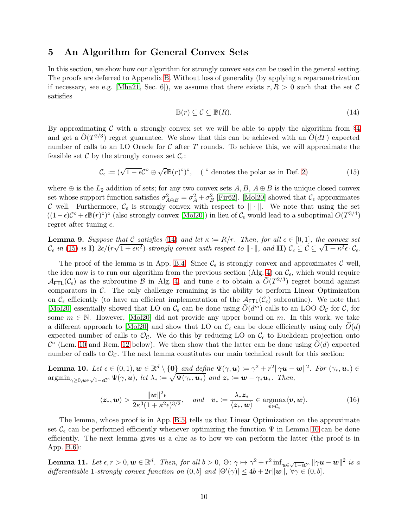## <span id="page-9-0"></span>5 An Algorithm for General Convex Sets

In this section, we show how our algorithm for strongly convex sets can be used in the general setting. The proofs are deferred to Appendix [B.](#page-17-3) Without loss of generality (by applying a reparametrization if necessary, see e.g. [\[Mha21,](#page-14-6) Sec. 6]), we assume that there exists  $r, R > 0$  such that the set C satisfies

<span id="page-9-2"></span><span id="page-9-1"></span>
$$
\mathbb{B}(r) \subseteq \mathcal{C} \subseteq \mathbb{B}(R). \tag{14}
$$

By approximating  $\mathcal C$  with a strongly convex set we will be able to apply the algorithm from §[4](#page-5-0) and get a  $\widetilde{O}(T^{2/3})$  regret guarantee. We show that this can be achieved with an  $\widetilde{O}(dT)$  expected number of calls to an LO Oracle for  $\mathcal C$  after T rounds. To achieve this, we will approximate the feasible set C by the strongly convex set  $\mathcal{C}_{\epsilon}$ :

$$
\mathcal{C}_{\epsilon} := (\sqrt{1 - \epsilon} \mathcal{C}^{\circ} \oplus \sqrt{\epsilon} \mathbb{B}(r)^{\circ})^{\circ}, \quad (\circ \text{ denotes the polar as in Def. 2})
$$
 (15)

where  $\oplus$  is the  $L_2$  addition of sets; for any two convex sets  $A, B, A \oplus B$  is the unique closed convex set whose support function satisfies  $\sigma_{A\oplus B}^2 = \sigma_A^2 + \sigma_B^2$  [\[Fir62\]](#page-12-9). [\[Mol20\]](#page-15-5) showed that  $\mathcal{C}_{\epsilon}$  approximates C well. Furthermore,  $\mathcal{C}_{\epsilon}$  is strongly convex with respect to  $\|\cdot\|$ . We note that using the set  $((1 - \epsilon)\mathcal{C}^{\circ} + \epsilon \mathbb{B}(r)^{\circ})^{\circ}$  (also strongly convex [\[Mol20\]](#page-15-5)) in lieu of  $\mathcal{C}_{\epsilon}$  would lead to a suboptimal  $O(T^{3/4})$ regret after tuning  $\epsilon$ .

<span id="page-9-5"></span>**Lemma 9.** Suppose that C satisfies [\(14\)](#page-9-1) and let  $\kappa := R/r$ . Then, for all  $\epsilon \in [0,1]$ , the convex set Let  $\lim_{\epsilon \to \epsilon_0}$  in [\(15\)](#page-9-2) is **I**) 2 $\epsilon / (r\sqrt{1 + \epsilon \kappa^2})$ -strongly convex with respect to  $\|\cdot\|$ , and **II)**  $\mathcal{C}_{\epsilon} \subseteq \mathcal{C} \subseteq \sqrt{1 + \kappa^2 \epsilon} \cdot \mathcal{C}_{\epsilon}$ .

The proof of the lemma is in App. [B.4.](#page-21-1) Since  $\mathcal{C}_{\epsilon}$  is strongly convex and approximates C well, the idea now is to run our algorithm from the previous section (Alg. [4\)](#page-7-1) on  $\mathcal{C}_{\epsilon}$ , which would require  $\mathcal{A}_{\text{FTL}}(\mathcal{C}_{\epsilon})$  as the subroutine B in Alg. [4,](#page-7-1) and tune  $\epsilon$  to obtain a  $\widetilde{O}(T^{2/3})$  regret bound against comparators in C. The only challenge remaining is the ability to perform Linear Optimization on  $\mathcal{C}_{\epsilon}$  efficiently (to have an efficient implementation of the  $\mathcal{A}_{\text{FTL}}(\mathcal{C}_{\epsilon})$  subroutine). We note that [\[Mol20\]](#page-15-5) essentially showed that LO on  $\mathcal{C}_{\epsilon}$  can be done using  $\widetilde{O}(d^{m})$  calls to an LOO  $\mathcal{O}_{\mathcal{C}}$  for  $\mathcal{C}$ , for some  $m \in \mathbb{N}$ . However, [\[Mol20\]](#page-15-5) did not provide any upper bound on m. In this work, we take a different approach to [\[Mol20\]](#page-15-5) and show that LO on  $\mathcal{C}_{\epsilon}$  can be done efficiently using only  $\tilde{O}(d)$ expected number of calls to  $\mathcal{O}_{\mathcal{C}}$ . We do this by reducing LO on  $\mathcal{C}_{\epsilon}$  to Euclidean projection onto  $\mathcal{C}^{\circ}$  (Lem. [10](#page-9-3) and Rem. [12](#page-10-1) below). We then show that the latter can be done using  $O(d)$  expected number of calls to  $\mathcal{O}_{\mathcal{C}}$ . The next lemma constitutes our main technical result for this section:

<span id="page-9-3"></span>**Lemma 10.** Let  $\epsilon \in (0,1)$ ,  $\mathbf{w} \in \mathbb{R}^d \setminus \{\mathbf{0}\}$  and define  $\Psi(\gamma, \mathbf{u}) \coloneqq \gamma^2 + r^2 \|\gamma \mathbf{u} - \mathbf{w}\|^2$ . For  $(\gamma_*, \mathbf{u}_*) \in$  $\mathop{\rm argmin}_{\gamma \geq 0, \boldsymbol{u} \in \sqrt{1-\epsilon}C^{\circ}} \Psi(\gamma, \boldsymbol{u}), \; let \; \lambda_* \coloneqq \sqrt{\Psi(\gamma_*, \boldsymbol{u}_*)} \; \textit{and} \; \boldsymbol{z}_* \coloneqq \boldsymbol{w} - \gamma_* \boldsymbol{u}_*. \; \textit{Then},$ 

<span id="page-9-6"></span>
$$
\langle z_*, \mathbf{w} \rangle > \frac{\|\mathbf{w}\|^2 \epsilon}{2\kappa^3 (1 + \kappa^2 \epsilon)^{3/2}}, \quad \text{and} \quad \mathbf{v}_* \coloneqq \frac{\lambda_* z_*}{\langle z_*, \mathbf{w} \rangle} \in \underset{\mathbf{v} \in \mathcal{C}_\epsilon}{\operatorname{argmax}} \langle \mathbf{v}, \mathbf{w} \rangle. \tag{16}
$$

The lemma, whose proof is in App. [B.5,](#page-22-0) tells us that Linear Optimization on the approximate set  $\mathcal{C}_{\epsilon}$  can be performed efficiently whenever optimizing the function  $\Psi$  in Lemma [10](#page-9-3) can be done efficiently. The next lemma gives us a clue as to how we can perform the latter (the proof is in App. [B.6\)](#page-24-0):

<span id="page-9-4"></span>**Lemma 11.** Let  $\epsilon, r > 0, w \in \mathbb{R}^d$ . Then, for all  $b > 0$ ,  $\Theta: \gamma \mapsto \gamma^2 + r^2 \inf_{u \in \sqrt{1-\epsilon}C^{\circ}} ||\gamma u - w||^2$  is a differentiable 1-strongly convex function on  $(0, b]$  and  $|\Theta'(\gamma)| \le 4b + 2r||\boldsymbol{w}||$ ,  $\forall \gamma \in (0, b]$ .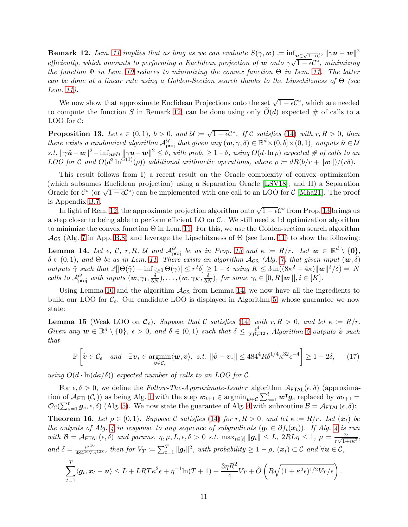<span id="page-10-1"></span>**Remark 12.** Lem. [11](#page-9-4) implies that as long as we can evaluate  $S(\gamma, \mathbf{w}) := \inf_{\mathbf{u} \in \sqrt{1-\epsilon}C^{\circ}} ||\gamma \mathbf{u} - \mathbf{w}||^2$ efficiently, which amounts to performing a Euclidean projection of w onto  $\gamma\sqrt{1-\epsilon}C^{\circ}$ , minimizing the function  $\Psi$  in Lem. [10](#page-9-3) reduces to minimizing the convex function  $\Theta$  in Lem. [11.](#page-9-4) The latter can be done at a linear rate using a Golden-Section search thanks to the Lipschitzness of  $\Theta$  (see Lem. [11\)](#page-9-4).

We now show that approximate Euclidean Projections onto the set  $\sqrt{1-\epsilon}C^{\circ}$ , which are needed to compute the function S in Remark [12,](#page-10-1) can be done using only  $\tilde{O}(d)$  expected # of calls to a LOO for  $C$ :

<span id="page-10-2"></span>**Proposition 13.** Let  $\epsilon \in (0,1)$ ,  $b > 0$ , and  $\mathcal{U} := \sqrt{1-\epsilon} \mathcal{C}^{\circ}$ . If C satisfies [\(14\)](#page-9-1) with  $r, R > 0$ , then there exists a randomized algorithm  $\mathcal{A}_{\text{proj}}^{\mathcal{U}}$  that given any  $(\boldsymbol{w}, \gamma, \delta) \in \mathbb{R}^d \times (0, b] \times (0, 1)$ , outputs  $\hat{\boldsymbol{u}} \in \mathcal{U}$ s.t.  $\|\gamma \hat{\boldsymbol{u}} - \boldsymbol{w}\|^2 - \inf_{\boldsymbol{u} \in \mathcal{U}} \|\gamma \boldsymbol{u} - \boldsymbol{w}\|^2 \le \delta$ , with prob.  $\ge 1 - \delta$ , using  $O(d \cdot \ln \rho)$  expected # of calls to an LOO for C and  $O(d^3 \ln^{O(1)}(\rho))$  additional arithmetic operations, where  $\rho \coloneqq dR(b/r + ||w||)/(r\delta)$ .

This result follows from I) a recent result on the Oracle complexity of convex optimization (which subsumes Euclidean projection) using a Separation Oracle [\[LSV18\]](#page-14-10); and II) a Separation Oracle for  $\mathcal{C}^{\circ}$  (or  $\sqrt{1-\epsilon}\mathcal{C}^{\circ}$ ) can be implemented with one call to an LOO for  $\mathcal{C}$  [\[Mha21\]](#page-14-6). The proof is Appendix [B.7.](#page-24-1)

In light of Rem. [12,](#page-10-1) the approximate projection algorithm onto  $\sqrt{1-\epsilon}C^{\circ}$  from Prop. [13](#page-10-2) brings us a step closer to being able to perform efficient LO on  $\mathcal{C}_{\epsilon}$ . We still need a 1d optimization algorithm to minimize the convex function  $\Theta$  in Lem. [11.](#page-9-4) For this, we use the Golden-section search algorithm  $\mathcal{A}_{\mathsf{GS}}$  (Alg. [7](#page-28-0) in App. [B.8\)](#page-28-1) and leverage the Lipschitzness of  $\Theta$  (see Lem. [11\)](#page-9-4) to show the following:

<span id="page-10-3"></span>**Lemma 14.** Let  $\epsilon$ , C, r, R, U and  $\mathcal{A}_{\text{proj}}^{\mathcal{U}}$  be as in Prop. [13](#page-10-2) and  $\kappa := R/r$ . Let  $\mathbf{w} \in \mathbb{R}^d \setminus \{\mathbf{0}\},\$  $\delta \in (0,1)$ , and  $\Theta$  be as in Lem. [11.](#page-9-4) There exists an algorithm  $A_{\mathsf{GS}}$  (Alg. [7\)](#page-28-0) that given input  $(\mathbf{w}, \delta)$ outputs  $\hat{\gamma}$  such that  $\mathbb{P}[\vert \Theta(\hat{\gamma}) - \inf_{\gamma \geq 0} \Theta(\gamma) \vert \leq r^2 \delta] \geq 1 - \delta$  using  $K \leq 3 \ln((8\kappa^2 + 4\kappa) \Vert \boldsymbol{w} \Vert^2 / \delta) =: N$ calls to  $\mathcal{A}_{\text{proj}}^{\mathcal{U}}$  with inputs  $(\boldsymbol{w}, \gamma_1, \frac{\delta}{5}$  $(\frac{\delta}{5N}), \ldots, (\boldsymbol{w},\gamma_K,\frac{\delta}{5N})$  $\frac{\delta}{5N}$ , for some  $\gamma_i \in [0, R||\boldsymbol{w}||, i \in [K].$ 

Using Lemma [10](#page-9-3) and the algorithm  $A_{\text{GS}}$  from Lemma [14,](#page-10-3) we now have all the ingredients to build our LOO for  $\mathcal{C}_{\epsilon}$ . Our candidate LOO is displayed in Algorithm [5,](#page-11-1) whose guarantee we now state:

<span id="page-10-4"></span>**Lemma 15** (Weak LOO on  $\mathcal{C}_{\epsilon}$ ). Suppose that C satisfies [\(14\)](#page-9-1) with  $r, R > 0$ , and let  $\kappa := R/r$ . Given any  $w \in \mathbb{R}^d \setminus \{0\}$ ,  $\epsilon > 0$ , and  $\delta \in (0,1)$  such that  $\delta \leq \frac{\epsilon^4}{29^4 \kappa^{12}}$ , Algorithm [5](#page-11-1) outputs  $\tilde{v}$  such that

<span id="page-10-5"></span>
$$
\mathbb{P}\left[\tilde{\boldsymbol{v}} \in \mathcal{C}_{\epsilon} \quad \text{and} \quad \exists \boldsymbol{v}_{*} \in \underset{\boldsymbol{v} \in \mathcal{C}_{\epsilon}}{\operatorname{argmin}} \langle \boldsymbol{w}, \boldsymbol{v} \rangle, \ \text{s.t.} \ \|\tilde{\boldsymbol{v}} - \boldsymbol{v}_{*}\| \le 484^4 R \delta^{1/4} \kappa^{32} \epsilon^{-4} \right] \ge 1 - 2\delta, \qquad (17)
$$

using  $O(d \cdot \ln(d\kappa/\delta))$  expected number of calls to an LOO for C.

For  $\epsilon, \delta > 0$ , we define the Follow-The-Approximate-Leader algorithm  $\mathcal{A}_{\text{FTAL}}(\epsilon, \delta)$  (approximation of  $\mathcal{A}_{\mathsf{FTL}}(\mathcal{C}_{\epsilon})$  as being Alg. [1](#page-4-0) with the step  $w_{t+1} \in \operatorname{argmin}_{w \in \mathcal{C}} \sum_{s=1}^{t} w^{\mathsf{T}} g_s$  replaced by  $w_{t+1} =$  $\mathcal{O}_{\mathcal{C}}(\sum_{s=1}^t \mathbf{g}_s, \epsilon, \delta)$  (Alg. [5\)](#page-11-1). We now state the guarantee of Alg. [4](#page-7-1) with subroutine  $\mathcal{B} = \mathcal{A}_{\mathsf{FTAL}}(\epsilon, \delta)$ :

<span id="page-10-0"></span>**Theorem 16.** Let  $\rho \in (0,1)$ . Suppose C satisfies [\(14\)](#page-9-1) for  $r, R > 0$ , and let  $\kappa := R/r$ . Let  $(x_t)$  be the outputs of Alg. [4](#page-7-1) in response to any sequence of subgradients  $(g_t \in \partial f_t(x_t))$ . If Alg. 4 is run with  $\mathcal{B} = \mathcal{A}_{\mathsf{FTAL}}(\epsilon, \delta)$  and params.  $\eta, \mu, L, \epsilon, \delta > 0$  s.t.  $\max_{t \in [t]} ||g_t|| \leq L$ ,  $2RL\eta \leq 1$ ,  $\mu = \frac{2\epsilon}{r\sqrt{1+t}}$  $\frac{2\epsilon}{r\sqrt{1+\epsilon\kappa^2}},$ and  $\delta = \frac{\rho \epsilon^{16}}{484^{16}T\kappa^{128}}$ , then for  $V_T := \sum_{t=1}^T ||g_t||^2$ , with probability  $\geq 1 - \rho$ ,  $(\mathbf{x}_t) \subset \mathcal{C}$  and  $\forall \mathbf{u} \in \mathcal{C}$ ,

$$
\sum_{t=1}^T \langle \mathbf{g}_t, \mathbf{x}_t - \mathbf{u} \rangle \leq L + LRT\kappa^2 \epsilon + \eta^{-1} \ln(T+1) + \frac{3\eta R^2}{4} V_T + \widetilde{O}\left(R\sqrt{(1+\kappa^2\epsilon)^{1/2}V_T/\epsilon}\right).
$$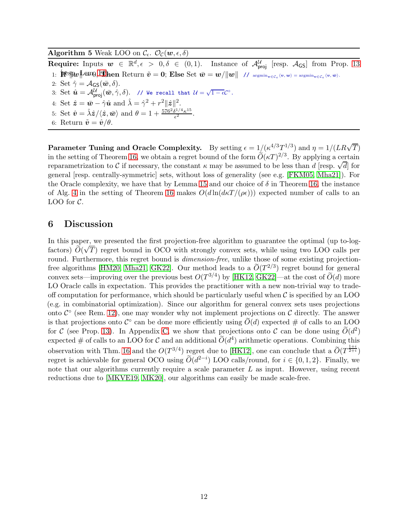## <span id="page-11-1"></span>Algorithm 5 Weak LOO on  $\mathcal{C}_{\epsilon}$ .  $\mathcal{O}_{\mathcal{C}}(\boldsymbol{w},\epsilon,\delta)$

Require: Inputs  $w \in \mathbb{R}^d, \epsilon > 0, \delta \in (0, 1)$ . Instance of  $\mathcal{A}_{\text{proj}}^{\mathcal{U}}$  [resp.  $\mathcal{A}_{\text{GS}}$ ] from Prop. [13](#page-10-2) 1: [FS|W||+||w||+|||nen Return  $\tilde{v} = 0$ ; Else Set  $\bar{w} = w/||w||$  //  $\argmin_{v \in C_{\epsilon}} \langle v, w \rangle = \argmin_{v \in C_{\epsilon}} \langle v, \bar{w} \rangle$ .

- 2: Set  $\hat{\gamma} = \mathcal{A}_{\mathsf{GS}}(\bar{\mathbf{w}}, \delta)$ .
- 3: Set  $\hat{\boldsymbol{u}} = \mathcal{A}^{\mathcal{U}}_{\text{proj}}(\bar{\boldsymbol{w}}, \hat{\gamma}, \delta)$ . // We recall that  $\mathcal{U} = \sqrt{1 \epsilon} \mathcal{C}^{\circ}$ .
- 4: Set  $\hat{\mathbf{z}} = \bar{\mathbf{w}} \hat{\gamma} \hat{\mathbf{u}}$  and  $\hat{\lambda} = \hat{\gamma}^2 + r^2 ||\hat{\mathbf{z}}||^2$ .
- 5: Set  $\hat{\boldsymbol{v}} = \hat{\lambda} \hat{\boldsymbol{z}} / \langle \hat{\boldsymbol{z}}, \bar{\boldsymbol{w}} \rangle$  and  $\theta = 1 + \frac{576^2 \delta^{1/4} \kappa^{15}}{\epsilon^2}$  $\frac{\theta^{1/4} \kappa^{10}}{\epsilon^2}$ .
- 6: Return  $\tilde{\mathbf{v}} = \hat{\mathbf{v}}/\theta$ .

Parameter Tuning and Oracle Complexity. By setting  $\epsilon = 1/(\kappa^{4/3} T^{1/3})$  and  $\eta = 1/(LR\sqrt{T})$ in the setting of Theorem [16,](#page-10-0) we obtain a regret bound of the form  $\tilde{O}(\kappa T)^{2/3}$ . By applying a certain reparametrization to C if necessary, the constant  $\kappa$  may be assumed to be less than d [resp.  $\sqrt{d}$ ] for general [resp. centrally-symmetric] sets, without loss of generality (see e.g. [\[FKM05,](#page-12-10) [Mha21\]](#page-14-6)). For the Oracle complexity, we have that by Lemma [15](#page-10-4) and our choice of  $\delta$  in Theorem [16,](#page-10-0) the instance of Alg. [4](#page-7-1) in the setting of Theorem [16](#page-10-0) makes  $O(d \ln (d \kappa T/(\rho \epsilon)))$  expected number of calls to an LOO for  $C$ .

### <span id="page-11-0"></span>6 Discussion

In this paper, we presented the first projection-free algorithm to guarantee the optimal (up to-logfactors)  $\widetilde{O}(\sqrt{T})$  regret bound in OCO with strongly convex sets, while using two LOO calls per round. Furthermore, this regret bound is *dimension-free*, unlike those of some existing projection-free algorithms [\[HM20,](#page-14-2) [Mha21,](#page-14-6) [GK22\]](#page-13-9). Our method leads to a  $\widetilde{O}(T^{2/3})$  regret bound for general convex sets—improving over the previous best  $O(T^{3/4})$  by [\[HK12,](#page-13-4) [GK22\]](#page-13-9)—at the cost of  $\widetilde{O}(d)$  more LO Oracle calls in expectation. This provides the practitioner with a new non-trivial way to tradeoff computation for performance, which should be particularly useful when  $\mathcal C$  is specified by an LOO (e.g. in combinatorial optimization). Since our algorithm for general convex sets uses projections onto  $\mathcal{C}^{\circ}$  (see Rem. [12\)](#page-10-1), one may wonder why not implement projections on  $\mathcal{C}$  directly. The answer is that projections onto  $\mathcal{C}^{\circ}$  can be done more efficiently using  $O(d)$  expected # of calls to an LOO for C (see Prop. [13\)](#page-10-2). In Appendix [C,](#page-33-0) we show that projections onto C can be done using  $\tilde{O}(d^2)$ expected # of calls to an LOO for C and an additional  $\widetilde{O}(d^4)$  arithmetic operations. Combining this observation with Thm. [16](#page-10-0) and the  $O(T^{3/4})$  regret due to [\[HK12\]](#page-13-4), one can conclude that a  $\widetilde{O}(T^{\frac{1+i}{2+i}})$ regret is achievable for general OCO using  $\widetilde{O}(d^{2-i})$  LOO calls/round, for  $i \in \{0, 1, 2\}$ . Finally, we note that our algorithms currently require a scale parameter  $L$  as input. However, using recent reductions due to [\[MKVE19,](#page-14-11) [MK20\]](#page-14-8), our algorithms can easily be made scale-free.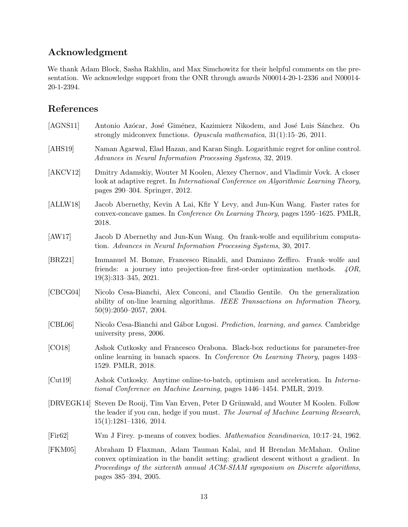# Acknowledgment

We thank Adam Block, Sasha Rakhlin, and Max Simchowitz for their helpful comments on the presentation. We acknowledge support from the ONR through awards N00014-20-1-2336 and N00014- 20-1-2394.

# References

<span id="page-12-12"></span><span id="page-12-11"></span><span id="page-12-10"></span><span id="page-12-9"></span><span id="page-12-8"></span><span id="page-12-7"></span><span id="page-12-6"></span><span id="page-12-5"></span><span id="page-12-4"></span><span id="page-12-3"></span><span id="page-12-2"></span><span id="page-12-1"></span><span id="page-12-0"></span>

| [AGNS11] | Antonio Azócar, José Giménez, Kazimierz Nikodem, and José Luis Sánchez. On<br>strongly midconvex functions. Opuscula mathematica, $31(1):15-26$ , $2011$ .                                                                                                          |
|----------|---------------------------------------------------------------------------------------------------------------------------------------------------------------------------------------------------------------------------------------------------------------------|
| [AHS19]  | Naman Agarwal, Elad Hazan, and Karan Singh. Logarithmic regret for online control.<br>Advances in Neural Information Processing Systems, 32, 2019.                                                                                                                  |
| [AKCV12] | Dmitry Adamskiy, Wouter M Koolen, Alexey Chernov, and Vladimir Vovk. A closer<br>look at adaptive regret. In <i>International Conference on Algorithmic Learning Theory</i> ,<br>pages 290–304. Springer, 2012.                                                     |
| [ALLW18] | Jacob Abernethy, Kevin A Lai, Kfir Y Levy, and Jun-Kun Wang. Faster rates for<br>convex-concave games. In Conference On Learning Theory, pages 1595–1625. PMLR,<br>2018.                                                                                            |
| [AW17]   | Jacob D Abernethy and Jun-Kun Wang. On frank-wolfe and equilibrium computa-<br>tion. Advances in Neural Information Processing Systems, 30, 2017.                                                                                                                   |
| [BRZ21]  | Immanuel M. Bomze, Francesco Rinaldi, and Damiano Zeffiro. Frank-wolfe and<br>friends: a journey into projection-free first-order optimization methods.<br>4OR,<br>$19(3):313-345, 2021.$                                                                           |
| [CBCG04] | Nicolo Cesa-Bianchi, Alex Conconi, and Claudio Gentile. On the generalization<br>ability of on-line learning algorithms. IEEE Transactions on Information Theory,<br>$50(9):2050-2057, 2004.$                                                                       |
| [CBL06]  | Nicolo Cesa-Bianchi and Gábor Lugosi. Prediction, learning, and games. Cambridge<br>university press, 2006.                                                                                                                                                         |
| [CO18]   | Ashok Cutkosky and Francesco Orabona. Black-box reductions for parameter-free<br>online learning in banach spaces. In <i>Conference On Learning Theory</i> , pages 1493–<br>1529. PMLR, 2018.                                                                       |
| [Cut19]  | Ashok Cutkosky. Anytime online-to-batch, optimism and acceleration. In Interna-<br>tional Conference on Machine Learning, pages 1446–1454. PMLR, 2019.                                                                                                              |
|          | [DRVEGK14] Steven De Rooij, Tim Van Erven, Peter D Grünwald, and Wouter M Koolen. Follow<br>the leader if you can, hedge if you must. The Journal of Machine Learning Research,<br>$15(1):1281-1316$ , 2014.                                                        |
| [First]  | Wm J Firey. p-means of convex bodies. <i>Mathematica Scandinavica</i> , 10:17-24, 1962.                                                                                                                                                                             |
| [FKM05]  | Abraham D Flaxman, Adam Tauman Kalai, and H Brendan McMahan. Online<br>convex optimization in the bandit setting: gradient descent without a gradient. In<br>Proceedings of the sixteenth annual ACM-SIAM symposium on Discrete algorithms,<br>pages 385–394, 2005. |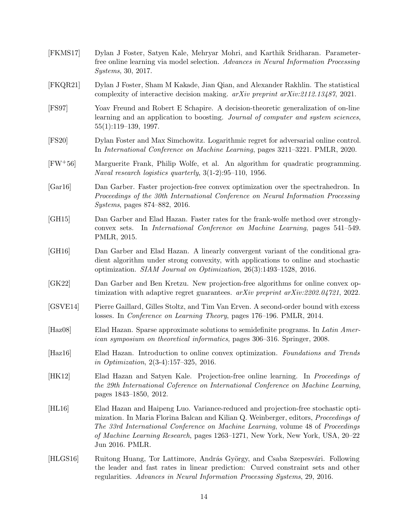<span id="page-13-14"></span><span id="page-13-13"></span><span id="page-13-12"></span><span id="page-13-11"></span><span id="page-13-10"></span><span id="page-13-9"></span><span id="page-13-8"></span><span id="page-13-7"></span><span id="page-13-6"></span><span id="page-13-5"></span><span id="page-13-4"></span><span id="page-13-3"></span><span id="page-13-2"></span><span id="page-13-1"></span><span id="page-13-0"></span>[FKMS17] Dylan J Foster, Satyen Kale, Mehryar Mohri, and Karthik Sridharan. Parameterfree online learning via model selection. Advances in Neural Information Processing Systems, 30, 2017. [FKQR21] Dylan J Foster, Sham M Kakade, Jian Qian, and Alexander Rakhlin. The statistical complexity of interactive decision making. arXiv preprint arXiv:2112.13487, 2021. [FS97] Yoav Freund and Robert E Schapire. A decision-theoretic generalization of on-line learning and an application to boosting. Journal of computer and system sciences, 55(1):119–139, 1997. [FS20] Dylan Foster and Max Simchowitz. Logarithmic regret for adversarial online control. In International Conference on Machine Learning, pages 3211–3221. PMLR, 2020. [FW+56] Marguerite Frank, Philip Wolfe, et al. An algorithm for quadratic programming. Naval research logistics quarterly, 3(1-2):95–110, 1956. [Gar16] Dan Garber. Faster projection-free convex optimization over the spectrahedron. In Proceedings of the 30th International Conference on Neural Information Processing Systems, pages 874–882, 2016. [GH15] Dan Garber and Elad Hazan. Faster rates for the frank-wolfe method over stronglyconvex sets. In International Conference on Machine Learning, pages 541–549. PMLR, 2015. [GH16] Dan Garber and Elad Hazan. A linearly convergent variant of the conditional gradient algorithm under strong convexity, with applications to online and stochastic optimization. SIAM Journal on Optimization, 26(3):1493–1528, 2016. [GK22] Dan Garber and Ben Kretzu. New projection-free algorithms for online convex optimization with adaptive regret guarantees. arXiv preprint arXiv:2202.04721, 2022. [GSVE14] Pierre Gaillard, Gilles Stoltz, and Tim Van Erven. A second-order bound with excess losses. In Conference on Learning Theory, pages 176–196. PMLR, 2014. [Haz08] Elad Hazan. Sparse approximate solutions to semidefinite programs. In Latin American symposium on theoretical informatics, pages 306–316. Springer, 2008. [Haz16] Elad Hazan. Introduction to online convex optimization. Foundations and Trends in Optimization, 2(3-4):157–325, 2016. [HK12] Elad Hazan and Satyen Kale. Projection-free online learning. In Proceedings of the 29th International Coference on International Conference on Machine Learning, pages 1843–1850, 2012. [HL16] Elad Hazan and Haipeng Luo. Variance-reduced and projection-free stochastic optimization. In Maria Florina Balcan and Kilian Q. Weinberger, editors, Proceedings of The 33rd International Conference on Machine Learning, volume 48 of Proceedings of Machine Learning Research, pages 1263–1271, New York, New York, USA, 20–22 Jun 2016. PMLR. [HLGS16] Ruitong Huang, Tor Lattimore, András György, and Csaba Szepesvári. Following the leader and fast rates in linear prediction: Curved constraint sets and other regularities. Advances in Neural Information Processing Systems, 29, 2016.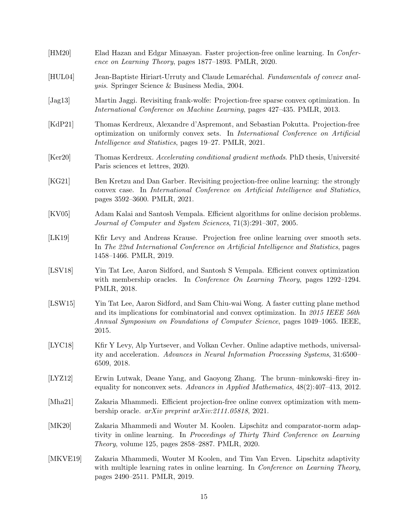<span id="page-14-13"></span><span id="page-14-12"></span><span id="page-14-11"></span><span id="page-14-10"></span><span id="page-14-9"></span><span id="page-14-8"></span><span id="page-14-7"></span><span id="page-14-6"></span><span id="page-14-5"></span><span id="page-14-4"></span><span id="page-14-3"></span><span id="page-14-2"></span><span id="page-14-1"></span><span id="page-14-0"></span>

| [HM20]   | Elad Hazan and Edgar Minasyan. Faster projection-free online learning. In Confer-<br>ence on Learning Theory, pages 1877–1893. PMLR, 2020.                                                                                                                      |
|----------|-----------------------------------------------------------------------------------------------------------------------------------------------------------------------------------------------------------------------------------------------------------------|
| [HUL04]  | Jean-Baptiste Hiriart-Urruty and Claude Lemaréchal. Fundamentals of convex anal-<br><i>ysis.</i> Springer Science & Business Media, 2004.                                                                                                                       |
| [Jag13]  | Martin Jaggi. Revisiting frank-wolfe: Projection-free sparse convex optimization. In<br>International Conference on Machine Learning, pages 427–435. PMLR, 2013.                                                                                                |
| [KdP21]  | Thomas Kerdreux, Alexandre d'Aspremont, and Sebastian Pokutta. Projection-free<br>optimization on uniformly convex sets. In <i>International Conference on Artificial</i><br>Intelligence and Statistics, pages 19–27. PMLR, 2021.                              |
| [Ker20]  | Thomas Kerdreux. Accelerating conditional gradient methods. PhD thesis, Université<br>Paris sciences et lettres, 2020.                                                                                                                                          |
| [KG21]   | Ben Kretzu and Dan Garber. Revisiting projection-free online learning: the strongly<br>convex case. In International Conference on Artificial Intelligence and Statistics,<br>pages 3592-3600. PMLR, 2021.                                                      |
| [KV05]   | Adam Kalai and Santosh Vempala. Efficient algorithms for online decision problems.<br>Journal of Computer and System Sciences, 71(3):291-307, 2005.                                                                                                             |
| [LK19]   | Kfir Levy and Andreas Krause. Projection free online learning over smooth sets.<br>In The 22nd International Conference on Artificial Intelligence and Statistics, pages<br>1458–1466. PMLR, 2019.                                                              |
| [LSV18]  | Yin Tat Lee, Aaron Sidford, and Santosh S Vempala. Efficient convex optimization<br>with membership oracles. In Conference On Learning Theory, pages 1292-1294.<br>PMLR, 2018.                                                                                  |
| [LSW15]  | Yin Tat Lee, Aaron Sidford, and Sam Chiu-wai Wong. A faster cutting plane method<br>and its implications for combinatorial and convex optimization. In $2015$ IEEE 56th<br>Annual Symposium on Foundations of Computer Science, pages 1049–1065. IEEE,<br>2015. |
| [LYC18]  | Kfir Y Levy, Alp Yurtsever, and Volkan Cevher. Online adaptive methods, universal-<br>ity and acceleration. Advances in Neural Information Processing Systems, 31:6500–<br>6509, 2018.                                                                          |
| [LYZ12]  | Erwin Lutwak, Deane Yang, and Gaoyong Zhang. The brunn-minkowski-firey in-<br>equality for nonconvex sets. Advances in Applied Mathematics, $48(2):407-413$ , $2012$ .                                                                                          |
| [Mha21]  | Zakaria Mhammedi. Efficient projection-free online convex optimization with mem-<br>bership oracle. $arXiv$ preprint $arXiv:2111.05818$ , 2021.                                                                                                                 |
| [MK20]   | Zakaria Mhammedi and Wouter M. Koolen. Lipschitz and comparator-norm adap-<br>tivity in online learning. In Proceedings of Thirty Third Conference on Learning<br>Theory, volume 125, pages 2858-2887. PMLR, 2020.                                              |
| [MKVE19] | Zakaria Mhammedi, Wouter M Koolen, and Tim Van Erven. Lipschitz adaptivity<br>with multiple learning rates in online learning. In Conference on Learning Theory,<br>pages 2490–2511. PMLR, 2019.                                                                |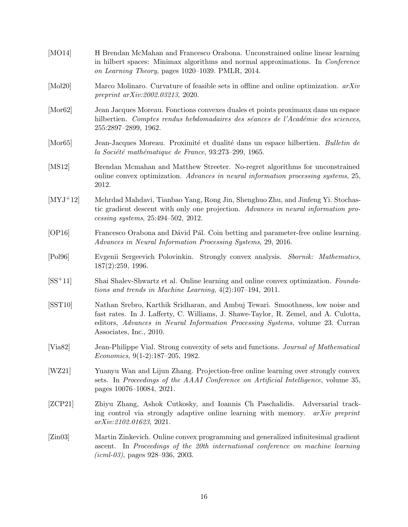<span id="page-15-13"></span><span id="page-15-12"></span><span id="page-15-11"></span><span id="page-15-10"></span><span id="page-15-9"></span><span id="page-15-8"></span><span id="page-15-7"></span><span id="page-15-6"></span><span id="page-15-5"></span><span id="page-15-4"></span><span id="page-15-3"></span><span id="page-15-2"></span><span id="page-15-1"></span><span id="page-15-0"></span>

| [MO14]           | H Brendan McMahan and Francesco Orabona. Unconstrained online linear learning<br>in hilbert spaces: Minimax algorithms and normal approximations. In <i>Conference</i><br>on Learning Theory, pages 1020–1039. PMLR, 2014.                                                       |
|------------------|----------------------------------------------------------------------------------------------------------------------------------------------------------------------------------------------------------------------------------------------------------------------------------|
| [Mol20]          | Marco Molinaro. Curvature of feasible sets in offline and online optimization. $arXiv$<br><i>preprint arXiv:2002.03213, 2020.</i>                                                                                                                                                |
| $[{\rm Mor}62]$  | Jean Jacques Moreau. Fonctions convexes duales et points proximaux dans un espace<br>hilbertien. Comptes rendus hebdomadaires des séances de l'Académie des sciences,<br>255:2897-2899, 1962.                                                                                    |
| [Mor 65]         | Jean-Jacques Moreau. Proximité et dualité dans un espace hilbertien. Bulletin de<br>la Société mathématique de France, 93:273-299, 1965.                                                                                                                                         |
| [MS12]           | Brendan Mcmahan and Matthew Streeter. No-regret algorithms for unconstrained<br>online convex optimization. Advances in neural information processing systems, 25,<br>2012.                                                                                                      |
| $[MYJ+12]$       | Mehrdad Mahdavi, Tianbao Yang, Rong Jin, Shenghuo Zhu, and Jinfeng Yi. Stochas-<br>tic gradient descent with only one projection. Advances in neural information pro-<br>$cessing$ systems, $25:494-502$ , $2012$ .                                                              |
| [OP16]           | Francesco Orabona and Dávid Pál. Coin betting and parameter-free online learning.<br>Advances in Neural Information Processing Systems, 29, 2016.                                                                                                                                |
| [Pol96]          | Evgenii Sergeevich Polovinkin. Strongly convex analysis. Sbornik: Mathematics,<br>187(2):259, 1996.                                                                                                                                                                              |
| $[SS^+11]$       | Shai Shalev-Shwartz et al. Online learning and online convex optimization. Founda-<br>tions and trends in Machine Learning, $4(2):107-194$ , 2011.                                                                                                                               |
| [ <b>SST10</b> ] | Nathan Srebro, Karthik Sridharan, and Ambuj Tewari. Smoothness, low noise and<br>fast rates. In J. Lafferty, C. Williams, J. Shawe-Taylor, R. Zemel, and A. Culotta,<br>editors, Advances in Neural Information Processing Systems, volume 23. Curran<br>Associates, Inc., 2010. |
| [Via82]          | Jean-Philippe Vial. Strong convexity of sets and functions. Journal of Mathematical<br>$Economics, 9(1-2):187-205, 1982.$                                                                                                                                                        |
| [WZ21]           | Yuanyu Wan and Lijun Zhang. Projection-free online learning over strongly convex<br>sets. In Proceedings of the AAAI Conference on Artificial Intelligence, volume 35,<br>pages 10076-10084, 2021.                                                                               |
| [ZCP21]          | Zhiyu Zhang, Ashok Cutkosky, and Ioannis Ch Paschalidis.<br>Adversarial track-<br>ing control via strongly adaptive online learning with memory.<br>$arXiv$ preprint<br>arXiv:2102.01623, 2021.                                                                                  |
| [Zin03]          | Martin Zinkevich. Online convex programming and generalized infinitesimal gradient<br>ascent. In Proceedings of the 20th international conference on machine learning<br>$(icml-03)$ , pages 928–936, 2003.                                                                      |
|                  |                                                                                                                                                                                                                                                                                  |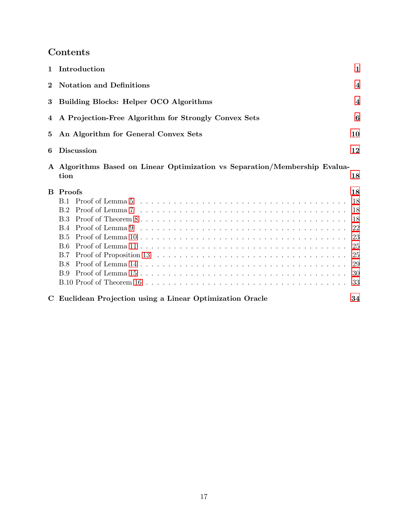# Contents

|          | 1 Introduction                                                                                             | 1                                                        |  |  |  |
|----------|------------------------------------------------------------------------------------------------------------|----------------------------------------------------------|--|--|--|
| $\bf{2}$ | <b>Notation and Definitions</b>                                                                            | $\overline{4}$                                           |  |  |  |
| 3        | <b>Building Blocks: Helper OCO Algorithms</b>                                                              |                                                          |  |  |  |
| 4        | A Projection-Free Algorithm for Strongly Convex Sets                                                       |                                                          |  |  |  |
| 5        | An Algorithm for General Convex Sets                                                                       |                                                          |  |  |  |
| 6        | <b>Discussion</b>                                                                                          |                                                          |  |  |  |
|          | A Algorithms Based on Linear Optimization vs Separation/Membership Evalua-<br>tion                         | 18                                                       |  |  |  |
|          | <b>B</b> Proofs<br><b>B.2</b><br><b>B.3</b><br><b>B.4</b><br>B.5<br>B.6<br><b>B.7</b><br><b>B.8</b><br>B.9 | 18<br>18<br>18<br>18<br>22<br>23<br>25<br>25<br>29<br>30 |  |  |  |
|          | C Euclidean Projection using a Linear Optimization Oracle                                                  | 33<br>34                                                 |  |  |  |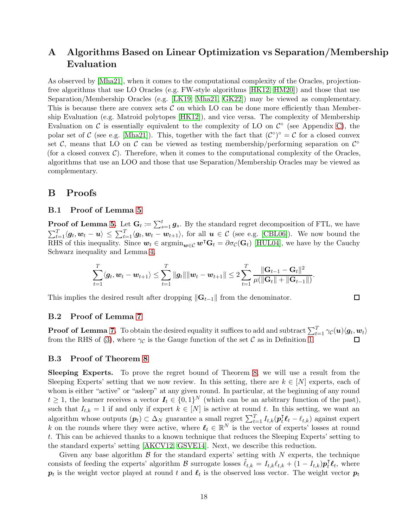## <span id="page-17-0"></span>A Algorithms Based on Linear Optimization vs Separation/Membership Evaluation

As observed by [\[Mha21\]](#page-14-6), when it comes to the computational complexity of the Oracles, projectionfree algorithms that use LO Oracles (e.g. FW-style algorithms [\[HK12,](#page-13-4) [HM20\]](#page-14-2)) and those that use Separation/Membership Oracles (e.g. [\[LK19,](#page-14-5) [Mha21,](#page-14-6) [GK22\]](#page-13-9)) may be viewed as complementary. This is because there are convex sets  $\mathcal C$  on which LO can be done more efficiently than Membership Evaluation (e.g. Matroid polytopes [\[HK12\]](#page-13-4)), and vice versa. The complexity of Membership Evaluation on  $\mathcal C$  is essentially equivalent to the complexity of LO on  $\mathcal C^{\circ}$  (see Appendix [C\)](#page-33-0), the polar set of C (see e.g. [\[Mha21\]](#page-14-6)). This, together with the fact that  $(C^{\circ})^{\circ} = C$  for a closed convex set C, means that LO on C can be viewed as testing membership/performing separation on  $\mathcal{C}^{\circ}$ (for a closed convex  $\mathcal{C}$ ). Therefore, when it comes to the computational complexity of the Oracles, algorithms that use an LOO and those that use Separation/Membership Oracles may be viewed as complementary.

## <span id="page-17-3"></span><span id="page-17-1"></span>B Proofs

### B.1 Proof of Lemma [5](#page-4-4)

**Proof of Lemma [5.](#page-4-4)** Let  $G_t := \sum_{s=1}^t g_s$ . By the standard regret decomposition of FTL, we have  $\sum_{t=1}^T \langle g_t, w_t - u \rangle \leq \sum_{t=1}^T \langle g_t, w_t - w_{t+1} \rangle$ , for all  $u \in \mathcal{C}$  (see e.g. [\[CBL06\]](#page-12-8)). We now bound the RHS of this inequality. Since  $w_t \in \operatorname{argmin}_{w \in \mathcal{C}} w^\intercal \mathbf{G}_t = \partial \sigma_{\mathcal{C}}(\mathbf{G}_t)$  [\[HUL04\]](#page-14-9), we have by the Cauchy Schwarz inequality and Lemma [4,](#page-3-2)

$$
\sum_{t=1}^T \langle \mathbf{g}_t, \mathbf{w}_t - \mathbf{w}_{t+1} \rangle \le \sum_{t=1}^T \| \mathbf{g}_t \| \|\mathbf{w}_t - \mathbf{w}_{t+1} \| \le 2 \sum_{t=1}^T \frac{\|\mathbf{G}_{t-1} - \mathbf{G}_t \|^2}{\mu (\|\mathbf{G}_t\| + \|\mathbf{G}_{t-1}\|)}.
$$

This implies the desired result after dropping  $\|\mathbf{G}_{t-1}\|$  from the denominator.

#### <span id="page-17-4"></span>B.2 Proof of Lemma [7](#page-5-2)

**Proof of Lemma [7.](#page-5-2)** To obtain the desired equality it suffices to add and subtract  $\sum_{t=1}^{T} \gamma_{\mathcal{C}}(\bm{u}) \langle \bm{g}_t, \bm{w}_t \rangle$ from the RHS of [\(3\)](#page-5-5), where  $\gamma_c$  is the Gauge function of the set C as in Definition [1.](#page-3-3)

 $\Box$ 

### <span id="page-17-2"></span>B.3 Proof of Theorem [8](#page-7-0)

Sleeping Experts. To prove the regret bound of Theorem [8,](#page-7-0) we will use a result from the Sleeping Experts' setting that we now review. In this setting, there are  $k \in [N]$  experts, each of whom is either "active" or "asleep" at any given round. In particular, at the beginning of any round  $t \geq 1$ , the learner receives a vector  $\mathbf{I}_t \in \{0,1\}^N$  (which can be an arbitrary function of the past), such that  $I_{t,k} = 1$  if and only if expert  $k \in [N]$  is active at round t. In this setting, we want an algorithm whose outputs  $(p_t) \subset \Delta_N$  guarantee a small regret  $\sum_{t=1}^T I_{t,k}(p_t^{\intercal} \ell_t - \ell_{t,k})$  against expert k on the rounds where they were active, where  $\ell_t \in \mathbb{R}^N$  is the vector of experts' losses at round t. This can be achieved thanks to a known technique that reduces the Sleeping Experts' setting to the standard experts' setting [\[AKCV12,](#page-12-7) [GSVE14\]](#page-13-13). Next, we describe this reduction.

Given any base algorithm  $\beta$  for the standard experts' setting with N experts, the technique consists of feeding the experts' algorithm B surrogate losses  $\tilde{\ell}_{t,k} = I_{t,k} \ell_{t,k} + (1 - I_{t,k}) \mathbf{p}_t^{\mathsf{T}} \mathbf{\ell}_t$ , where  $p_t$  is the weight vector played at round t and  $\ell_t$  is the observed loss vector. The weight vector  $p_t$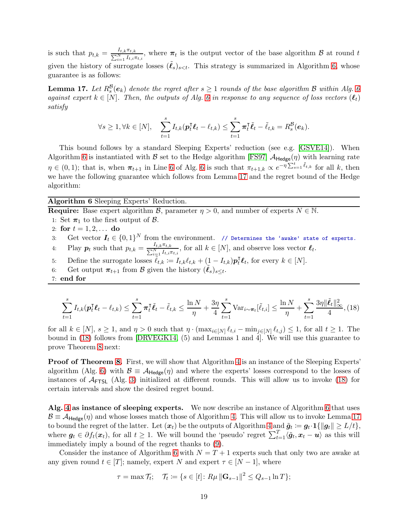is such that  $p_{t,k} = \frac{I_{t,k}\pi_{t,k}}{\sum_{i=1}^{N}I_{t,i}\pi_{t,i}}$ , where  $\pi_t$  is the output vector of the base algorithm  $\mathcal{B}$  at round t given the history of surrogate losses  $(\ell_s)_{s \leq t}$ . This strategy is summarized in Algorithm [6,](#page-18-0) whose guarantee is as follows:

<span id="page-18-2"></span>**Lemma 17.** Let  $R_s^{\mathcal{B}}(e_k)$  denote the regret after  $s \geq 1$  rounds of the base algorithm  $\mathcal{B}$  within Alg. [6](#page-18-0) against expert  $k \in [N]$ . Then, the outputs of Alg. [6](#page-18-0) in response to any sequence of loss vectors  $(\ell_t)$ satisfy

<span id="page-18-4"></span>
$$
\forall s \geq 1, \forall k \in [N], \quad \sum_{t=1}^s I_{t,k}(\boldsymbol{p}_t^{\mathsf{T}} \boldsymbol{\ell}_t - \ell_{t,k}) \leq \sum_{t=1}^s \boldsymbol{\pi}_t^{\mathsf{T}} \tilde{\boldsymbol{\ell}}_t - \tilde{\ell}_{t,k} = R_s^{\mathcal{B}}(\boldsymbol{e}_k).
$$

This bound follows by a standard Sleeping Experts' reduction (see e.g. [\[GSVE14\]](#page-13-13)). When Algorithm [6](#page-18-0) is instantiated with B set to the Hedge algorithm [\[FS97\]](#page-13-14)  $A_{\text{Hedge}}(\eta)$  with learning rate  $\eta \in (0,1)$ ; that is, when  $\pi_{t+1}$  in Line [6](#page-18-0) of Alg. 6 is such that  $\pi_{t+1,k} \propto e^{-\eta \sum_{s=1}^{t} \tilde{\ell}_{t,k}}$  for all k, then we have the following guarantee which follows from Lemma [17](#page-18-2) and the regret bound of the Hedge algorithm:

### <span id="page-18-0"></span>Algorithm 6 Sleeping Experts' Reduction.

**Require:** Base expert algorithm  $\mathcal{B}$ , parameter  $\eta > 0$ , and number of experts  $N \in \mathbb{N}$ .

- 1: Set  $\pi_1$  to the first output of  $\beta$ .
- 2: for  $t = 1, 2, ...$  do
- 3: Get vector  $I_t \in \{0,1\}^N$  from the environment. // Determines the 'awake' state of experts. 4: Play  $p_t$  such that  $p_{t,k} = \frac{I_{t,k}\pi_{t,k}}{\sum_{i=1}^N I_{t,i}\pi_{t,i}}$ , for all  $k \in [N]$ , and observe loss vector  $\ell_t$ .
- 5: Define the surrogate losses  $\tilde{\ell}_{t,k} := I_{t,k} \ell_{t,k} + (1 I_{t,k}) \mathbf{p}_t^{\mathsf{T}} \mathbf{\ell}_t$ , for every  $k \in [N]$ .
- 6: Get output  $\pi_{t+1}$  from B given the history  $(\tilde{\ell}_s)_{s\leq t}$ .
- 7: end for

<span id="page-18-3"></span><span id="page-18-1"></span>
$$
\sum_{t=1}^{s} I_{t,k}(\boldsymbol{p}_t^{\mathsf{T}} \boldsymbol{\ell}_t - \ell_{t,k}) \leq \sum_{t=1}^{s} \pi_t^{\mathsf{T}} \tilde{\ell}_t - \tilde{\ell}_{t,k} \leq \frac{\ln N}{\eta} + \frac{3\eta}{4} \sum_{t=1}^{s} \text{Var}_{i \sim \pi_t}[\tilde{\ell}_{t,i}] \leq \frac{\ln N}{\eta} + \sum_{t=1}^{s} \frac{3\eta \|\tilde{\ell}_t\|_{\infty}^2}{4}, (18)
$$

for all  $k \in [N], s \ge 1$ , and  $\eta > 0$  such that  $\eta \cdot (\max_{i \in [N]} \ell_{t,i} - \min_{j \in [N]} \ell_{t,j}) \le 1$ , for all  $t \ge 1$ . The bound in [\(18\)](#page-18-3) follows from [\[DRVEGK14,](#page-12-11) (5) and Lemmas 1 and 4]. We will use this guarantee to prove Theorem [8](#page-7-0) next:

**Proof of Theorem [8.](#page-7-0)** First, we will show that Algorithm [4](#page-7-1) is an instance of the Sleeping Experts' algorithm (Alg. [6\)](#page-18-0) with  $\mathcal{B} \equiv \mathcal{A}_{\text{Hedge}}(\eta)$  and where the experts' losses correspond to the losses of instances of  $A$ <sub>FTSL</sub> (Alg. [3\)](#page-5-1) initialized at different rounds. This will allow us to invoke [\(18\)](#page-18-3) for certain intervals and show the desired regret bound.

Alg. [4](#page-7-1) as instance of sleeping experts. We now describe an instance of Algorithm [6](#page-18-0) that uses  $\mathcal{B} \equiv \mathcal{A}_{\text{Hedge}}(\eta)$  and whose losses match those of Algorithm [4.](#page-7-1) This will allow us to invoke Lemma [17](#page-18-2) to bound the regret of the latter. Let  $(x_t)$  be the outputs of Algorithm  $4 \text{ and } \tilde{g}_t := g_t \cdot 1{\{\Vert g_t\Vert \ge L/t\}},$ where  $g_t \in \partial f_t(x_t)$ , for all  $t \geq 1$ . We will bound the 'pseudo' regret  $\sum_{t=1}^T \langle \tilde{g}_t, x_t - u \rangle$  as this will immediately imply a bound of the regret thanks to [\(9\)](#page-7-3).

Consider the instance of Algorithm [6](#page-18-0) with  $N = T + 1$  experts such that only two are awake at any given round  $t \in [T]$ ; namely, expert N and expert  $\tau \in [N-1]$ , where

$$
\tau = \max \mathcal{T}_t; \quad \mathcal{T}_t := \{ s \in [t] \colon R\mu \left\| \mathbf{G}_{s-1} \right\|^2 \leq Q_{s-1} \ln T \};
$$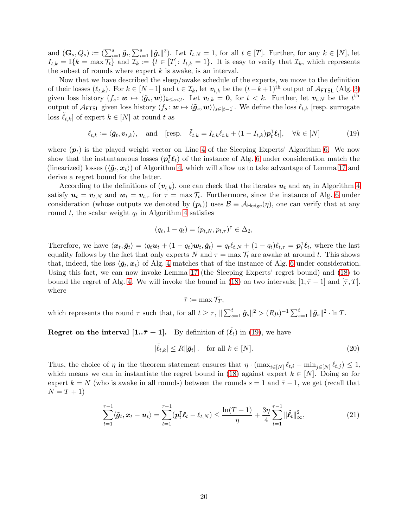and  $(\mathbf{G}_s, Q_s) \coloneqq \left( \sum_{i=1}^s \tilde{\mathbf{g}}_i, \sum_{i=1}^s \|\tilde{\mathbf{g}}_i\|^2 \right)$ . Let  $I_{t,N} = 1$ , for all  $t \in [T]$ . Further, for any  $k \in [N]$ , let  $I_{t,k} = \mathbb{I}\{k = \max T_t\}$  and  $\mathcal{I}_k := \{t \in [T]: I_{t,k} = 1\}$ . It is easy to verify that  $\mathcal{I}_k$ , which represents the subset of rounds where expert  $k$  is awake, is an interval.

Now that we have described the sleep/awake schedule of the experts, we move to the definition of their losses  $(\ell_{t,k})$ . For  $k \in [N-1]$  and  $t \in \mathcal{I}_k$ , let  $\mathbf{v}_{t,k}$  be the  $(t-k+1)$ <sup>th</sup> output of  $\mathcal{A}_{\text{FTSL}}$  (Alg. [3\)](#page-5-1) given loss history  $(f_s: \mathbf{w} \mapsto \langle \tilde{g}_s, \mathbf{w} \rangle)_{k \leq s < t}$ . Let  $\mathbf{v}_{t,k} = \mathbf{0}$ , for  $t < k$ . Further, let  $\mathbf{v}_{t,N}$  be the  $t^{\text{th}}$ output of  $\mathcal{A}_{\text{FTSL}}$  given loss history  $(f_s: \omega \mapsto \langle \tilde{g}_s, \omega \rangle)_{s \in [t-1]}$ . We define the loss  $\ell_{t,k}$  [resp. surrogate loss  $\ell_{t,k}$  of expert  $k \in [N]$  at round t as

 $\ell_{t,k} \coloneqq \langle \tilde{\boldsymbol{g}}_t, \boldsymbol{v}_{t,k} \rangle, \quad \text{and} \quad [\text{resp.} \quad \tilde{\ell}_{t,k} = I_{t,k} \ell_{t,k} + (1 - I_{t,k}) \boldsymbol{p}_t^{\mathsf{T}} \boldsymbol{\ell}_t], \quad \forall k \in [N]$  (19)

where  $(p_t)$  is the played weight vector on Line [4](#page-18-4) of the Sleeping Experts' Algorithm [6.](#page-18-0) We now show that the instantaneous losses  $(\boldsymbol{p}_t^{\text{T}} \boldsymbol{\ell}_t)$  of the instance of Alg. [6](#page-18-0) under consideration match the (linearized) losses  $(\langle \tilde{g}_t, x_t \rangle)$  of Algorithm [4,](#page-7-1) which will allow us to take advantage of Lemma [17](#page-18-2) and derive a regret bound for the latter.

According to the definitions of  $(v_{t,k})$ , one can check that the iterates  $u_t$  and  $w_t$  in Algorithm [4](#page-7-1) satisfy  $u_t = v_{t,N}$  and  $w_t = v_{t,\tau}$  for  $\tau = \max \mathcal{T}_t$ . Furthermore, since the instance of Alg. [6](#page-18-0) under consideration (whose outputs we denoted by  $(p_t)$ ) uses  $\mathcal{B} \equiv \mathcal{A}_{\text{Hedge}}(\eta)$ , one can verify that at any round  $t$ , the scalar weight  $q_t$  in Algorithm [4](#page-7-1) satisfies

<span id="page-19-0"></span>
$$
(q_t, 1 - q_t) = (p_{t,N}, p_{t,\tau})^\mathsf{T} \in \Delta_2,
$$

Therefore, we have  $\langle x_t, \tilde{g}_t \rangle = \langle q_t \boldsymbol{u}_t + (1 - q_t) \boldsymbol{w}_t, \tilde{g}_t \rangle = q_t \ell_{t,N} + (1 - q_t) \ell_{t,\tau} = p_t^{\mathsf{T}} \ell_t$ , where the last equality follows by the fact that only experts N and  $\tau = \max \mathcal{T}_t$  are awake at around t. This shows that, indeed, the loss  $\langle \tilde{g}_t, x_t \rangle$  of Alg. [4](#page-7-1) matches that of the instance of Alg. [6](#page-18-0) under consideration. Using this fact, we can now invoke Lemma [17](#page-18-2) (the Sleeping Experts' regret bound) and [\(18\)](#page-18-3) to bound the regret of Alg. [4.](#page-7-1) We will invoke the bound in [\(18\)](#page-18-3) on two intervals;  $[1, \bar{\tau} - 1]$  and  $[\bar{\tau}, T]$ , where

<span id="page-19-2"></span><span id="page-19-1"></span>
$$
\bar{\tau} \coloneqq \max \mathcal{T}_T,
$$

which represents the round  $\tau$  such that, for all  $t \geq \tau$ ,  $\|\sum_{s=1}^{t} \tilde{g}_s\|^2 > (R\mu)^{-1} \sum_{s=1}^{t} \|\tilde{g}_s\|^2 \cdot \ln T$ .

**Regret on the interval [1..** $\bar{\tau}$  – 1]. By definition of  $(\tilde{\ell}_t)$  in [\(19\)](#page-19-0), we have

$$
|\tilde{\ell}_{t,k}| \le R \|\tilde{g}_t\|. \quad \text{for all } k \in [N]. \tag{20}
$$

Thus, the choice of  $\eta$  in the theorem statement ensures that  $\eta \cdot (\max_{i \in [N]} \ell_{t,i} - \min_{j \in [N]} \ell_{t,j}) \leq 1$ , which means we can in instantiate the regret bound in [\(18\)](#page-18-3) against expert  $k \in [N]$ . Doing so for expert  $k = N$  (who is awake in all rounds) between the rounds  $s = 1$  and  $\bar{\tau} - 1$ , we get (recall that  $N = T + 1$ 

$$
\sum_{t=1}^{\bar{\tau}-1} \langle \tilde{\bm{g}}_t, \bm{x}_t - \bm{u}_t \rangle = \sum_{t=1}^{\bar{\tau}-1} (\bm{p}_t^{\mathsf{T}} \bm{\ell}_t - \ell_{t,N}) \le \frac{\ln(T+1)}{\eta} + \frac{3\eta}{4} \sum_{t=1}^{\bar{\tau}-1} \|\tilde{\bm{\ell}}_t\|_{\infty}^2, \tag{21}
$$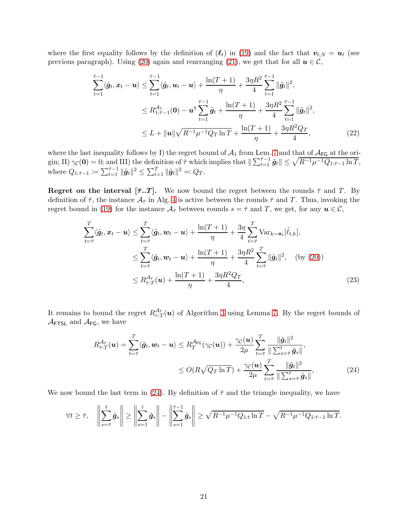where the first equality follows by the definition of  $(\ell_t)$  in [\(19\)](#page-19-0) and the fact that  $v_{t,N} = u_t$  (see previous paragraph). Using [\(20\)](#page-19-1) again and rearranging [\(21\)](#page-19-2), we get that for all  $u \in \mathcal{C}$ ,

<span id="page-20-2"></span>
$$
\sum_{t=1}^{\bar{\tau}-1} \langle \tilde{g}_t, x_t - u \rangle \leq \sum_{t=1}^{\bar{\tau}-1} \langle \tilde{g}_t, u_t - u \rangle + \frac{\ln(T+1)}{\eta} + \frac{3\eta R^2}{4} \sum_{t=1}^{\bar{\tau}-1} \|\tilde{g}_t\|^2,
$$
\n
$$
\leq R_{1:\bar{\tau}-1}^{\mathcal{A}_1}(0) - u^\tau \sum_{t=1}^{\bar{\tau}-1} \tilde{g}_t + \frac{\ln(T+1)}{\eta} + \frac{3\eta R^2}{4} \sum_{t=1}^{\bar{\tau}-1} \|\tilde{g}_t\|^2,
$$
\n
$$
\leq L + \|u\| \sqrt{R^{-1}\mu^{-1}Q_T \ln T} + \frac{\ln(T+1)}{\eta} + \frac{3\eta R^2 Q_T}{4}, \tag{22}
$$

where the last inequality follows by I) the regret bound of  $\mathcal{A}_1$  from Lem. [7](#page-5-2) and that of  $\mathcal{A}_{FG}$  at the origin; II)  $\gamma_{\mathcal{C}}(\mathbf{0}) = 0$ ; and III) the definition of  $\bar{\tau}$  which implies that  $\|\sum_{t=1}^{\bar{\tau}-1} \tilde{\mathbf{g}}_t\| \leq \sqrt{R^{-1}\mu^{-1}Q_{1:\bar{\tau}-1}\ln T}$ , where  $Q_{1:\bar{\tau}-1} := \sum_{t=1}^{\bar{\tau}-1} \|\tilde{g}_t\|^2 \le \sum_{t=1}^T \|\tilde{g}_t\|^2 =: Q_T.$ 

**Regret on the interval [** $\bar{\tau}$ **...** We now bound the regret between the rounds  $\bar{\tau}$  and T. By definition of  $\bar{\tau}$ , the instance  $\mathcal{A}_{\bar{\tau}}$  in Alg. [4](#page-7-1) is active between the rounds  $\bar{\tau}$  and T. Thus, invoking the regret bound in [\(19\)](#page-19-0) for the instance  $\mathcal{A}_{\bar{\tau}}$  between rounds  $s = \bar{\tau}$  and T, we get, for any  $u \in \mathcal{C}$ ,

$$
\sum_{t=\bar{\tau}}^{T} \langle \tilde{g}_t, x_t - u \rangle \leq \sum_{t=\bar{\tau}}^{T} \langle \tilde{g}_t, w_t - u \rangle + \frac{\ln(T+1)}{\eta} + \frac{3\eta}{4} \sum_{t=\bar{\tau}}^{T} \text{Var}_{k \sim \pi_t}[\tilde{\ell}_{t,k}],
$$
\n
$$
\leq \sum_{t=\bar{\tau}}^{T} \langle \tilde{g}_t, w_t - u \rangle + \frac{\ln(T+1)}{\eta} + \frac{3\eta R^2}{4} \sum_{t=\bar{\tau}}^{T} \|\tilde{g}_t\|^2, \quad \text{(by (20))}
$$
\n
$$
\leq R_{\bar{\tau}:T}^{\mathcal{A}_{\bar{\tau}}}(u) + \frac{\ln(T+1)}{\eta} + \frac{3\eta R^2 Q_T}{4}, \tag{23}
$$

It remains to bound the regret  $R_{\tau:T}^{\mathcal{A}_{\bar{\tau}}}(u)$  of Algorithm [3](#page-5-1) using Lemma [7.](#page-5-2) By the regret bounds of  $\mathcal{A}_{\mathsf{FTSL}}$  and  $\mathcal{A}_{\mathsf{FG}}$ , we have

<span id="page-20-1"></span><span id="page-20-0"></span>
$$
R_{\bar{\tau}:T}^{\mathcal{A}_{\bar{\tau}}}(\boldsymbol{u}) = \sum_{t=\bar{\tau}}^{T} \langle \tilde{\boldsymbol{g}}_t, \boldsymbol{w}_t - \boldsymbol{u} \rangle \leq R_T^{\mathcal{A}_{\text{FG}}}(\gamma_{\mathcal{C}}(\boldsymbol{u})) + \frac{\gamma_{\mathcal{C}}(\boldsymbol{u})}{2\mu} \sum_{t=\bar{\tau}}^{T} \frac{\|\tilde{\boldsymbol{g}}_t\|^2}{\|\sum_{s=\bar{\tau}}^t \tilde{\boldsymbol{g}}_s\|},
$$
  
 
$$
\leq O(R\sqrt{Q_T \ln T}) + \frac{\gamma_{\mathcal{C}}(\boldsymbol{u})}{2\mu} \sum_{t=\bar{\tau}}^{T} \frac{\|\tilde{\boldsymbol{g}}_t\|^2}{\|\sum_{s=\bar{\tau}}^t \tilde{\boldsymbol{g}}_s\|},
$$
(24)

We now bound the last term in [\(24\)](#page-20-0). By definition of  $\bar{\tau}$  and the triangle inequality, we have

$$
\forall t \geq \bar{\tau}, \quad \left\| \sum_{s=\bar{\tau}}^t \tilde{g}_s \right\| \geq \left\| \sum_{s=1}^t \tilde{g}_s \right\| - \left\| \sum_{s=1}^{\bar{\tau}-1} \tilde{g}_s \right\| \geq \sqrt{R^{-1} \mu^{-1} Q_{1:t} \ln T} - \sqrt{R^{-1} \mu^{-1} Q_{1:\bar{\tau}-1} \ln T}.
$$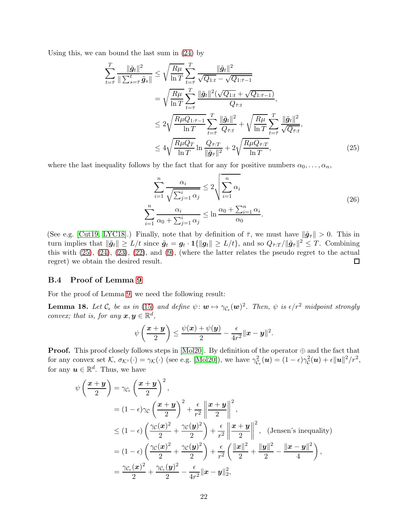Using this, we can bound the last sum in [\(24\)](#page-20-0) by

$$
\sum_{t=\bar{\tau}}^{T} \frac{\|\tilde{g}_t\|^2}{\|\sum_{s=\bar{\tau}}^t \tilde{g}_s\|} \leq \sqrt{\frac{R\mu}{\ln T}} \sum_{t=\bar{\tau}}^{T} \frac{\|\tilde{g}_t\|^2}{\sqrt{Q_{1:t}} - \sqrt{Q_{1:\bar{\tau}-1}}}
$$
\n
$$
= \sqrt{\frac{R\mu}{\ln T}} \sum_{t=\bar{\tau}}^{T} \frac{\|\tilde{g}_t\|^2 (\sqrt{Q_{1:t}} + \sqrt{Q_{1:\bar{\tau}-1}})}{Q_{\bar{\tau}:t}},
$$
\n
$$
\leq 2\sqrt{\frac{R\mu Q_{1:\bar{\tau}-1}}{\ln T}} \sum_{t=\bar{\tau}}^{T} \frac{\|\tilde{g}_t\|^2}{Q_{\bar{\tau}:t}} + \sqrt{\frac{R\mu}{\ln T}} \sum_{t=\bar{\tau}}^{T} \frac{\|\tilde{g}_t\|^2}{\sqrt{Q_{\bar{\tau}:t}}},
$$
\n
$$
\leq 4\sqrt{\frac{R\mu Q_T}{\ln T}} \ln \frac{Q_{\bar{\tau}:T}}{\|\tilde{g}_t\|^2} + 2\sqrt{\frac{R\mu Q_{\bar{\tau}:T}}{\ln T}},
$$
\n(25)

where the last inequality follows by the fact that for any for positive numbers  $\alpha_0, \ldots, \alpha_n$ ,

<span id="page-21-2"></span><span id="page-21-0"></span>
$$
\sum_{i=1}^{n} \frac{\alpha_i}{\sqrt{\sum_{j=1}^{i} \alpha_j}} \le 2 \sqrt{\sum_{i=1}^{n} \alpha_i}
$$
\n
$$
\sum_{i=1}^{n} \frac{\alpha_i}{\alpha_0 + \sum_{j=1}^{i} \alpha_j} \le \ln \frac{\alpha_0 + \sum_{i=1}^{n} \alpha_i}{\alpha_0}.
$$
\n(26)

(See e.g. [\[Cut19,](#page-12-1) [LYC18\]](#page-14-12).) Finally, note that by definition of  $\bar{\tau}$ , we must have  $\|\tilde{\mathbf{g}}_{\bar{\tau}}\| > 0$ . This in turn implies that  $\|\tilde{g}_t\| \ge L/t$  since  $\tilde{g}_t = g_t \cdot \mathbf{1}\{\|\tilde{g}_t\| \ge L/t\}$ , and so  $Q_{\bar{\tau}:T}/\|\tilde{g}_{\bar{\tau}}\|^2 \le T$ . Combining this with  $(25)$ ,  $(24)$ ,  $(23)$ ,  $(22)$ , and  $(9)$ , (where the latter relates the pseudo regret to the actual regret) we obtain the desired result.  $\Box$ 

#### <span id="page-21-1"></span>B.4 Proof of Lemma [9](#page-9-5)

For the proof of Lemma [9,](#page-9-5) we need the following result:

<span id="page-21-3"></span>**Lemma 18.** Let  $\mathcal{C}_{\epsilon}$  be as in [\(15\)](#page-9-2) and define  $\psi: \mathbf{w} \mapsto \gamma_{\mathcal{C}_{\epsilon}}(\mathbf{w})^2$ . Then,  $\psi$  is  $\epsilon/r^2$  midpoint strongly convex; that is, for any  $\boldsymbol{x}, \boldsymbol{y} \in \mathbb{R}^d$ ,

$$
\psi\left(\frac{\boldsymbol{x}+\boldsymbol{y}}{2}\right)\leq \frac{\psi(\boldsymbol{x})+\psi(\boldsymbol{y})}{2}-\frac{\epsilon}{4r^2}\|\boldsymbol{x}-\boldsymbol{y}\|^2.
$$

**Proof.** This proof closely follows steps in [\[Mol20\]](#page-15-5). By definition of the operator  $\oplus$  and the fact that for any convex set  $\mathcal{K}, \sigma_{\mathcal{K}^{\circ}}(\cdot) = \gamma_{\mathcal{K}}(\cdot)$  (see e.g. [\[Mol20\]](#page-15-5)), we have  $\gamma_{\mathcal{C}}^2$  $c_{\epsilon}^{2}(\boldsymbol{u})=(1-\epsilon)\gamma_{\mathcal{C}}^{2}$  $\frac{1}{C}$ **(u)** +  $\epsilon$ ||**u**||<sup>2</sup>/r<sup>2</sup>, for any  $u \in \mathbb{R}^d$ . Thus, we have

$$
\psi\left(\frac{\boldsymbol{x}+\boldsymbol{y}}{2}\right) = \gamma_{\mathcal{C}_{\epsilon}}\left(\frac{\boldsymbol{x}+\boldsymbol{y}}{2}\right)^{2},
$$
\n
$$
= (1-\epsilon)\gamma_{\mathcal{C}}\left(\frac{\boldsymbol{x}+\boldsymbol{y}}{2}\right)^{2} + \frac{\epsilon}{r^{2}}\left\|\frac{\boldsymbol{x}+\boldsymbol{y}}{2}\right\|^{2},
$$
\n
$$
\leq (1-\epsilon)\left(\frac{\gamma_{\mathcal{C}}(\boldsymbol{x})^{2}}{2} + \frac{\gamma_{\mathcal{C}}(\boldsymbol{y})^{2}}{2}\right) + \frac{\epsilon}{r^{2}}\left\|\frac{\boldsymbol{x}+\boldsymbol{y}}{2}\right\|^{2}, \text{ (Jensen's inequality)}
$$
\n
$$
= (1-\epsilon)\left(\frac{\gamma_{\mathcal{C}}(\boldsymbol{x})^{2}}{2} + \frac{\gamma_{\mathcal{C}}(\boldsymbol{y})^{2}}{2}\right) + \frac{\epsilon}{r^{2}}\left(\frac{\|\boldsymbol{x}\|^{2}}{2} + \frac{\|\boldsymbol{y}\|^{2}}{2} - \frac{\|\boldsymbol{x}-\boldsymbol{y}\|^{2}}{4}\right),
$$
\n
$$
= \frac{\gamma_{\mathcal{C}_{\epsilon}}(\boldsymbol{x})^{2}}{2} + \frac{\gamma_{\mathcal{C}_{\epsilon}}(\boldsymbol{y})^{2}}{2} - \frac{\epsilon}{4r^{2}}\|\boldsymbol{x}-\boldsymbol{y}\|_{2}^{2},
$$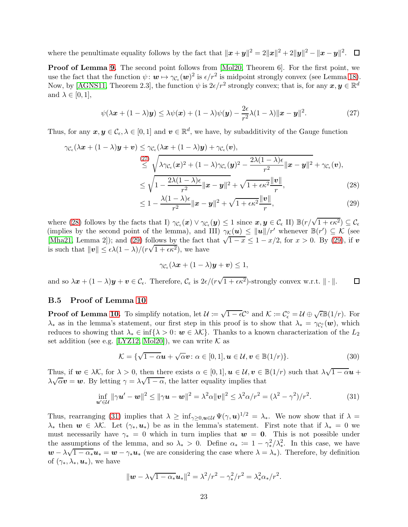where the penultimate equality follows by the fact that  $\|\boldsymbol{x} + \boldsymbol{y}\|^2 = 2\|\boldsymbol{x}\|^2 + 2\|\boldsymbol{y}\|^2 - \|\boldsymbol{x} - \boldsymbol{y}\|^2$ .

Proof of Lemma [9.](#page-9-5) The second point follows from [\[Mol20,](#page-15-5) Theorem 6]. For the first point, we use the fact that the function  $\psi: \mathbf{w} \mapsto \gamma_{\mathcal{C}_{\epsilon}}(\mathbf{w})^2$  is  $\epsilon/r^2$  is midpoint strongly convex (see Lemma [18\)](#page-21-3). Now, by [\[AGNS11,](#page-12-12) Theorem 2.3], the function  $\psi$  is  $2\epsilon/r^2$  strongly convex; that is, for any  $x, y \in \mathbb{R}^d$ and  $\lambda \in [0,1],$ 

$$
\psi(\lambda \boldsymbol{x} + (1 - \lambda)\boldsymbol{y}) \le \lambda \psi(\boldsymbol{x}) + (1 - \lambda)\psi(\boldsymbol{y}) - \frac{2\epsilon}{r^2} \lambda (1 - \lambda) \|\boldsymbol{x} - \boldsymbol{y}\|^2.
$$
 (27)

Thus, for any  $x, y \in C_{\epsilon}, \lambda \in [0,1]$  and  $v \in \mathbb{R}^d$ , we have, by subadditivity of the Gauge function

$$
\gamma_{\mathcal{C}_{\epsilon}}(\lambda \mathbf{x} + (1 - \lambda)\mathbf{y} + \mathbf{v}) \leq \gamma_{\mathcal{C}_{\epsilon}}(\lambda \mathbf{x} + (1 - \lambda)\mathbf{y}) + \gamma_{\mathcal{C}_{\epsilon}}(\mathbf{v}),
$$
\n
$$
\leq \sqrt{\lambda \gamma_{\mathcal{C}_{\epsilon}}(\mathbf{x})^2 + (1 - \lambda)\gamma_{\mathcal{C}_{\epsilon}}(\mathbf{y})^2 - \frac{2\lambda(1 - \lambda)\epsilon}{r^2} ||\mathbf{x} - \mathbf{y}||^2} + \gamma_{\mathcal{C}_{\epsilon}}(\mathbf{v}),
$$
\n
$$
\leq \sqrt{1 - \frac{2\lambda(1 - \lambda)\epsilon}{r^2} ||\mathbf{x} - \mathbf{y}||^2} + \sqrt{1 + \epsilon \kappa^2} \frac{\|\mathbf{v}\|}{r},
$$
\n(28)

<span id="page-22-1"></span>
$$
\leq 1 - \frac{\lambda(1-\lambda)\epsilon}{r^2} \|x - y\|^2 + \sqrt{1 + \epsilon \kappa^2} \frac{\|v\|}{r},\tag{29}
$$

where [\(28\)](#page-22-2) follows by the facts that I)  $\gamma_{\mathcal{C}_{\epsilon}}(\boldsymbol{x}) \vee \gamma_{\mathcal{C}_{\epsilon}}(\boldsymbol{y}) \leq 1$  since  $\boldsymbol{x}, \boldsymbol{y} \in \mathcal{C}_{\epsilon}$  II)  $\mathbb{B}(r/\sqrt{1+\epsilon\kappa^2}) \subseteq \mathcal{C}_{\epsilon}$ (implies by the second point of the lemma), and III)  $\gamma_K(u) \le ||u||/r'$  whenever  $\mathbb{B}(r') \subseteq \mathcal{K}$  (see [\[Mha21,](#page-14-6) Lemma 2]); and [\(29\)](#page-22-3) follows by the fact that  $\sqrt{1-x} \le 1 - x/2$ , for  $x > 0$ . By (29), if v is such that  $||v|| \leq \epsilon \lambda (1 - \lambda)/(r\sqrt{1 + \epsilon \kappa^2})$ , we have

<span id="page-22-5"></span><span id="page-22-4"></span><span id="page-22-3"></span><span id="page-22-2"></span>
$$
\gamma_{\mathcal{C}_{\epsilon}}(\lambda x + (1 - \lambda)y + \boldsymbol{v}) \leq 1,
$$

and so  $\lambda x + (1 - \lambda)y + v \in \mathcal{C}_{\epsilon}$ . Therefore,  $\mathcal{C}_{\epsilon}$  is  $2\epsilon/(r\sqrt{1 + \epsilon \kappa^2})$ -strongly convex w.r.t.  $\|\cdot\|$ .  $\Box$ 

#### <span id="page-22-0"></span>B.5 Proof of Lemma [10](#page-9-3)

**Proof of Lemma [10.](#page-9-3)** To simplify notation, let  $\mathcal{U} := \sqrt{1 - \epsilon} \mathcal{C}^{\circ}$  and  $\mathcal{K} := \mathcal{C}_{\epsilon}^{\circ} = \mathcal{U} \oplus \sqrt{\epsilon} \mathbb{B}(1/r)$ . For  $\lambda_*$  as in the lemma's statement, our first step in this proof is to show that  $\lambda_* = \gamma_{\mathcal{C}^{\circ}_{\epsilon}}(\boldsymbol{w})$ , which reduces to showing that  $\lambda_* \in \inf\{\lambda > 0: w \in \lambda \mathcal{K}\}\.$  Thanks to a known characterization of the  $L_2$ set addition (see e.g. [\[LYZ12,](#page-14-13) [Mol20\]](#page-15-5)), we can write  $K$  as

$$
\mathcal{K} = \{ \sqrt{1 - \alpha} \mathbf{u} + \sqrt{\alpha} \mathbf{v} : \alpha \in [0, 1], \mathbf{u} \in \mathcal{U}, \mathbf{v} \in \mathbb{B}(1/r) \}.
$$
 (30)

Thus, if  $w \in \lambda \mathcal{K}$ , for  $\lambda > 0$ , then there exists  $\alpha \in [0,1],$   $u \in \mathcal{U}, v \in \mathbb{B}(1/r)$  such that  $\lambda \sqrt{1-\alpha}u$  +  $\lambda \sqrt{\alpha} v = w$ . By letting  $\gamma = \lambda \sqrt{1 - \alpha}$ , the latter equality implies that

$$
\inf_{\mathbf{u}' \in \mathcal{U}} \|\gamma \mathbf{u}' - \mathbf{w}\|^2 \le \|\gamma \mathbf{u} - \mathbf{w}\|^2 = \lambda^2 \alpha \|\mathbf{v}\|^2 \le \lambda^2 \alpha / r^2 = (\lambda^2 - \gamma^2) / r^2.
$$
 (31)

Thus, rearranging [\(31\)](#page-22-4) implies that  $\lambda \geq \inf_{\gamma \geq 0, \boldsymbol{u} \in \mathcal{U}} \Psi(\gamma, \boldsymbol{u})^{1/2} = \lambda_*$ . We now show that if  $\lambda =$  $\lambda_*$  then  $w \in \lambda \mathcal{K}$ . Let  $(\gamma_*, u_*)$  be as in the lemma's statement. First note that if  $\lambda_* = 0$  we must necessarily have  $\gamma_* = 0$  which in turn implies that  $w = 0$ . This is not possible under the assumptions of the lemma, and so  $\lambda_* > 0$ . Define  $\alpha_* := 1 - \gamma_*^2 / \lambda_*^2$ . In this case, we have  $\mathbf{w} - \lambda \sqrt{1 - \alpha_*} \mathbf{u}_* = \mathbf{w} - \gamma_* \mathbf{u}_*$  (we are considering the case where  $\lambda = \lambda_*$ ). Therefore, by definition of  $(\gamma_*, \lambda_*, \mathbf{u}_*)$ , we have

$$
\|\mathbf{w} - \lambda \sqrt{1 - \alpha_*} \mathbf{u}_*\|^2 = \lambda^2 / r^2 - \gamma_*^2 / r^2 = \lambda_*^2 \alpha_* / r^2.
$$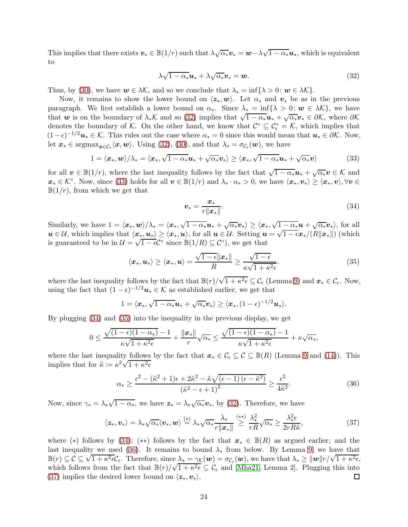This implies that there exists  $v_* \in \mathbb{B}(1/r)$  such that  $\lambda \sqrt{\alpha_*} v_* = w - \lambda \sqrt{1 - \alpha_*} u_*$ , which is equivalent to

<span id="page-23-0"></span>
$$
\lambda \sqrt{1 - \alpha_*} \mathbf{u}_* + \lambda \sqrt{\alpha_*} \mathbf{v}_* = \mathbf{w}.\tag{32}
$$

Thus, by [\(30\)](#page-22-5), we have  $w \in \lambda \mathcal{K}$ , and so we conclude that  $\lambda_* = \inf \{ \lambda > 0 : w \in \lambda \mathcal{K} \}.$ 

Now, it remains to show the lower bound on  $\langle z_*, w \rangle$ . Let  $\alpha_*$  and  $v_*$  be as in the previous paragraph. We first establish a lower bound on  $\alpha_*$ . Since  $\lambda_* = \inf \{ \lambda > 0 : w \in \lambda \mathcal{K} \}$ , we have that w is on the boundary of  $\lambda_* K$  and so [\(32\)](#page-23-0) implies that  $\sqrt{1-\alpha_*}u_* + \sqrt{\alpha_*}v_* \in \partial K$ , where  $\partial K$ denotes the boundary of K. On the other hand, we know that  $\mathcal{C}^{\circ} \subseteq \mathcal{C}_{\epsilon}^{\circ} = \mathcal{K}$ , which implies that  $(1 - \epsilon)^{-1/2} u_* \in \mathcal{K}$ . This rules out the case where  $\alpha_* = 0$  since this would mean that  $u_* \in \partial \mathcal{K}$ . Now, let  $x_* \in \operatorname{argmax}_{x \in C_{\epsilon}} \langle x, w \rangle$ . Using [\(32\)](#page-23-0), [\(30\)](#page-22-5), and that  $\lambda_* = \sigma_{C_{\epsilon}}(w)$ , we have

$$
1 = \langle x_*, \mathbf{w} \rangle / \lambda_* = \langle x_*, \sqrt{1 - \alpha_*} \mathbf{u}_* + \sqrt{\alpha_*} \mathbf{v}_* \rangle \ge \langle x_*, \sqrt{1 - \alpha_*} \mathbf{u}_* + \sqrt{\alpha_*} \mathbf{v} \rangle \tag{33}
$$

for all  $\mathbf{v} \in \mathbb{B}(1/r)$ , where the last inequality follows by the fact that  $\sqrt{1-\alpha_*}\mathbf{u}_* + \sqrt{\alpha_*}\mathbf{v} \in \mathcal{K}$  and  $\boldsymbol{x}_* \in \mathcal{K}^{\circ}$ . Now, since [\(33\)](#page-23-1) holds for all  $\boldsymbol{v} \in \mathbb{B}(1/r)$  and  $\lambda_* \cdot \alpha_* > 0$ , we have  $\langle \boldsymbol{x}_*, \boldsymbol{v}_* \rangle \geq \langle \boldsymbol{x}_*, \boldsymbol{v} \rangle, \forall \boldsymbol{v} \in \mathbb{B}(1/r)$  $\mathbb{B}(1/r)$ , from which we get that

<span id="page-23-3"></span><span id="page-23-2"></span><span id="page-23-1"></span>
$$
\boldsymbol{v}_{*} = \frac{\boldsymbol{x}_{*}}{r\|\boldsymbol{x}_{*}\|}.
$$
\n(34)

Similarly, we have  $1 = \langle x_*, w \rangle / \lambda_* = \langle x_*, \sqrt{1 - \alpha_*} u_* + \sqrt{\alpha_*} v_* \rangle \ge \langle x_*, \sqrt{1 - \alpha_*} u + \sqrt{\alpha_*} v_* \rangle$ , for all  $u \in \mathcal{U}$ , which implies that  $\langle x_*,u_* \rangle \geq \langle x_*,u \rangle$ , for all  $u \in \mathcal{U}$ . Setting  $u = \sqrt{1 - \epsilon} x_*/(R||x_*||)$  (which is guaranteed to be in  $\mathcal{U} = \sqrt{1 - \epsilon C^{\circ}}$  since  $\mathbb{B}(1/R) \subseteq C^{\circ}$ , we get that

$$
\langle x_*, u_* \rangle \ge \langle x_*, u \rangle = \frac{\sqrt{1-\epsilon} \|x_*\|}{R} \ge \frac{\sqrt{1-\epsilon}}{\kappa \sqrt{1+\kappa^2 \epsilon}}.
$$
 (35)

where the last inequality follows by the fact that  $\mathbb{B}(r)/\sqrt{1+\kappa^2\epsilon} \subseteq \mathcal{C}_{\epsilon}$  (Lemma [9\)](#page-9-5) and  $\mathbf{x}_* \in \mathcal{C}_{\epsilon}$ . Now, using the fact that  $(1 - \epsilon)^{-1/2}$ **u**<sub>\*</sub>  $\in \mathcal{K}$  as established earlier, we get that

$$
1 = \langle x_*, \sqrt{1-\alpha_*}u_* + \sqrt{\alpha_*}v_* \rangle \geq \langle x_*, (1-\epsilon)^{-1/2}u_* \rangle.
$$

By plugging [\(34\)](#page-23-2) and [\(35\)](#page-23-3) into the inequality in the previous display, we get

$$
0 \le \frac{\sqrt{(1-\epsilon)(1-\alpha_*)}-1}{\kappa\sqrt{1+\kappa^2\epsilon}} + \frac{\|\boldsymbol{x}_*\|}{r}\sqrt{\alpha_*} \le \frac{\sqrt{(1-\epsilon)(1-\alpha_*)}-1}{\kappa\sqrt{1+\kappa^2\epsilon}} + \kappa\sqrt{\alpha_*},
$$

where the last inequality follows by the fact that  $x_* \in \mathcal{C}_{\epsilon} \subseteq \mathcal{C} \subseteq \mathbb{B}(R)$  (Lemma [9](#page-9-5) and [\(14\)](#page-9-1)). This implies that for  $\tilde{\kappa} := \kappa^2 \sqrt{1 + \kappa^2 \epsilon}$ 

<span id="page-23-5"></span><span id="page-23-4"></span>
$$
\alpha_{*} \geq \frac{\epsilon^{2} - (\tilde{\kappa}^{2} + 1)\epsilon + 2\tilde{\kappa}^{2} - \tilde{\kappa}\sqrt{(\epsilon - 1)(\epsilon - \tilde{\kappa}^{2})}}{(\tilde{\kappa}^{2} - \epsilon + 1)^{2}} \geq \frac{\epsilon^{2}}{4\tilde{\kappa}^{2}}.
$$
\n(36)

Now, since  $\gamma_* = \lambda_* \sqrt{1 - \alpha_*}$ , we have  $z_* = \lambda_* \sqrt{\alpha_*} v_*$ , by [\(32\)](#page-23-0). Therefore, we have

$$
\langle z_*, v_* \rangle = \lambda_* \sqrt{\alpha_*} \langle v_*, w \rangle \stackrel{(*)}{=} \lambda_* \sqrt{\alpha_*} \frac{\lambda_*}{r \|x_*\|} \stackrel{(**)}{\geq} \frac{\lambda_*^2}{r R} \sqrt{\alpha_*} \geq \frac{\lambda_*^2 \epsilon}{2r R \tilde{\kappa}}, \tag{37}
$$

where (\*) follows by [\(34\)](#page-23-2); (\*\*) follows by the fact that  $x_* \in \mathbb{B}(R)$  as argued earlier; and the last inequality we used [\(36\)](#page-23-4). It remains to bound  $\lambda_*$  from below. By Lemma [9,](#page-9-5) we have that  $\mathbb{B}(r) \subseteq C \subseteq \sqrt{1 + \kappa^2 \epsilon C_{\epsilon}}$ . Therefore, since  $\lambda_* = \gamma_K(\boldsymbol{w}) = \sigma_{\mathcal{C}_{\epsilon}}(\boldsymbol{w})$ , we have that  $\lambda_* \geq ||\boldsymbol{w}|| \frac{r}{\sqrt{1 + \kappa^2 \epsilon C_{\epsilon}}}$ . which follows from the fact that  $\mathbb{B}(r)/\sqrt{1+\kappa^2\epsilon} \subseteq \mathcal{C}_{\epsilon}$  and [\[Mha21,](#page-14-6) Lemma 2]. Plugging this into [\(37\)](#page-23-5) implies the desired lower bound on  $\langle z_*, v_* \rangle$ . 囗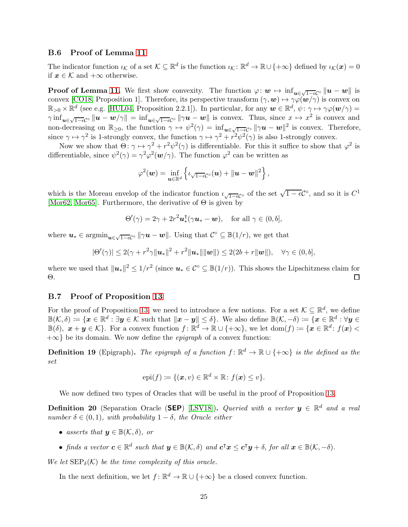#### <span id="page-24-0"></span>B.6 Proof of Lemma [11](#page-9-4)

The indicator function  $\iota_{\mathcal{K}}$  of a set  $\mathcal{K} \subseteq \mathbb{R}^d$  is the function  $\iota_{\mathcal{K}} \colon \mathbb{R}^d \to \mathbb{R} \cup \{+\infty\}$  defined by  $\iota_{\mathcal{K}}(\boldsymbol{x}) = 0$ if  $x \in \mathcal{K}$  and  $+\infty$  otherwise.

**Proof of Lemma [11.](#page-9-4)** We first show convexity. The function  $\varphi: \mathbf{w} \mapsto \inf_{\mathbf{u} \in \sqrt{1-\epsilon}C^{\circ}} \|\mathbf{u} - \mathbf{w}\|$  is convex [\[CO18,](#page-12-6) Proposition 1]. Therefore, its perspective transform  $(\gamma, \mathbf{w}) \mapsto \gamma \varphi(\mathbf{w}/\gamma)$  is convex on  $\mathbb{R}_{>0}\times\mathbb{R}^d$  (see e.g. [\[HUL04,](#page-14-9) Proposition 2.2.1]). In particular, for any  $\mathbf{w}\in\mathbb{R}^d$ ,  $\psi\colon\gamma\mapsto\gamma\varphi(\mathbf{w}/\gamma)=$  $\gamma \inf_{\mathbf{u}\in\sqrt{1-\epsilon\mathcal{C}}\circ\|\mathbf{u}-\mathbf{w}/\gamma\|=\inf_{\mathbf{u}\in\sqrt{1-\epsilon\mathcal{C}}\circ\|\gamma\mathbf{u}-\mathbf{w}\|$  is convex. Thus, since  $x\mapsto x^2$  is convex and non-decreasing on  $\mathbb{R}_{\geq 0}$ , the function  $\gamma \mapsto \psi^2(\gamma) = \inf_{\mathbf{u} \in \sqrt{1-\epsilon}C^\circ} ||\gamma \mathbf{u} - \mathbf{w}||^2$  is convex. Therefore, since  $\gamma \mapsto \gamma^2$  is 1-strongly convex, the function  $\gamma \mapsto \gamma^2 + r^2 \psi^2(\gamma)$  is also 1-strongly convex.

Now we show that  $\Theta: \gamma \mapsto \gamma^2 + r^2 \psi^2(\gamma)$  is differentiable. For this it suffice to show that  $\varphi^2$  is differentiable, since  $\psi^2(\gamma) = \gamma^2 \varphi^2(w/\gamma)$ . The function  $\varphi^2$  can be written as

$$
\varphi^2(\boldsymbol{w}) = \inf_{\boldsymbol{u} \in \mathbb{R}^d} \left\{ \iota_{\sqrt{1-\epsilon}C^\circ}(\boldsymbol{u}) + \|\boldsymbol{u} - \boldsymbol{w}\|^2 \right\},\
$$

which is the Moreau envelop of the indicator function  $\iota_{\sqrt{1-\epsilon}}c^{\circ}$  of the set  $\sqrt{1-\epsilon}C^{\circ}$ , and so it is  $C^1$ [\[Mor62,](#page-15-12) [Mor65\]](#page-15-13). Furthermore, the derivative of  $\Theta$  is given by

$$
\Theta'(\gamma) = 2\gamma + 2r^2 \mathbf{u}_*^{\mathsf{T}}(\gamma \mathbf{u}_* - \mathbf{w}), \quad \text{for all } \gamma \in (0, b],
$$

where  $u_* \in \operatorname{argmin}_{u \in \sqrt{1-\epsilon}C^\circ} ||\gamma u - w||$ . Using that  $C^\circ \subseteq \mathbb{B}(1/r)$ , we get that

$$
|\Theta'(\gamma)| \leq 2(\gamma + r^2 \gamma ||\boldsymbol{u}_*||^2 + r^2 ||\boldsymbol{u}_*|| ||\boldsymbol{w}||) \leq 2(2b + r ||\boldsymbol{w}||), \quad \forall \gamma \in (0, b],
$$

where we used that  $\|\boldsymbol{u}_*\|^2 \leq 1/r^2$  (since  $\boldsymbol{u}_* \in \mathcal{C}^\circ \subseteq \mathbb{B}(1/r)$ ). This shows the Lipschitzness claim for Θ.

#### <span id="page-24-1"></span>B.7 Proof of Proposition [13](#page-10-2)

For the proof of Proposition [13,](#page-10-2) we need to introduce a few notions. For a set  $\mathcal{K} \subseteq \mathbb{R}^d$ , we define  $\mathbb{B}(\mathcal{K},\delta) \coloneqq \{ \boldsymbol{x} \in \mathbb{R}^d : \exists \boldsymbol{y} \in \mathcal{K} \text{ such that } \|\boldsymbol{x}-\boldsymbol{y}\| \leq \delta \}.$  We also define  $\mathbb{B}(\mathcal{K},-\delta) \coloneqq \{ \boldsymbol{x} \in \mathbb{R}^d : \forall \boldsymbol{y} \in \mathcal{K} \text{ such that } \|\boldsymbol{x}-\boldsymbol{y}\| \leq \delta \}$ .  $\mathbb{B}(\delta), \ \boldsymbol{x} + \boldsymbol{y} \in \mathcal{K}$ . For a convex function  $f: \mathbb{R}^d \to \mathbb{R} \cup \{+\infty\}$ , we let  $\text{dom}(f) \coloneqq \{\boldsymbol{x} \in \mathbb{R}^d : f(\boldsymbol{x}) \leq \delta\}$  $+\infty$ } be its domain. We now define the *epigraph* of a convex function:

**Definition 19** (Epigraph). The epigraph of a function  $f: \mathbb{R}^d \to \mathbb{R} \cup \{+\infty\}$  is the defined as the set

$$
epi(f) := \{(\boldsymbol{x}, v) \in \mathbb{R}^d \times \mathbb{R} : f(\boldsymbol{x}) \le v\}.
$$

We now defined two types of Oracles that will be useful in the proof of Proposition [13.](#page-10-2)

**Definition 20** (Separation Oracle (SEP) [\[LSV18\]](#page-14-10)). Queried with a vector  $y \in \mathbb{R}^d$  and a real number  $\delta \in (0,1)$ , with probability  $1-\delta$ , the Oracle either

- asserts that  $y \in \mathbb{B}(\mathcal{K}, \delta)$ , or
- finds a vector  $c \in \mathbb{R}^d$  such that  $y \in \mathbb{B}(\mathcal{K}, \delta)$  and  $c^{\intercal}x \leq c^{\intercal}y + \delta$ , for all  $x \in \mathbb{B}(\mathcal{K}, -\delta)$ .

We let  $\text{SEP}_{\delta}(\mathcal{K})$  be the time complexity of this oracle.

In the next definition, we let  $f: \mathbb{R}^d \to \mathbb{R} \cup \{+\infty\}$  be a closed convex function.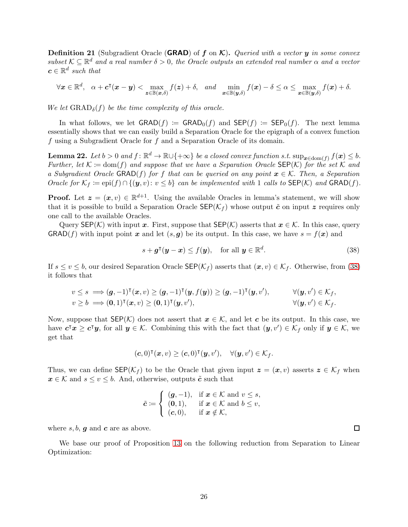**Definition 21** (Subgradient Oracle (**GRAD**) of f on  $\mathcal{K}$ ). Queried with a vector y in some convex subset  $K \subseteq \mathbb{R}^d$  and a real number  $\delta > 0$ , the Oracle outputs an extended real number  $\alpha$  and a vector  $c \in \mathbb{R}^d$  such that

$$
\forall \boldsymbol{x} \in \mathbb{R}^d, \quad \alpha + \boldsymbol{c}^\intercal(\boldsymbol{x} - \boldsymbol{y}) < \max_{\boldsymbol{z} \in \mathbb{B}(\boldsymbol{x}, \delta)} f(\boldsymbol{z}) + \delta, \quad and \quad \min_{\boldsymbol{x} \in \mathbb{B}(\boldsymbol{y}, \delta)} f(\boldsymbol{x}) - \delta \le \alpha \le \max_{\boldsymbol{x} \in \mathbb{B}(\boldsymbol{y}, \delta)} f(\boldsymbol{x}) + \delta.
$$

We let  $\text{GRAD}_{\delta}(f)$  be the time complexity of this oracle.

In what follows, we let  $\text{GRAD}(f) := \text{GRAD}_0(f)$  and  $\text{SEP}(f) := \text{SEP}_0(f)$ . The next lemma essentially shows that we can easily build a Separation Oracle for the epigraph of a convex function f using a Subgradient Oracle for f and a Separation Oracle of its domain.

<span id="page-25-1"></span>**Lemma 22.** Let  $b > 0$  and  $f : \mathbb{R}^d \to \mathbb{R} \cup \{+\infty\}$  be a closed convex function s.t.  $\sup_{x \in \text{dom}(f)} f(x) \leq b$ . Further, let  $\mathcal{K} := \text{dom}(f)$  and suppose that we have a Separation Oracle SEP(K) for the set K and a Subgradient Oracle GRAD(f) for f that can be queried on any point  $x \in \mathcal{K}$ . Then, a Separation Oracle for  $\mathcal{K}_f := \text{epi}(f) \cap \{(\mathbf{y}, v): v \leq b\}$  can be implemented with 1 calls to  $\text{SEP}(\mathcal{K})$  and  $\text{GRAD}(f)$ .

**Proof.** Let  $\mathbf{z} = (\mathbf{x}, v) \in \mathbb{R}^{d+1}$ . Using the available Oracles in lemma's statement, we will show that it is possible to build a Separation Oracle  $\text{SEP}(\mathcal{K}_f)$  whose output  $\tilde{c}$  on input z requires only one call to the available Oracles.

Query SEP(K) with input x. First, suppose that  $\text{SEP}(\mathcal{K})$  asserts that  $x \in \mathcal{K}$ . In this case, query  $\mathsf{GRAD}(f)$  with input point x and let  $(s, g)$  be its output. In this case, we have  $s = f(x)$  and

$$
s + \boldsymbol{g}^{\mathsf{T}}(\boldsymbol{y} - \boldsymbol{x}) \le f(\boldsymbol{y}), \quad \text{for all } \boldsymbol{y} \in \mathbb{R}^d.
$$
 (38)

If  $s \le v \le b$ , our desired Separation Oracle SEP( $\mathcal{K}_f$ ) asserts that  $(\mathbf{x}, v) \in \mathcal{K}_f$ . Otherwise, from [\(38\)](#page-25-0) it follows that

$$
v \leq s \implies (\mathbf{g}, -1)^{\mathsf{T}}(\mathbf{x}, v) \geq (\mathbf{g}, -1)^{\mathsf{T}}(\mathbf{y}, f(\mathbf{y})) \geq (\mathbf{g}, -1)^{\mathsf{T}}(\mathbf{y}, v'), \qquad \forall (\mathbf{y}, v') \in \mathcal{K}_f, v \geq b \implies (\mathbf{0}, 1)^{\mathsf{T}}(\mathbf{x}, v) \geq (\mathbf{0}, 1)^{\mathsf{T}}(\mathbf{y}, v'), \qquad \forall (\mathbf{y}, v') \in \mathcal{K}_f.
$$

Now, suppose that  $\mathsf{SEP}(\mathcal{K})$  does not assert that  $x \in \mathcal{K}$ , and let c be its output. In this case, we have  $c^{\intercal}x \geq c^{\intercal}y$ , for all  $y \in \mathcal{K}$ . Combining this with the fact that  $(y, v') \in \mathcal{K}_f$  only if  $y \in \mathcal{K}$ , we get that

$$
(\mathbf{c},0)^{\intercal}(\mathbf{x},v) \geq (\mathbf{c},0)^{\intercal}(\mathbf{y},v'), \quad \forall (\mathbf{y},v') \in \mathcal{K}_f.
$$

Thus, we can define  $\mathsf{SEP}(\mathcal{K}_f)$  to be the Oracle that given input  $\mathbf{z} = (\mathbf{x}, v)$  asserts  $\mathbf{z} \in \mathcal{K}_f$  when  $x \in \mathcal{K}$  and  $s \le v \le b$ . And, otherwise, outputs  $\tilde{c}$  such that

$$
\tilde{\mathbf{c}} \coloneqq \left\{ \begin{array}{ll} (\mathbf{g}, -1), & \text{if } \mathbf{x} \in \mathcal{K} \text{ and } v \leq s, \\ (\mathbf{0}, 1), & \text{if } \mathbf{x} \in \mathcal{K} \text{ and } b \leq v, \\ (\mathbf{c}, 0), & \text{if } \mathbf{x} \notin \mathcal{K}, \end{array} \right.
$$

where  $s, b, g$  and  $c$  are as above.

We base our proof of Proposition [13](#page-10-2) on the following reduction from Separation to Linear Optimization:

<span id="page-25-0"></span> $\Box$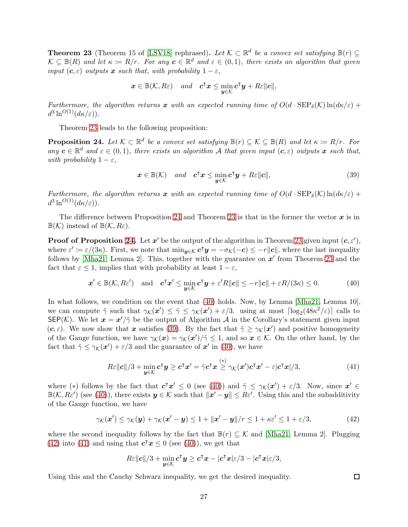<span id="page-26-0"></span>**Theorem 23** (Theorem 15 of [\[LSV18\]](#page-14-10) rephrased). Let  $\mathcal{K} \subset \mathbb{R}^d$  be a convex set satisfying  $\mathbb{B}(r) \subseteq$  $\mathcal{K} \subseteq \mathbb{B}(R)$  and let  $\kappa := R/r$ . For any  $c \in \mathbb{R}^d$  and  $\varepsilon \in (0,1)$ , there exists an algorithm that given input  $(c, \varepsilon)$  outputs x such that, with probability  $1 - \varepsilon$ ,

$$
\boldsymbol{x} \in \mathbb{B}(\mathcal{K}, R\varepsilon) \quad \text{and} \quad \boldsymbol{c}^\intercal \boldsymbol{x} \leq \min_{\boldsymbol{y} \in \mathcal{K}} \boldsymbol{c}^\intercal \boldsymbol{y} + R\varepsilon \|\boldsymbol{c}\|,
$$

Furthermore, the algorithm returns x with an expected running time of  $O(d \cdot \text{SEP}_{\delta}(\mathcal{K}) \ln(d\kappa/\varepsilon)$  +  $d^3\ln^{O(1)}(d\kappa/\varepsilon)).$ 

Theorem [23](#page-26-0) leads to the following proposition:

<span id="page-26-1"></span>**Proposition 24.** Let  $K \subset \mathbb{R}^d$  be a convex set satisfying  $\mathbb{B}(r) \subseteq K \subseteq \mathbb{B}(R)$  and let  $\kappa := R/r$ . For any  $c \in \mathbb{R}^d$  and  $\varepsilon \in (0,1)$ , there exists an algorithm A that given input  $(c,\varepsilon)$  outputs  $x$  such that, with probability  $1 - \varepsilon$ ,

<span id="page-26-3"></span>
$$
\boldsymbol{x} \in \mathbb{B}(\mathcal{K}) \quad \text{and} \quad \boldsymbol{c}^\mathsf{T} \boldsymbol{x} \le \min_{\boldsymbol{y} \in \mathcal{K}} \boldsymbol{c}^\mathsf{T} \boldsymbol{y} + R \varepsilon ||\boldsymbol{c}||, \tag{39}
$$

Furthermore, the algorithm returns x with an expected running time of  $O(d \cdot \text{SEP}_{\delta}(\mathcal{K}) \ln(d\kappa/\varepsilon) +$  $d^3\ln^{O(1)}(d\kappa/\varepsilon)).$ 

The difference between Proposition [24](#page-26-1) and Theorem [23](#page-26-0) is that in the former the vector  $x$  is in  $\mathbb{B}(\mathcal{K})$  instead of  $\mathbb{B}(\mathcal{K}, R_{\varepsilon})$ .

**Proof of Proposition [24.](#page-26-1)** Let  $x'$  be the output of the algorithm in Theorem [23](#page-26-0) given input  $(c, \varepsilon'),$ where  $\varepsilon' \coloneqq \varepsilon/(3\kappa)$ . First, we note that  $\min_{\mathbf{y} \in \mathcal{K}} \mathbf{c}^\intercal \mathbf{y} = -\sigma_{\mathcal{K}}(-\mathbf{c}) \leq -r||\mathbf{c}||$ , where the last inequality follows by [\[Mha21,](#page-14-6) Lemma 2]. This, together with the guarantee on  $x'$  from Theorem [23](#page-26-0) and the fact that  $\varepsilon \leq 1$ , implies that with probability at least  $1 - \varepsilon$ ,

$$
\boldsymbol{x}' \in \mathbb{B}(\mathcal{K}, R\varepsilon') \quad \text{and} \quad \boldsymbol{c}^\mathsf{T} \boldsymbol{x}' \le \min_{\boldsymbol{y} \in \mathcal{K}} \boldsymbol{c}^\mathsf{T} \boldsymbol{y} + \varepsilon' R \|\boldsymbol{c}\| \le -r \|\boldsymbol{c}\| + \varepsilon R/(3\kappa) \le 0. \tag{40}
$$

In what follows, we condition on the event that [\(40\)](#page-26-2) holds. Now, by Lemma [\[Mha21,](#page-14-6) Lemma 10], we can compute  $\tilde{\gamma}$  such that  $\gamma_{\mathcal{K}}(x') \leq \tilde{\gamma} \leq \gamma_{\mathcal{K}}(x') + \varepsilon/3$ . using at most  $\lceil \log_2(48\kappa^2/\varepsilon) \rceil$  calls to SEP(K). We let  $\mathbf{x} = \mathbf{x}'/\tilde{\gamma}$  be the output of Algorithm A in the Corollary's statement given input  $(c, \varepsilon)$ . We now show that x satisfies [\(39\)](#page-26-3). By the fact that  $\tilde{\gamma} \geq \gamma_K(x')$  and positive homogeneity of the Gauge function, we have  $\gamma_{\mathcal{K}}(x) = \gamma_{\mathcal{K}}(x')/\tilde{\gamma} \leq 1$ , and so  $x \in \mathcal{K}$ . On the other hand, by the fact that  $\tilde{\gamma} \leq \gamma_{\mathcal{K}}(\boldsymbol{x}') + \varepsilon/3$  and the guarantee of  $\boldsymbol{x}'$  in [\(40\)](#page-26-2), we have

$$
R\varepsilon||\boldsymbol{c}||/3 + \min_{\boldsymbol{y}\in\mathcal{K}}\boldsymbol{c}^{\mathsf{T}}\boldsymbol{y}\geq\boldsymbol{c}^{\mathsf{T}}\boldsymbol{x}' = \tilde{\gamma}\boldsymbol{c}^{\mathsf{T}}\boldsymbol{x}\stackrel{(*)}{\geq}\gamma_{\mathcal{K}}(\boldsymbol{x}')\boldsymbol{c}^{\mathsf{T}}\boldsymbol{x}' - \varepsilon|\boldsymbol{c}^{\mathsf{T}}\boldsymbol{x}|/3,\tag{41}
$$

where (\*) follows by the fact that  $c^{\dagger}x' \leq 0$  (see [\(40\)](#page-26-2)) and  $\tilde{\gamma} \leq \gamma_{\mathcal{K}}(x') + \varepsilon/3$ . Now, since  $x' \in$  $\mathbb{B}(\mathcal{K},R\varepsilon')$  (see [\(40\)](#page-26-2)), there exists  $\mathbf{y} \in \mathcal{K}$  such that  $\|\mathbf{x}' - \mathbf{y}\| \leq R\varepsilon'$ . Using this and the subadditivity of the Gauge function, we have

$$
\gamma_{\mathcal{K}}(\boldsymbol{x}') \leq \gamma_{\mathcal{K}}(\boldsymbol{y}) + \gamma_{\mathcal{K}}(\boldsymbol{x}' - \boldsymbol{y}) \leq 1 + \|\boldsymbol{x}' - \boldsymbol{y}\| / r \leq 1 + \kappa \varepsilon' \leq 1 + \varepsilon/3,
$$
\n(42)

where the second inequality follows by the fact that  $\mathbb{B}(r) \subseteq \mathcal{K}$  and [\[Mha21,](#page-14-6) Lemma 2]. Plugging [\(42\)](#page-26-4) into [\(41\)](#page-26-5) and using that  $c^{\dagger}x \le 0$  (see [\(40\)](#page-26-2)), we get that

$$
R\varepsilon||\boldsymbol{c}||/3 + \min_{\boldsymbol{y}\in\mathcal{K}}\boldsymbol{c}^{\intercal}\boldsymbol{y} \geq \boldsymbol{c}^{\intercal}\boldsymbol{x} - |\boldsymbol{c}^{\intercal}\boldsymbol{x}|\varepsilon/3 - |\boldsymbol{c}^{\intercal}\boldsymbol{x}|\varepsilon/3,
$$

Using this and the Cauchy Schwarz inequality, we get the desired inequality.

<span id="page-26-5"></span><span id="page-26-4"></span><span id="page-26-2"></span> $\Box$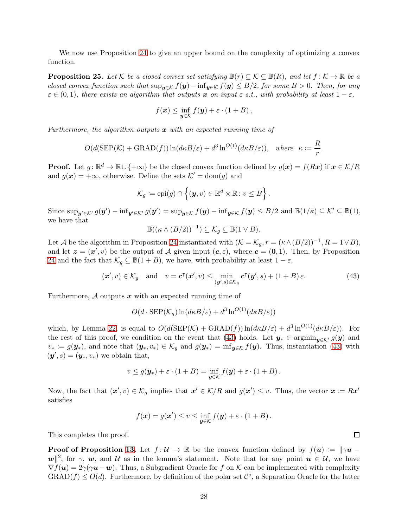We now use Proposition [24](#page-26-1) to give an upper bound on the complexity of optimizing a convex function.

<span id="page-27-1"></span>**Proposition 25.** Let K be a closed convex set satisfying  $\mathbb{B}(r) \subseteq \mathcal{K} \subseteq \mathbb{B}(R)$ , and let  $f: \mathcal{K} \to \mathbb{R}$  be a closed convex function such that  $\sup_{y \in \mathcal{K}} f(y) - \inf_{y \in \mathcal{K}} f(y) \leq B/2$ , for some  $B > 0$ . Then, for any  $\varepsilon \in (0,1)$ , there exists an algorithm that outputs x on input  $\varepsilon$  s.t., with probability at least  $1-\varepsilon$ ,

$$
f(\boldsymbol{x}) \leq \inf_{\boldsymbol{y} \in \mathcal{K}} f(\boldsymbol{y}) + \varepsilon \cdot (1 + B),
$$

Furthermore, the algorithm outputs  $x$  with an expected running time of

$$
O(d(\text{SEP}(\mathcal{K}) + \text{GRAD}(f))\ln(d\kappa B/\varepsilon) + d^3\ln^{O(1)}(d\kappa B/\varepsilon)), \text{ where } \kappa := \frac{R}{r}
$$

**Proof.** Let  $g: \mathbb{R}^d \to \mathbb{R} \cup \{+\infty\}$  be the closed convex function defined by  $g(x) = f(Rx)$  if  $x \in \mathcal{K}/R$ and  $g(x) = +\infty$ , otherwise. Define the sets  $\mathcal{K}' = \text{dom}(g)$  and

$$
\mathcal{K}_g \coloneqq \mathrm{epi}(g) \cap \left\{ (\boldsymbol{y}, v) \in \mathbb{R}^d \times \mathbb{R} \colon v \leq B \right\}.
$$

Since  $\sup_{\mathbf{y}' \in \mathcal{K}'} g(\mathbf{y}') - \inf_{\mathbf{y}' \in \mathcal{K}'} g(\mathbf{y}') = \sup_{\mathbf{y} \in \mathcal{K}} f(\mathbf{y}) - \inf_{\mathbf{y} \in \mathcal{K}} f(\mathbf{y}) \le B/2$  and  $\mathbb{B}(1/\kappa) \subseteq \mathcal{K}' \subseteq \mathbb{B}(1)$ , we have that

$$
\mathbb{B}((\kappa \wedge (B/2))^{-1}) \subseteq \mathcal{K}_g \subseteq \mathbb{B}(1 \vee B).
$$

Let A be the algorithm in Proposition [24](#page-26-1) instantiated with  $(\mathcal{K} = \mathcal{K}_g, r = (\kappa \wedge (B/2))^{-1}, R = 1 \vee B)$ , and let  $\mathbf{z} = (\mathbf{x}', v)$  be the output of A given input  $(c, \varepsilon)$ , where  $\mathbf{c} = (0, 1)$ . Then, by Proposition [24](#page-26-1) and the fact that  $\mathcal{K}_q \subseteq \mathbb{B}(1+B)$ , we have, with probability at least  $1-\varepsilon$ ,

$$
(\mathbf{x}',v) \in \mathcal{K}_g \quad \text{and} \quad v = \mathbf{c}^\mathsf{T}(\mathbf{x}',v) \le \min_{(\mathbf{y}',s) \in \mathcal{K}_g} \mathbf{c}^\mathsf{T}(\mathbf{y}',s) + (1+B)\,\varepsilon. \tag{43}
$$

Furthermore,  $A$  outputs  $x$  with an expected running time of

$$
O(d \cdot \text{SEP}(\mathcal{K}_g) \ln(d\kappa B/\varepsilon) + d^3 \ln^{O(1)}(d\kappa B/\varepsilon))
$$

which, by Lemma [22,](#page-25-1) is equal to  $O(d(\text{SEP}(\mathcal{K}) + \text{GRAD}(f))) \ln(d\kappa B/\varepsilon) + d^3 \ln^{O(1)}(d\kappa B/\varepsilon)$ . For the rest of this proof, we condition on the event that [\(43\)](#page-27-0) holds. Let  $y_* \in \operatorname{argmin}_{u \in \mathcal{K}'} g(y)$  and  $v_* := g(\mathbf{y}_*)$ , and note that  $(\mathbf{y}_*, v_*) \in \mathcal{K}_g$  and  $g(\mathbf{y}_*) = \inf_{\mathbf{y} \in \mathcal{K}} f(\mathbf{y})$ . Thus, instantiation [\(43\)](#page-27-0) with  $(\mathbf{y}', s) = (\mathbf{y}_*, v_*)$  we obtain that,

$$
v \le g(\mathbf{y}_*) + \varepsilon \cdot (1 + B) = \inf_{\mathbf{y} \in \mathcal{K}} f(\mathbf{y}) + \varepsilon \cdot (1 + B).
$$

Now, the fact that  $(x', v) \in \mathcal{K}_g$  implies that  $x' \in \mathcal{K}/R$  and  $g(x') \leq v$ . Thus, the vector  $x := Rx'$ satisfies

$$
f(\mathbf{x}) = g(\mathbf{x}') \le v \le \inf_{\mathbf{y} \in \mathcal{K}} f(\mathbf{y}) + \varepsilon \cdot (1 + B).
$$

This completes the proof.

**Proof of Proposition [13.](#page-10-2)** Let  $f: \mathcal{U} \to \mathbb{R}$  be the convex function defined by  $f(u) := ||\gamma u \|\mathbf{w}\|^2$ , for  $\gamma$ , w, and U as in the lemma's statement. Note that for any point  $\mathbf{u} \in \mathcal{U}$ , we have  $\nabla f(\mathbf{u}) = 2\gamma(\gamma \mathbf{u} - \mathbf{w})$ . Thus, a Subgradient Oracle for f on K can be implemented with complexity  $\text{GRAD}(f) \leq O(d)$ . Furthermore, by definition of the polar set  $\mathcal{C}^{\circ}$ , a Separation Oracle for the latter

 $\Box$ 

<span id="page-27-0"></span>.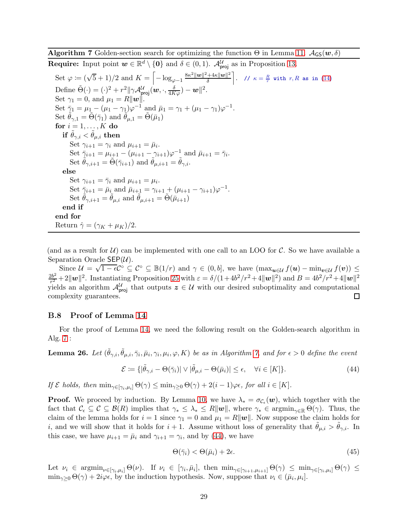<span id="page-28-0"></span>**Algorithm 7** Golden-section search for optimizing the function  $\Theta$  in Lemma [11.](#page-9-4)  $\mathcal{A}_{\mathsf{GS}}(\mathbf{w},\delta)$ 

**Require:** Input point  $w \in \mathbb{R}^d \setminus \{0\}$  and  $\delta \in (0,1)$ .  $\mathcal{A}_{\text{proj}}^{\mathcal{U}}$  as in Proposition [13.](#page-10-2) Set  $\varphi := (\sqrt{5} + 1)/2$  and  $K = \left[ -\log_{\varphi - 1} \frac{8\kappa^2 ||\mathbf{w}||^2 + 4\kappa ||\mathbf{w}||^2}{\delta} \right]$ δ  $\left\lceil \ldots / \ell \kappa = \frac{R}{r} \text{ with } r, R \text{ as in (14)} \right\rceil$  $\left\lceil \ldots / \ell \kappa = \frac{R}{r} \text{ with } r, R \text{ as in (14)} \right\rceil$  $\left\lceil \ldots / \ell \kappa = \frac{R}{r} \text{ with } r, R \text{ as in (14)} \right\rceil$ Define  $\tilde{\Theta}(\cdot) = (\cdot)^2 + r^2 \|\gamma \mathcal{A}_{\text{proj}}^{\mathcal{U}}(\boldsymbol{w}, \cdot, \frac{\delta}{4K\varphi}) - \boldsymbol{w}\|^2.$ Set  $\gamma_1 = 0$ , and  $\mu_1 = R||w||$ . Set  $\bar{\gamma}_1 = \mu_1 - (\mu_1 - \gamma_1)\varphi^{-1}$  and  $\bar{\mu}_1 = \gamma_1 + (\mu_1 - \gamma_1)\varphi^{-1}$ . Set  $\tilde{\theta}_{\gamma,1} = \tilde{\Theta}(\bar{\gamma}_1)$  and  $\tilde{\theta}_{\mu,1} = \tilde{\Theta}(\bar{\mu}_1)$ for  $i = 1, \ldots, K$  do if  $\theta_{\gamma,i} < \theta_{\mu,i}$  then Set  $\gamma_{i+1} = \gamma_i$  and  $\mu_{i+1} = \bar{\mu}_i$ . Set  $\bar{\gamma}_{i+1} = \mu_{i+1} - (\mu_{i+1} - \gamma_{i+1})\varphi^{-1}$  and  $\bar{\mu}_{i+1} = \bar{\gamma}_i$ . Set  $\tilde{\theta}_{\gamma,i+1} = \tilde{\Theta}(\bar{\gamma}_{i+1})$  and  $\tilde{\theta}_{\mu,i+1} = \tilde{\theta}_{\gamma,i}$ . else Set  $\gamma_{i+1} = \bar{\gamma}_i$  and  $\mu_{i+1} = \mu_i$ . Set  $\bar{\gamma}_{i+1} = \bar{\mu}_i$  and  $\bar{\mu}_{i+1} = \gamma_{i+1} + (\mu_{i+1} - \gamma_{i+1})\varphi^{-1}$ . Set  $\tilde{\theta}_{\gamma,i+1} = \tilde{\theta}_{\mu,i}$  and  $\tilde{\theta}_{\mu,i+1} = \tilde{\Theta}(\bar{\mu}_{i+1})$ end if end for Return  $\hat{\gamma} = (\gamma_K + \mu_K)/2$ .

(and as a result for  $U$ ) can be implemented with one call to an LOO for C. So we have available a Separation Oracle  $\mathsf{SEP}(\mathcal{U})$ .

Since  $\mathcal{U} = \sqrt{1 - \epsilon} \mathcal{C}^{\circ} \subseteq \mathcal{C}^{\circ} \subseteq \mathbb{B}(1/r)$  and  $\gamma \in (0, b]$ , we have  $(\max_{u \in \mathcal{U}} f(u) - \min_{v \in \mathcal{U}} f(v)) \leq$  $2b^2$  $\frac{2b^2}{r^2} + 2\|\mathbf{w}\|^2$ . Instantiating Proposition [25](#page-27-1) with  $\varepsilon = \delta/(1+4b^2/r^2+4\|\mathbf{w}\|^2)$  and  $B = 4b^2/r^2+4\|\mathbf{w}\|^2$ yields an algorithm  $\mathcal{A}_{\text{proj}}^U$  that outputs  $z \in \mathcal{U}$  with our desired suboptimality and computational complexity guarantees.

#### <span id="page-28-1"></span>B.8 Proof of Lemma [14](#page-10-3)

For the proof of Lemma [14,](#page-10-3) we need the following result on the Golden-search algorithm in Alg. [7](#page-28-0) :

<span id="page-28-4"></span>**Lemma 26.** Let  $(\tilde{\theta}_{\gamma,i}, \tilde{\theta}_{\mu,i}, \bar{\gamma}_i, \bar{\mu}_i, \gamma_i, \mu_i, \varphi, K)$  be as in Algorithm [7,](#page-28-0) and for  $\epsilon > 0$  define the event

$$
\mathcal{E} := \{ |\tilde{\theta}_{\gamma,i} - \Theta(\bar{\gamma}_i)| \vee |\tilde{\theta}_{\mu,i} - \Theta(\bar{\mu}_i)| \le \epsilon, \quad \forall i \in [K] \}.
$$
\n(44)

If  $\mathcal E$  holds, then  $\min_{\gamma \in [\gamma_i,\mu_i]} \Theta(\gamma) \leq \min_{\gamma>0} \Theta(\gamma) + 2(i-1)\varphi \epsilon$ , for all  $i \in [K]$ .

**Proof.** We proceed by induction. By Lemma [10,](#page-9-3) we have  $\lambda_* = \sigma_{\mathcal{C}_{\epsilon}}(\boldsymbol{w})$ , which together with the fact that  $\mathcal{C}_{\epsilon} \subseteq \mathcal{C} \subseteq \mathcal{B}(R)$  implies that  $\gamma_* \leq \lambda_* \leq R||w||$ , where  $\gamma_* \in \operatorname{argmin}_{\gamma \in \mathbb{R}} \Theta(\gamma)$ . Thus, the claim of the lemma holds for  $i = 1$  since  $\gamma_1 = 0$  and  $\mu_1 = R||w||$ . Now suppose the claim holds for i, and we will show that it holds for  $i + 1$ . Assume without loss of generality that  $\theta_{\mu,i} > \theta_{\gamma,i}$ . In this case, we have  $\mu_{i+1} = \bar{\mu}_i$  and  $\gamma_{i+1} = \gamma_i$ , and by [\(44\)](#page-28-2), we have

<span id="page-28-3"></span><span id="page-28-2"></span>
$$
\Theta(\bar{\gamma}_i) < \Theta(\bar{\mu}_i) + 2\epsilon. \tag{45}
$$

Let  $\nu_i \in \operatorname{argmin}_{\nu \in [\gamma_i, \mu_i]} \Theta(\nu)$ . If  $\nu_i \in [\gamma_i, \bar{\mu}_i]$ , then  $\min_{\gamma \in [\gamma_{i+1}, \mu_{i+1}]} \Theta(\gamma) \leq \min_{\gamma \in [\gamma_i, \mu_i]} \Theta(\gamma) \leq$  $\min_{\gamma\geq 0} \Theta(\gamma) + 2i\varphi\epsilon$ , by the induction hypothesis. Now, suppose that  $\nu_i \in (\bar{\mu}_i, \mu_i]$ .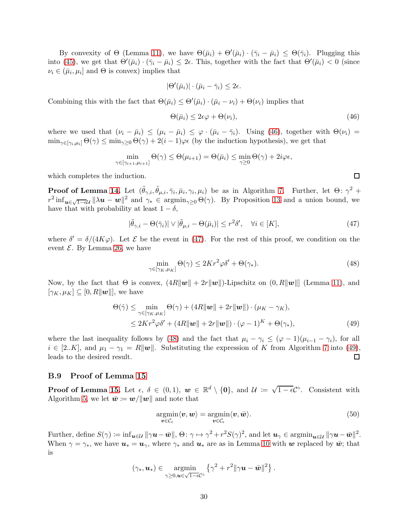By convexity of  $\Theta$  (Lemma [11\)](#page-9-4), we have  $\Theta(\bar{\mu}_i) + \Theta'(\bar{\mu}_i) \cdot (\bar{\gamma}_i - \bar{\mu}_i) \leq \Theta(\bar{\gamma}_i)$ . Plugging this into [\(45\)](#page-28-3), we get that  $\Theta'(\bar{\mu}_i) \cdot (\bar{\gamma}_i - \bar{\mu}_i) \leq 2\epsilon$ . This, together with the fact that  $\Theta'(\bar{\mu}_i) < 0$  (since  $\nu_i \in (\bar{\mu}_i, \mu_i]$  and  $\Theta$  is convex) implies that

$$
|\Theta'(\bar{\mu}_i)| \cdot (\bar{\mu}_i - \bar{\gamma}_i) \leq 2\epsilon.
$$

Combining this with the fact that  $\Theta(\bar{\mu}_i) \leq \Theta'(\bar{\mu}_i) \cdot (\bar{\mu}_i - \nu_i) + \Theta(\nu_i)$  implies that

$$
\Theta(\bar{\mu}_i) \le 2\epsilon\varphi + \Theta(\nu_i),\tag{46}
$$

where we used that  $(\nu_i - \bar{\mu}_i) \leq (\mu_i - \bar{\mu}_i) \leq \varphi \cdot (\bar{\mu}_i - \bar{\gamma}_i)$ . Using [\(46\)](#page-29-1), together with  $\Theta(\nu_i)$  =  $\min_{\gamma \in [\gamma_i, \mu_i]} \Theta(\gamma) \leq \min_{\gamma \geq 0} \Theta(\gamma) + 2(i-1)\varphi \epsilon$  (by the induction hypothesis), we get that

$$
\min_{\gamma \in [\gamma_{i+1}, \mu_{i+1}]} \Theta(\gamma) \leq \Theta(\mu_{i+1}) = \Theta(\bar{\mu}_i) \leq \min_{\gamma \geq 0} \Theta(\gamma) + 2i\varphi\epsilon,
$$

which completes the induction.

**Proof of Lemma [14.](#page-10-3)** Let  $(\tilde{\theta}_{\gamma,i}, \tilde{\theta}_{\mu,i}, \bar{\gamma}_i, \bar{\mu}_i, \gamma_i, \mu_i)$  be as in Algorithm [7.](#page-28-0) Further, let  $\Theta: \gamma^2 +$  $r^2 \inf_{u \in \sqrt{1-\epsilon}u} ||\lambda u - w||^2$  and  $\gamma_* \in \operatorname{argmin}_{\gamma \geq 0} \Theta(\gamma)$ . By Proposition [13](#page-10-2) and a union bound, we have that with probability at least  $1 - \delta$ ,

$$
|\tilde{\theta}_{\gamma,i} - \Theta(\bar{\gamma}_i)| \vee |\tilde{\theta}_{\mu,i} - \Theta(\bar{\mu}_i)| \le r^2 \delta', \quad \forall i \in [K],
$$
\n(47)

where  $\delta' = \delta/(4K\varphi)$ . Let  $\mathcal E$  be the event in [\(47\)](#page-29-2). For the rest of this proof, we condition on the event  $\mathcal E$ . By Lemma [26,](#page-28-4) we have

$$
\min_{\gamma \in [\gamma_K, \mu_K]} \Theta(\gamma) \le 2Kr^2 \varphi \delta' + \Theta(\gamma_*). \tag{48}
$$

Now, by the fact that  $\Theta$  is convex,  $(4R\|\boldsymbol{w}\| + 2r\|\boldsymbol{w}\|)$ -Lipschitz on  $(0, R\|\boldsymbol{w}\|)$  (Lemma [11\)](#page-9-4), and  $[\gamma_K, \mu_K] \subseteq [0, R||\boldsymbol{w}||]$ , we have

$$
\Theta(\hat{\gamma}) \leq \min_{\gamma \in [\gamma_K, \mu_K]} \Theta(\gamma) + (4R \|\mathbf{w}\| + 2r \|\mathbf{w}\|) \cdot (\mu_K - \gamma_K),
$$
  
 
$$
\leq 2Kr^2 \varphi \delta' + (4R \|\mathbf{w}\| + 2r \|\mathbf{w}\|) \cdot (\varphi - 1)^K + \Theta(\gamma_*),
$$
 (49)

where the last inequality follows by [\(48\)](#page-29-3) and the fact that  $\mu_i - \gamma_i \leq (\varphi - 1)(\mu_{i-1} - \gamma_i)$ , for all  $i \in [2..K]$ , and  $\mu_1 - \gamma_1 = R||w||$ . Substituting the expression of K from Algorithm [7](#page-28-0) into [\(49\)](#page-29-4), leads to the desired result. □ leads to the desired result.

#### <span id="page-29-0"></span>B.9 Proof of Lemma [15](#page-10-4)

**Proof of Lemma [15.](#page-10-4)** Let  $\epsilon$ ,  $\delta \in (0,1)$ ,  $\mathbf{w} \in \mathbb{R}^d \setminus \{0\}$ , and  $\mathcal{U} := \sqrt{1-\epsilon} \mathcal{C}^{\circ}$ . Consistent with Algorithm [5,](#page-11-1) we let  $\bar{\mathbf{w}} := \mathbf{w}/\|\mathbf{w}\|$  and note that

<span id="page-29-5"></span>
$$
\underset{\boldsymbol{v}\in\mathcal{C}_{\epsilon}}{\operatorname{argmin}}\langle\boldsymbol{v},\boldsymbol{w}\rangle=\underset{\boldsymbol{v}\in\mathcal{C}_{\epsilon}}{\operatorname{argmin}}\langle\boldsymbol{v},\bar{\boldsymbol{w}}\rangle.
$$
\n(50)

Further, define  $S(\gamma) := \inf_{\boldsymbol{u} \in \mathcal{U}} ||\gamma \boldsymbol{u} - \bar{\boldsymbol{w}}||$ ,  $\Theta \colon \gamma \mapsto \gamma^2 + r^2 S(\gamma)^2$ , and let  $\boldsymbol{u}_{\gamma} \in \operatorname{argmin}_{\boldsymbol{u} \in \mathcal{U}} ||\gamma \boldsymbol{u} - \bar{\boldsymbol{w}}||^2$ . When  $\gamma = \gamma_*,$  we have  $u_* = u_\gamma$ , where  $\gamma_*$  and  $u_*$  are as in Lemma [10](#page-9-3) with w replaced by  $\bar{w}$ ; that is

$$
(\gamma_*, \boldsymbol{u}_*) \in \operatorname*{argmin}_{\gamma \geq 0, \boldsymbol{u} \in \sqrt{1-\epsilon}C^{\circ}} \left\{ \gamma^2 + r^2 \|\gamma \boldsymbol{u} - \bar{\boldsymbol{w}}\|^2 \right\}.
$$

<span id="page-29-4"></span><span id="page-29-3"></span><span id="page-29-2"></span><span id="page-29-1"></span> $\Box$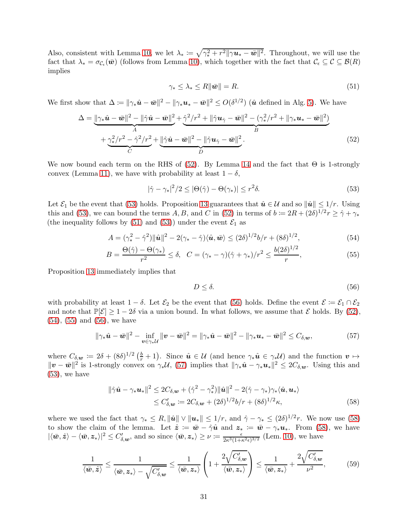Also, consistent with Lemma [10,](#page-9-3) we let  $\lambda_* := \sqrt{\gamma_*^2 + r^2 ||\gamma \mathbf{u}_* - \bar{\mathbf{w}}||^2}$ . Throughout, we will use the fact that  $\lambda_* = \sigma_{\mathcal{C}_{\epsilon}}(\bar{w})$  (follows from Lemma [10\)](#page-9-3), which together with the fact that  $\mathcal{C}_{\epsilon} \subseteq \mathcal{C} \subseteq \mathcal{B}(R)$ implies

<span id="page-30-2"></span><span id="page-30-0"></span>
$$
\gamma_* \le \lambda_* \le R \|\bar{\mathbf{w}}\| = R. \tag{51}
$$

We first show that  $\Delta \coloneqq ||\gamma_* \hat{\boldsymbol{u}} - \bar{\boldsymbol{w}}||^2 - ||\gamma_* \boldsymbol{u}_* - \bar{\boldsymbol{w}}||^2 \leq O(\delta^{1/2})$  ( $\hat{\boldsymbol{u}}$  defined in Alg. [5\)](#page-11-1). We have

$$
\Delta = \underbrace{\|\gamma_* \hat{\mathbf{u}} - \bar{\mathbf{w}}\|^2 - \|\hat{\gamma}\hat{\mathbf{u}} - \bar{\mathbf{w}}\|^2}_{A} + \underbrace{\hat{\gamma}^2/r^2 + \|\hat{\gamma}\mathbf{u}\hat{\gamma} - \bar{\mathbf{w}}\|^2 - (\gamma_*^2/r^2 + \|\gamma_*\mathbf{u}_* - \bar{\mathbf{w}}\|^2)}_{B} + \underbrace{\gamma_*^2/r^2 - \hat{\gamma}^2/r^2}_{C} + \underbrace{\|\hat{\gamma}\hat{\mathbf{u}} - \bar{\mathbf{w}}\|^2 - \|\hat{\gamma}\mathbf{u}\hat{\gamma} - \bar{\mathbf{w}}\|^2}_{D}.
$$
\n(52)

We now bound each term on the RHS of  $(52)$ . By Lemma [14](#page-10-3) and the fact that  $\Theta$  is 1-strongly convex (Lemma [11\)](#page-9-4), we have with probability at least  $1 - \delta$ ,

$$
|\hat{\gamma} - \gamma_*|^2 / 2 \le |\Theta(\hat{\gamma}) - \Theta(\gamma_*)| \le r^2 \delta. \tag{53}
$$

Let  $\mathcal{E}_1$  be the event that [\(53\)](#page-30-1) holds. Proposition [13](#page-10-2) guarantees that  $\hat{u} \in \mathcal{U}$  and so  $\|\hat{u}\| \leq 1/r$ . Using this and [\(53\)](#page-30-1), we can bound the terms  $A, B$ , and C in [\(52\)](#page-30-0) in terms of  $b \coloneqq 2R + (2\delta)^{1/2}r \geq \hat{\gamma} + \gamma_*$ (the inequality follows by [\(51\)](#page-30-2) and [\(53\)](#page-30-1)) under the event  $\mathcal{E}_1$  as

$$
A = (\gamma_*^2 - \hat{\gamma}^2) \|\hat{\mathbf{u}}\|^2 - 2(\gamma_* - \hat{\gamma}) \langle \hat{\mathbf{u}}, \bar{\mathbf{w}} \rangle \le (2\delta)^{1/2} b/r + (8\delta)^{1/2},\tag{54}
$$

$$
B = \frac{\Theta(\hat{\gamma}) - \Theta(\gamma_*)}{r^2} \le \delta, \quad C = (\gamma_* - \gamma)(\hat{\gamma} + \gamma_*)/r^2 \le \frac{b(2\delta)^{1/2}}{r},\tag{55}
$$

Proposition [13](#page-10-2) immediately implies that

<span id="page-30-8"></span><span id="page-30-7"></span><span id="page-30-6"></span><span id="page-30-5"></span><span id="page-30-4"></span><span id="page-30-3"></span><span id="page-30-1"></span>
$$
D \le \delta. \tag{56}
$$

with probability at least  $1 - \delta$ . Let  $\mathcal{E}_2$  be the event that [\(56\)](#page-30-3) holds. Define the event  $\mathcal{E} := \mathcal{E}_1 \cap \mathcal{E}_2$ and note that  $\mathbb{P}[\mathcal{E}] \geq 1 - 2\delta$  via a union bound. In what follows, we assume that  $\mathcal{E}$  holds. By [\(52\)](#page-30-0), [\(54\)](#page-30-4), [\(55\)](#page-30-5) and [\(56\)](#page-30-3), we have

$$
\|\gamma_*\hat{\mathbf{u}}-\bar{\mathbf{w}}\|^2 - \inf_{\mathbf{v}\in\gamma_*\mathcal{U}}\|\mathbf{v}-\bar{\mathbf{w}}\|^2 = \|\gamma_*\hat{\mathbf{u}}-\bar{\mathbf{w}}\|^2 - \|\gamma_*\mathbf{u}_*-\bar{\mathbf{w}}\|^2 \leq C_{\delta,\mathbf{w}},\tag{57}
$$

where  $C_{\delta,\mathbf{w}} := 2\delta + (8\delta)^{1/2} \left(\frac{b}{r}+1\right)$ . Since  $\hat{\mathbf{u}} \in \mathcal{U}$  (and hence  $\gamma_*\hat{\mathbf{u}} \in \gamma_*\mathcal{U}$ ) and the function  $\mathbf{v} \mapsto$  $||\boldsymbol{v} - \bar{\boldsymbol{w}}||^2$  is 1-strongly convex on  $\gamma_* \mathcal{U}$ , [\(57\)](#page-30-6) implies that  $||\gamma_* \hat{\boldsymbol{u}} - \gamma_* \boldsymbol{u}_*||^2 \leq 2C_{\delta, \boldsymbol{w}}$ . Using this and  $(53)$ , we have

$$
\|\hat{\gamma}\hat{\mathbf{u}} - \gamma_* \mathbf{u}_*\|^2 \le 2C_{\delta,\mathbf{w}} + (\hat{\gamma}^2 - \gamma_*^2) \|\hat{\mathbf{u}}\|^2 - 2(\hat{\gamma} - \gamma_*)\gamma_* \langle \hat{\mathbf{u}}, \mathbf{u}_*\rangle
$$
  
\n
$$
\le C'_{\delta,\mathbf{w}} := 2C_{\delta,\mathbf{w}} + (2\delta)^{1/2} b/r + (8\delta)^{1/2} \kappa,
$$
\n(58)

where we used the fact that  $\gamma_* \leq R$ ,  $\|\hat{\mathbf{u}}\| \vee \|\mathbf{u}_*\| \leq 1/r$ , and  $\hat{\gamma} - \gamma_* \leq (2\delta)^{1/2}r$ . We now use [\(58\)](#page-30-7) to show the claim of the lemma. Let  $\hat{z} := \bar{w} - \hat{\gamma}\hat{u}$  and  $z_* := \bar{w} - \gamma_* u_*$ . From [\(58\)](#page-30-7), we have  $|\langle \bar{w}, \hat{z} \rangle - \langle \bar{w}, z_* \rangle|^2 \le C'_{\delta, w}$ , and so since  $\langle \bar{w}, z_* \rangle \ge \nu := \frac{\epsilon}{2\kappa^3(1+\kappa^2\epsilon)^{3/2}}$  (Lem. [10\)](#page-9-3), we have

$$
\frac{1}{\langle \bar{w}, \hat{z} \rangle} \le \frac{1}{\langle \bar{w}, z_* \rangle - \sqrt{C'_{\delta, w}}} \le \frac{1}{\langle \bar{w}, z_* \rangle} \left( 1 + \frac{2\sqrt{C'_{\delta, w}}}{\langle \bar{w}, z_* \rangle} \right) \le \frac{1}{\langle \bar{w}, z_* \rangle} + \frac{2\sqrt{C'_{\delta, w}}}{\nu^2}, \tag{59}
$$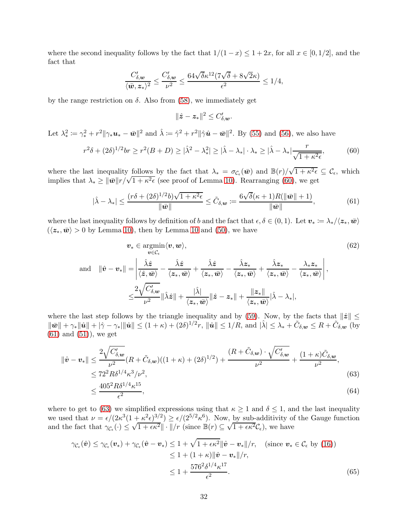where the second inequality follows by the fact that  $1/(1-x) \leq 1+2x$ , for all  $x \in [0,1/2]$ , and the fact that

$$
\frac{C_{\delta, w}'}{\langle \bar{w}, z_* \rangle^2} \le \frac{C_{\delta, w}'}{\nu^2} \le \frac{64\sqrt{\delta} \kappa^{12} (7\sqrt{\delta} + 8\sqrt{2}\kappa)}{\epsilon^2} \le 1/4,
$$

by the range restriction on  $\delta$ . Also from [\(58\)](#page-30-7), we immediately get

<span id="page-31-4"></span><span id="page-31-1"></span><span id="page-31-0"></span>
$$
\|\hat{\boldsymbol{z}}-\boldsymbol{z}_*\|^2 \leq C_{\delta,\boldsymbol{w}}'.
$$

Let  $\lambda_*^2$  $\hat{\mathbf{z}} := \gamma_*^2 + r^2 \|\gamma_* \mathbf{u}_* - \bar{\mathbf{w}}\|^2$  and  $\hat{\lambda} := \hat{\gamma}^2 + r^2 \|\hat{\gamma} \hat{\mathbf{u}} - \bar{\mathbf{w}}\|^2$ . By [\(55\)](#page-30-5) and [\(56\)](#page-30-3), we also have

$$
r^2\delta + (2\delta)^{1/2}br \ge r^2(B+D) \ge |\hat{\lambda}^2 - \lambda_*^2| \ge |\hat{\lambda} - \lambda_*| \cdot \lambda_* \ge |\hat{\lambda} - \lambda_*| \frac{r}{\sqrt{1 + \kappa^2 \epsilon}},\tag{60}
$$

where the last inequality follows by the fact that  $\lambda_* = \sigma_{\mathcal{C}_{\epsilon}}(\bar{\mathbf{w}})$  and  $\mathbb{B}(r)/\sqrt{1+\kappa^2\epsilon} \subseteq \mathcal{C}_{\epsilon}$ , which implies that  $\lambda_* \geq ||\bar{\boldsymbol{w}}|| \frac{r}{\sqrt{1 + \kappa^2 \epsilon}}$  (see proof of Lemma [10\)](#page-9-3). Rearranging [\(60\)](#page-31-0), we get

$$
|\hat{\lambda} - \lambda_*| \le \frac{(r\delta + (2\delta)^{1/2}b)\sqrt{1 + \kappa^2\epsilon}}{\|\bar{\mathbf{w}}\|} \le \tilde{C}_{\delta,\mathbf{w}} \coloneqq \frac{6\sqrt{\delta}(\kappa + 1)R(\|\bar{\mathbf{w}}\| + 1)}{\|\bar{\mathbf{w}}\|},\tag{61}
$$

where the last inequality follows by definition of b and the fact that  $\epsilon, \delta \in (0,1)$ . Let  $v_* := \lambda_* / \langle z_*, \bar{w} \rangle$  $(\langle z_*, \bar{w} \rangle > 0$  by Lemma [10\)](#page-9-3), then by Lemma [10](#page-9-3) and [\(50\)](#page-29-5), we have

$$
\mathbf{v}_{*} \in \operatorname*{argmin}_{\mathbf{v} \in C_{\epsilon}} \langle \mathbf{v}, \mathbf{w} \rangle, \tag{62}
$$
\n
$$
\text{and} \quad \|\hat{\mathbf{v}} - \mathbf{v}_{*}\| = \left| \frac{\hat{\lambda} \hat{z}}{\langle \hat{z}, \bar{\mathbf{w}} \rangle} - \frac{\hat{\lambda} \hat{z}}{\langle z_{*}, \bar{\mathbf{w}} \rangle} + \frac{\hat{\lambda} \hat{z}}{\langle z_{*}, \bar{\mathbf{w}} \rangle} - \frac{\hat{\lambda} z_{*}}{\langle z_{*}, \bar{\mathbf{w}} \rangle} + \frac{\hat{\lambda} z_{*}}{\langle z_{*}, \bar{\mathbf{w}} \rangle} - \frac{\lambda_{*} z_{*}}{\langle z_{*}, \bar{\mathbf{w}} \rangle} \right|,
$$
\n
$$
\leq \frac{2\sqrt{C'_{\delta, \mathbf{w}}}}{\nu^{2}} \|\hat{\lambda}\hat{z}\| + \frac{|\hat{\lambda}|}{\langle z_{*}, \bar{\mathbf{w}} \rangle} \|\hat{z} - z_{*}\| + \frac{\|z_{*}\|}{\langle z_{*}, \bar{\mathbf{w}} \rangle} |\hat{\lambda} - \lambda_{*}|,
$$
\n(62)

where the last step follows by the triangle inequality and by [\(59\)](#page-30-8). Now, by the facts that  $\|\hat{z}\|$   $\leq$  $\|\bar{\mathbf{w}}\| + \gamma_* \|\hat{\mathbf{u}}\| + |\hat{\gamma} - \gamma_*| \|\hat{\mathbf{u}}\| \leq (1+\kappa) + (2\delta)^{1/2} r$ ,  $\|\hat{\mathbf{u}}\| \leq 1/R$ , and  $|\hat{\lambda}| \leq \lambda_* + \tilde{C}_{\delta, \mathbf{w}} \leq R + \tilde{C}_{\delta, \mathbf{w}}$  (by  $(61)$  and  $(51)$ , we get

$$
\|\hat{\mathbf{v}} - \mathbf{v}_{*}\| \leq \frac{2\sqrt{C'_{\delta,\mathbf{w}}}}{\nu^{2}} (R + \tilde{C}_{\delta,\mathbf{w}})((1+\kappa) + (2\delta)^{1/2}) + \frac{(R + \tilde{C}_{\delta,\mathbf{w}}) \cdot \sqrt{C'_{\delta,\mathbf{w}}}}{\nu^{2}} + \frac{(1+\kappa)\tilde{C}_{\delta,\mathbf{w}}}{\nu^{2}},
$$
\n
$$
\leq 72^{2} R \delta^{1/4} \kappa^{3} / \nu^{2},
$$
\n(63)

<span id="page-31-5"></span><span id="page-31-3"></span><span id="page-31-2"></span>
$$
\leq \frac{405^2 R \delta^{1/4} \kappa^{15}}{\epsilon^2},\tag{64}
$$

where to get to [\(63\)](#page-31-2) we simplified expressions using that  $\kappa \geq 1$  and  $\delta \leq 1$ , and the last inequality we used that  $\nu = \epsilon/(2\kappa^3(1+\kappa^2\epsilon)^{3/2}) \ge \epsilon/(2^{5/2}\kappa^6)$ . Now, by sub-additivity of the Gauge function and the fact that  $\gamma c_{\epsilon}(\cdot) \leq \sqrt{1 + \epsilon \kappa^2} || \cdot ||/r$  (since  $\mathbb{B}(r) \subseteq \sqrt{1 + \epsilon \kappa^2} C_{\epsilon}$ ), we have

$$
\gamma_{\mathcal{C}_{\epsilon}}(\hat{\boldsymbol{v}}) \leq \gamma_{\mathcal{C}_{\epsilon}}(\boldsymbol{v}_{*}) + \gamma_{\mathcal{C}_{\epsilon}}(\hat{\boldsymbol{v}} - \boldsymbol{v}_{*}) \leq 1 + \sqrt{1 + \epsilon \kappa^{2}} \|\hat{\boldsymbol{v}} - \boldsymbol{v}_{*}\| / r, \quad (\text{since } \boldsymbol{v}_{*} \in \mathcal{C}_{\epsilon} \text{ by (16)})
$$
  
\n
$$
\leq 1 + (1 + \kappa) \|\hat{\boldsymbol{v}} - \boldsymbol{v}_{*}\| / r,
$$
  
\n
$$
\leq 1 + \frac{576^{2} \delta^{1/4} \kappa^{17}}{\epsilon^{2}}.
$$
\n(65)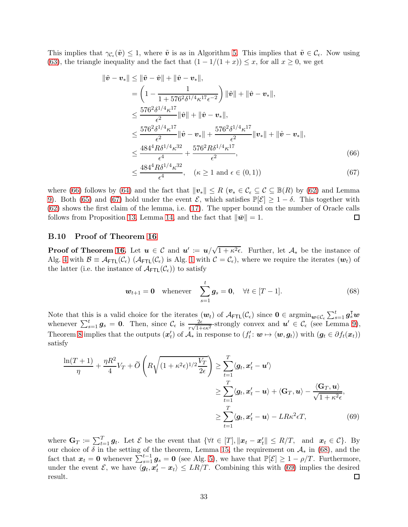This implies that  $\gamma_{\mathcal{C}_{\epsilon}}(\tilde{\boldsymbol{v}}) \leq 1$ , where  $\tilde{\boldsymbol{v}}$  is as in Algorithm [5.](#page-11-1) This implies that  $\tilde{\boldsymbol{v}} \in \mathcal{C}_{\epsilon}$ . Now using [\(63\)](#page-31-2), the triangle inequality and the fact that  $(1 - 1/(1 + x)) \leq x$ , for all  $x \geq 0$ , we get

$$
\|\tilde{\mathbf{v}} - \mathbf{v}_{*}\| \leq \|\tilde{\mathbf{v}} - \hat{\mathbf{v}}\| + \|\hat{\mathbf{v}} - \mathbf{v}_{*}\|,
$$
\n
$$
= \left(1 - \frac{1}{1 + 576^2 \delta^{1/4} \kappa^{17} \epsilon^{-2}}\right) \|\tilde{\mathbf{v}}\| + \|\hat{\mathbf{v}} - \mathbf{v}_{*}\|,
$$
\n
$$
\leq \frac{576^2 \delta^{1/4} \kappa^{17}}{\epsilon^2} \|\hat{\mathbf{v}}\| + \|\hat{\mathbf{v}} - \mathbf{v}_{*}\|,
$$
\n
$$
\leq \frac{576^2 \delta^{1/4} \kappa^{17}}{\epsilon^2} \|\hat{\mathbf{v}} - \mathbf{v}_{*}\| + \frac{576^2 \delta^{1/4} \kappa^{17}}{\epsilon^2} \|\mathbf{v}_{*}\| + \|\hat{\mathbf{v}} - \mathbf{v}_{*}\|,
$$
\n
$$
\leq \frac{484^4 R \delta^{1/4} \kappa^{32}}{\epsilon^4} + \frac{576^2 R \delta^{1/4} \kappa^{17}}{\epsilon^2},
$$
\n(66)

<span id="page-32-2"></span><span id="page-32-1"></span>
$$
\leq \frac{484^4 R \delta^{1/4} \kappa^{32}}{\epsilon^4}, \quad (\kappa \geq 1 \text{ and } \epsilon \in (0, 1))
$$
\n(67)

where [\(66\)](#page-32-1) follows by [\(64\)](#page-31-3) and the fact that  $\|\mathbf{v}_*\| \leq R$  ( $\mathbf{v}_* \in \mathcal{C}_\epsilon \subseteq \mathcal{C} \subseteq \mathbb{B}(R)$  by [\(62\)](#page-31-4) and Lemma [9\)](#page-9-5). Both [\(65\)](#page-31-5) and [\(67\)](#page-32-2) hold under the event  $\mathcal{E}$ , which satisfies  $\mathbb{P}[\mathcal{E}] \geq 1 - \delta$ . This together with [\(62\)](#page-31-4) shows the first claim of the lemma, i.e. [\(17\)](#page-10-5). The upper bound on the number of Oracle calls follows from Proposition [13,](#page-10-2) Lemma [14,](#page-10-3) and the fact that  $\|\bar{\mathbf{w}}\| = 1$ .  $\Box$ 

#### <span id="page-32-0"></span>B.10 Proof of Theorem [16](#page-10-0)

**Proof of Theorem [16.](#page-10-0)** Let  $u \in \mathcal{C}$  and  $u' := u/\sqrt{1 + \kappa^2 \epsilon}$ . Further, let  $\mathcal{A}_*$  be the instance of Alg. [4](#page-7-1) with  $\mathcal{B} \equiv \mathcal{A}_{\text{FTL}}(\mathcal{C}_{\epsilon})$  ( $\mathcal{A}_{\text{FTL}}(\mathcal{C}_{\epsilon})$  is Alg. [1](#page-4-0) with  $\mathcal{C} = \mathcal{C}_{\epsilon}$ ), where we require the iterates  $(\mathbf{w}_t)$  of the latter (i.e. the instance of  $\mathcal{A}_{\text{FTL}}(\mathcal{C}_{\epsilon})$ ) to satisfy

<span id="page-32-4"></span><span id="page-32-3"></span>
$$
\boldsymbol{w}_{t+1} = \mathbf{0}
$$
 whenever  $\sum_{s=1}^{t} \boldsymbol{g}_s = \mathbf{0}, \quad \forall t \in [T-1].$  (68)

Note that this is a valid choice for the iterates  $(w_t)$  of  $\mathcal{A}_{\text{FTL}}(\mathcal{C}_{\epsilon})$  since  $0 \in \operatorname{argmin}_{w \in \mathcal{C}_{\epsilon}} \sum_{s=1}^t g_s^{\intercal} w$ whenever  $\sum_{s=1}^t g_s = 0$ . Then, since  $\mathcal{C}_{\epsilon}$  is  $\frac{2\epsilon}{r\sqrt{1+\epsilon\kappa^2}}$ -strongly convex and  $u' \in \mathcal{C}_{\epsilon}$  (see Lemma [9\)](#page-9-5), Theorem [8](#page-7-0) implies that the outputs  $(x'_t)$  of  $\mathcal{A}_*$  in response to  $(f'_t: \mathbf{w} \mapsto \langle \mathbf{w}, \mathbf{g}_t \rangle)$  with  $(\mathbf{g}_t \in \partial f_t(x_t))$ satisfy

$$
\frac{\ln(T+1)}{\eta} + \frac{\eta R^2}{4} V_T + \widetilde{O}\left(R\sqrt{(1+\kappa^2\epsilon)^{1/2} \frac{V_T}{2\epsilon}}\right) \ge \sum_{t=1}^T \langle \mathbf{g}_t, \mathbf{x}'_t - \mathbf{u}' \rangle
$$

$$
\ge \sum_{t=1}^T \langle \mathbf{g}_t, \mathbf{x}'_t - \mathbf{u} \rangle + \langle \mathbf{G}_T, \mathbf{u} \rangle - \frac{\langle \mathbf{G}_T, \mathbf{u} \rangle}{\sqrt{1+\kappa^2\epsilon}},
$$

$$
\ge \sum_{t=1}^T \langle \mathbf{g}_t, \mathbf{x}'_t - \mathbf{u} \rangle - LR\kappa^2\epsilon T,
$$
(69)

where  $\mathbf{G}_T \coloneqq \sum_{t=1}^T \mathbf{g}_t$ . Let  $\mathcal{E}$  be the event that  $\{\forall t \in [T], ||\mathbf{x}_t - \mathbf{x}'_t|| \leq R/T$ , and  $\mathbf{x}_t \in \mathcal{C}\}$ . By our choice of  $\delta$  in the setting of the theorem, Lemma [15,](#page-10-4) the requirement on  $\mathcal{A}_{*}$  in [\(68\)](#page-32-3), and the fact that  $x_t = 0$  whenever  $\sum_{s=1}^{t-1} g_s = 0$  (see Alg. [5\)](#page-11-1), we have that  $\mathbb{P}[\mathcal{E}] \geq 1 - \rho/T$ . Furthermore, under the event  $\mathcal{E}$ , we have  $\langle g_t, x_t' - x_t \rangle \leq LR/T$ . Combining this with [\(69\)](#page-32-4) implies the desired result. 囗